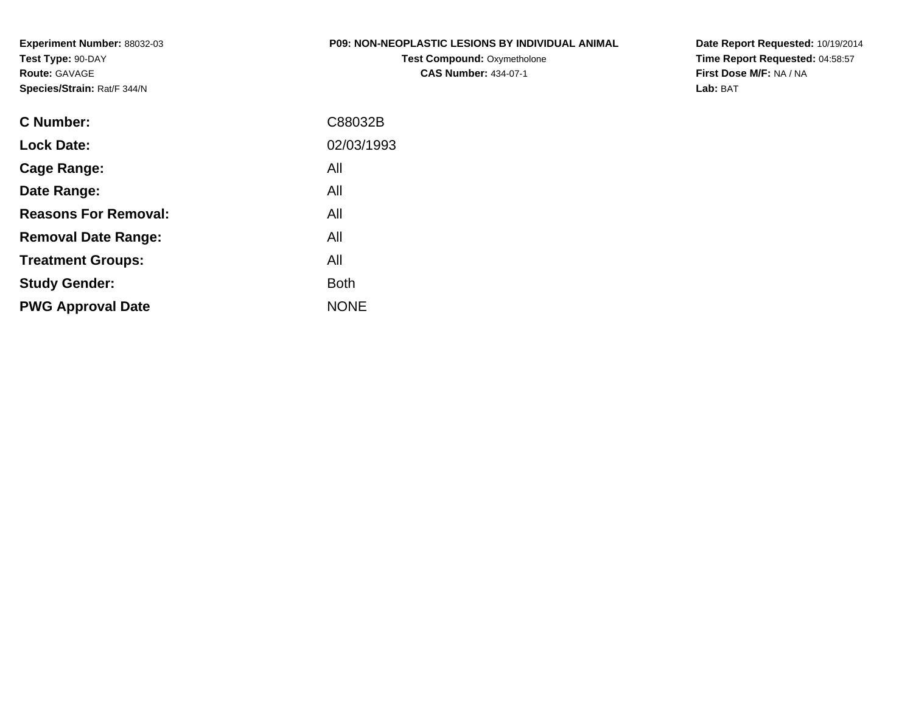**Experiment Number:** 88032-03**Test Type:** 90-DAY**Route:** GAVAGE**Species/Strain:** Rat/F 344/N

## **P09: NON-NEOPLASTIC LESIONS BY INDIVIDUAL ANIMAL**

**Test Compound:** Oxymetholone**CAS Number:** 434-07-1

**Date Report Requested:** 10/19/2014 **Time Report Requested:** 04:58:57**First Dose M/F:** NA / NA**Lab:** BAT

| C88032B     |
|-------------|
| 02/03/1993  |
| All         |
| All         |
| All         |
| All         |
| All         |
| <b>Both</b> |
| <b>NONE</b> |
|             |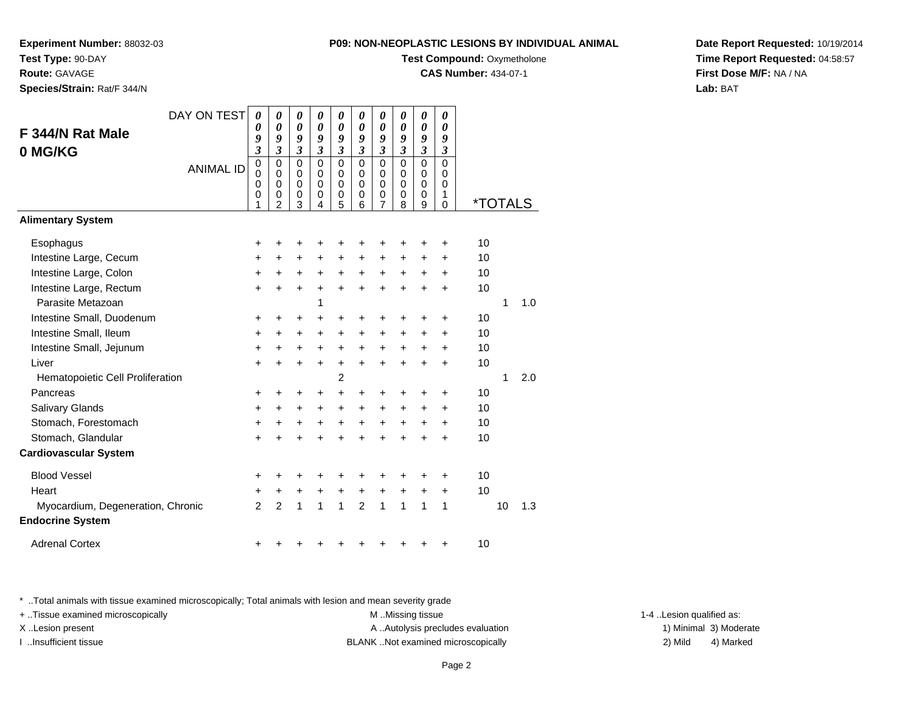**Test Compound: Oxymetholone** 

**CAS Number:** 434-07-1

**Date Report Requested:** 10/19/2014**Time Report Requested:** 04:58:57**First Dose M/F:** NA / NA**Lab:** BAT

\* ..Total animals with tissue examined microscopically; Total animals with lesion and mean severity grade

+ ..Tissue examined microscopically examined microscopically examined as:  $M$  ..Missing tissue 1-4 ..Lesion qualified as: X..Lesion present **A ..Autolysis precludes evaluation** A ..Autolysis precludes evaluation 1) Minimal 3) Moderate

I ..Insufficient tissue BLANK ..Not examined microscopically 2) Mild 4) Marked

|                                                              | DAY ON TEST      | 0                               | 0                                                                | 0                                                           | 0                                                           | 0                                                           | 0                                                   | 0                                         | 0                                         | 0                                                | 0                                         |                       |    |     |
|--------------------------------------------------------------|------------------|---------------------------------|------------------------------------------------------------------|-------------------------------------------------------------|-------------------------------------------------------------|-------------------------------------------------------------|-----------------------------------------------------|-------------------------------------------|-------------------------------------------|--------------------------------------------------|-------------------------------------------|-----------------------|----|-----|
| F 344/N Rat Male                                             |                  | 0                               | $\boldsymbol{\theta}$<br>9                                       | $\boldsymbol{\theta}$<br>9                                  | $\boldsymbol{\theta}$                                       | 0<br>9                                                      | 0<br>9                                              | 0<br>9                                    | 0                                         | $\boldsymbol{\theta}$<br>9                       | 0<br>9                                    |                       |    |     |
| 0 MG/KG                                                      |                  | 9<br>$\overline{\mathbf{3}}$    | $\mathfrak{z}$                                                   | $\mathfrak{z}$                                              | 9<br>$\mathfrak{z}$                                         | $\overline{\mathbf{3}}$                                     | $\mathfrak{z}$                                      | $\mathfrak{z}$                            | 9<br>$\mathfrak{z}$                       | $\mathfrak{z}$                                   | $\boldsymbol{\beta}$                      |                       |    |     |
|                                                              | <b>ANIMAL ID</b> | $\mathbf 0$<br>0<br>0<br>0<br>1 | $\mathbf 0$<br>$\mathbf 0$<br>$\mathbf 0$<br>0<br>$\overline{2}$ | $\mathbf 0$<br>$\mathbf 0$<br>$\mathbf 0$<br>$\pmb{0}$<br>3 | $\mathbf 0$<br>$\mathbf 0$<br>$\mathbf 0$<br>$\pmb{0}$<br>4 | $\mathbf 0$<br>$\mathbf 0$<br>$\mathbf 0$<br>$\pmb{0}$<br>5 | $\mathbf 0$<br>$\mathbf 0$<br>$\mathbf 0$<br>0<br>6 | $\mathbf 0$<br>$\mathbf 0$<br>0<br>0<br>7 | $\mathbf 0$<br>0<br>$\mathbf 0$<br>0<br>8 | $\Omega$<br>$\mathbf 0$<br>$\mathbf 0$<br>0<br>9 | $\mathbf 0$<br>0<br>0<br>1<br>$\mathbf 0$ | <i><b>*TOTALS</b></i> |    |     |
| <b>Alimentary System</b>                                     |                  |                                 |                                                                  |                                                             |                                                             |                                                             |                                                     |                                           |                                           |                                                  |                                           |                       |    |     |
| Esophagus                                                    |                  | ÷                               | ٠                                                                |                                                             | ٠                                                           | ٠                                                           | ٠                                                   | +                                         | ٠                                         | +                                                | ٠                                         | 10                    |    |     |
| Intestine Large, Cecum                                       |                  | +                               | +                                                                | $\ddot{}$                                                   | $\ddot{}$                                                   | $\ddot{}$                                                   | $\ddot{}$                                           | $\ddot{}$                                 | $\pm$                                     | +                                                | $\ddot{}$                                 | 10                    |    |     |
| Intestine Large, Colon                                       |                  | +                               | +                                                                | $\ddot{}$                                                   | +                                                           | +                                                           | +                                                   | +                                         | +                                         | ٠                                                | +                                         | 10                    |    |     |
| Intestine Large, Rectum                                      |                  | $\ddot{}$                       | $\ddot{}$                                                        | $\ddot{}$                                                   | $\ddot{}$                                                   | $\ddot{}$                                                   | $\ddot{}$                                           | $\ddot{}$                                 | $\ddot{}$                                 | +                                                | $\ddot{}$                                 | 10                    |    |     |
| Parasite Metazoan                                            |                  |                                 |                                                                  |                                                             | 1                                                           |                                                             |                                                     |                                           |                                           |                                                  |                                           |                       | 1  | 1.0 |
| Intestine Small, Duodenum                                    |                  | +                               | ٠                                                                | ÷                                                           | ÷                                                           | +                                                           | +                                                   | +                                         | +                                         | +                                                | +                                         | 10                    |    |     |
| Intestine Small, Ileum                                       |                  | $\ddot{}$                       | +                                                                | $\pm$                                                       | $\ddot{}$                                                   | +                                                           | +                                                   | +                                         | $\ddot{}$                                 | +                                                | +                                         | 10                    |    |     |
| Intestine Small, Jejunum                                     |                  | $\ddot{}$                       | $\ddot{}$                                                        | $\ddot{}$                                                   | $\ddot{}$                                                   | $\ddot{}$                                                   | $\ddot{}$                                           | +                                         | $\ddot{}$                                 | +                                                | $\ddot{}$                                 | 10                    |    |     |
| Liver                                                        |                  | $\ddot{}$                       | $\ddot{}$                                                        | $\ddot{}$                                                   | $\ddot{}$                                                   | $\ddot{}$                                                   | $\ddot{}$                                           | $\ddot{}$                                 | $\ddot{}$                                 | $\ddot{}$                                        | $\ddot{}$                                 | 10                    |    |     |
| Hematopoietic Cell Proliferation                             |                  |                                 |                                                                  |                                                             |                                                             | $\overline{c}$                                              |                                                     |                                           |                                           |                                                  |                                           |                       | 1  | 2.0 |
| Pancreas                                                     |                  | +                               | +                                                                | ٠                                                           | $\ddot{}$                                                   | $\ddot{}$                                                   | +                                                   | +                                         | +                                         | +                                                | +                                         | 10                    |    |     |
| Salivary Glands                                              |                  | +                               | +                                                                | ٠                                                           | $\ddot{}$                                                   | $\ddot{}$                                                   | $\ddot{}$                                           | $\ddot{}$                                 | +                                         | +                                                | $\ddot{}$                                 | 10                    |    |     |
| Stomach, Forestomach                                         |                  | +                               | +                                                                | $\pm$                                                       | $\ddot{}$                                                   | $\ddot{}$                                                   | $\ddot{}$                                           | +                                         | +                                         | +                                                | $\ddot{}$                                 | 10                    |    |     |
| Stomach, Glandular                                           |                  | $\ddot{}$                       |                                                                  |                                                             | $\ddot{}$                                                   | $\ddot{}$                                                   | $\ddot{}$                                           | $\ddot{}$                                 | $\ddot{}$                                 | $\ddot{}$                                        | $\ddot{}$                                 | 10                    |    |     |
| <b>Cardiovascular System</b>                                 |                  |                                 |                                                                  |                                                             |                                                             |                                                             |                                                     |                                           |                                           |                                                  |                                           |                       |    |     |
| <b>Blood Vessel</b>                                          |                  | +                               |                                                                  |                                                             |                                                             | ٠                                                           | +                                                   | +                                         | +                                         |                                                  | ٠                                         | 10                    |    |     |
| Heart                                                        |                  | +                               | +                                                                | +                                                           | +                                                           | $\ddot{}$                                                   | $\ddot{}$                                           | $\ddot{}$                                 | $\ddot{}$                                 | $\ddot{}$                                        | $\ddot{}$                                 | 10                    |    |     |
| Myocardium, Degeneration, Chronic<br><b>Endocrine System</b> |                  | $\mathfrak{p}$                  | $\overline{2}$                                                   | $\mathbf{1}$                                                | $\mathbf{1}$                                                | $\mathbf{1}$                                                | $\overline{2}$                                      | $\mathbf{1}$                              | 1                                         | 1                                                | 1                                         |                       | 10 | 1.3 |
| <b>Adrenal Cortex</b>                                        |                  | +                               |                                                                  |                                                             |                                                             | ٠                                                           | +                                                   |                                           | +                                         | +                                                | +                                         | 10                    |    |     |

 $\overline{\phantom{a}}$  , and the set of  $\overline{\phantom{a}}$ 

**Experiment Number:** 88032-03**Test Type:** 90-DAY

**Route:** GAVAGE

**Species/Strain:** Rat/F 344/N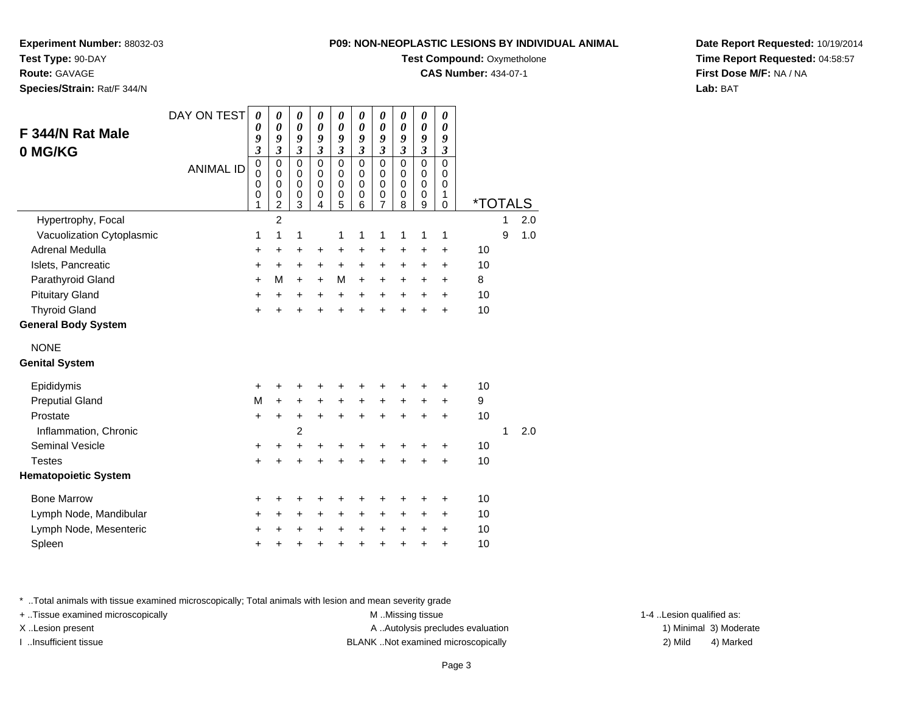**Experiment Number:** 88032-03

**Test Type:** 90-DAY

**Route:** GAVAGE

**Species/Strain:** Rat/F 344/N

## **P09: NON-NEOPLASTIC LESIONS BY INDIVIDUAL ANIMAL**

**Test Compound:** Oxymetholone

**CAS Number:** 434-07-1

**Date Report Requested:** 10/19/2014**Time Report Requested:** 04:58:57**First Dose M/F:** NA / NA**Lab:** BAT

| F 344/N Rat Male<br>0 MG/KG          | DAY ON TEST<br><b>ANIMAL ID</b> | $\boldsymbol{\theta}$<br>0<br>9<br>$\mathfrak{z}$<br>$\mathbf 0$<br>$\mathbf 0$<br>0<br>0<br>1 | 0<br>$\boldsymbol{\theta}$<br>9<br>$\mathfrak{z}$<br>$\mathbf 0$<br>$\mathbf 0$<br>$\mathbf 0$<br>0<br>$\overline{c}$ | 0<br>$\boldsymbol{\theta}$<br>9<br>$\boldsymbol{\mathfrak{z}}$<br>$\mathbf 0$<br>$\mathbf 0$<br>$\pmb{0}$<br>$\begin{matrix} 0 \\ 3 \end{matrix}$ | 0<br>$\boldsymbol{\theta}$<br>9<br>$\mathfrak{z}$<br>$\mathbf 0$<br>$\mathbf 0$<br>$\mathbf 0$<br>0<br>$\overline{4}$ | 0<br>$\boldsymbol{\theta}$<br>9<br>$\mathfrak{z}$<br>$\mathbf 0$<br>$\mathbf 0$<br>0<br>0<br>5 | 0<br>$\boldsymbol{\theta}$<br>9<br>$\mathfrak{z}$<br>$\mathbf 0$<br>$\mathbf 0$<br>0<br>0<br>6 | 0<br>$\boldsymbol{\theta}$<br>9<br>$\mathfrak{z}$<br>$\mathbf 0$<br>$\mathbf 0$<br>$\mathbf 0$<br>0<br>7 | 0<br>$\boldsymbol{\theta}$<br>9<br>$\mathfrak{z}$<br>$\overline{0}$<br>$\mathbf 0$<br>$\mathbf 0$<br>0<br>8 | 0<br>$\boldsymbol{\theta}$<br>9<br>$\overline{\mathbf{3}}$<br>$\overline{0}$<br>$\mathbf 0$<br>$\mathbf 0$<br>0<br>9 | 0<br>0<br>9<br>$\boldsymbol{\beta}$<br>$\mathbf 0$<br>$\mathbf 0$<br>0<br>1<br>$\Omega$ | <i><b>*TOTALS</b></i> |   |     |
|--------------------------------------|---------------------------------|------------------------------------------------------------------------------------------------|-----------------------------------------------------------------------------------------------------------------------|---------------------------------------------------------------------------------------------------------------------------------------------------|-----------------------------------------------------------------------------------------------------------------------|------------------------------------------------------------------------------------------------|------------------------------------------------------------------------------------------------|----------------------------------------------------------------------------------------------------------|-------------------------------------------------------------------------------------------------------------|----------------------------------------------------------------------------------------------------------------------|-----------------------------------------------------------------------------------------|-----------------------|---|-----|
| Hypertrophy, Focal                   |                                 |                                                                                                | $\overline{2}$                                                                                                        |                                                                                                                                                   |                                                                                                                       |                                                                                                |                                                                                                |                                                                                                          |                                                                                                             |                                                                                                                      |                                                                                         |                       | 1 | 2.0 |
| Vacuolization Cytoplasmic            |                                 | 1                                                                                              | 1                                                                                                                     | 1                                                                                                                                                 |                                                                                                                       | 1                                                                                              | 1                                                                                              | 1                                                                                                        | 1                                                                                                           | 1                                                                                                                    | 1                                                                                       |                       | 9 | 1.0 |
| Adrenal Medulla                      |                                 | +                                                                                              | +                                                                                                                     | +                                                                                                                                                 | +                                                                                                                     | +                                                                                              | +                                                                                              | +                                                                                                        | +                                                                                                           | +                                                                                                                    | +                                                                                       | 10                    |   |     |
| Islets, Pancreatic                   |                                 | +                                                                                              | +                                                                                                                     | +                                                                                                                                                 | +                                                                                                                     | +                                                                                              | $\ddot{}$                                                                                      | $\ddot{}$                                                                                                | $\ddot{}$                                                                                                   | +                                                                                                                    | +                                                                                       | 10                    |   |     |
| Parathyroid Gland                    |                                 | $\ddot{}$                                                                                      | M                                                                                                                     | $\ddot{}$                                                                                                                                         | $\ddot{}$                                                                                                             | M                                                                                              | $\ddot{}$                                                                                      | +                                                                                                        | +                                                                                                           | +                                                                                                                    | +                                                                                       | 8                     |   |     |
| <b>Pituitary Gland</b>               |                                 | $\ddot{}$                                                                                      | $\ddot{}$                                                                                                             | $\ddot{}$                                                                                                                                         | $\ddot{}$                                                                                                             | $\ddot{}$                                                                                      | $\ddot{}$                                                                                      | $\ddot{}$                                                                                                | $\ddot{}$                                                                                                   | $\ddot{}$                                                                                                            | $\ddot{}$                                                                               | 10                    |   |     |
| <b>Thyroid Gland</b>                 |                                 | $\ddot{}$                                                                                      | $\ddot{}$                                                                                                             | $\ddot{}$                                                                                                                                         | $\ddot{}$                                                                                                             | $\ddot{}$                                                                                      | $\ddot{}$                                                                                      | $\ddot{}$                                                                                                | $\ddot{}$                                                                                                   | $\ddot{}$                                                                                                            | $\ddot{}$                                                                               | 10                    |   |     |
| <b>General Body System</b>           |                                 |                                                                                                |                                                                                                                       |                                                                                                                                                   |                                                                                                                       |                                                                                                |                                                                                                |                                                                                                          |                                                                                                             |                                                                                                                      |                                                                                         |                       |   |     |
| <b>NONE</b><br><b>Genital System</b> |                                 |                                                                                                |                                                                                                                       |                                                                                                                                                   |                                                                                                                       |                                                                                                |                                                                                                |                                                                                                          |                                                                                                             |                                                                                                                      |                                                                                         |                       |   |     |
| Epididymis                           |                                 | +                                                                                              | +                                                                                                                     | +                                                                                                                                                 | +                                                                                                                     | +                                                                                              |                                                                                                |                                                                                                          |                                                                                                             | +                                                                                                                    | +                                                                                       | 10                    |   |     |
| <b>Preputial Gland</b>               |                                 | M                                                                                              | $\ddot{}$                                                                                                             | +                                                                                                                                                 | +                                                                                                                     | $\ddot{}$                                                                                      | $\ddot{}$                                                                                      | +                                                                                                        | $\ddot{}$                                                                                                   | +                                                                                                                    | +                                                                                       | 9                     |   |     |
| Prostate                             |                                 | $\ddot{}$                                                                                      | $\ddot{}$                                                                                                             | $\ddot{}$                                                                                                                                         | $\ddot{}$                                                                                                             | $\ddot{}$                                                                                      | $\ddot{}$                                                                                      | $\ddot{}$                                                                                                | $\ddot{}$                                                                                                   | $\ddot{}$                                                                                                            | $\ddot{}$                                                                               | 10                    |   |     |
| Inflammation, Chronic                |                                 |                                                                                                |                                                                                                                       | $\overline{c}$                                                                                                                                    |                                                                                                                       |                                                                                                |                                                                                                |                                                                                                          |                                                                                                             |                                                                                                                      |                                                                                         |                       | 1 | 2.0 |
| <b>Seminal Vesicle</b>               |                                 | +                                                                                              | +                                                                                                                     | +                                                                                                                                                 | +                                                                                                                     | +                                                                                              | +                                                                                              | +                                                                                                        |                                                                                                             | +                                                                                                                    | +                                                                                       | 10                    |   |     |
| <b>Testes</b>                        |                                 | $\ddot{}$                                                                                      | $\ddot{}$                                                                                                             | $\ddot{}$                                                                                                                                         | $\ddot{}$                                                                                                             | $\ddot{}$                                                                                      | $\ddot{}$                                                                                      | $\ddot{}$                                                                                                | $\ddot{}$                                                                                                   | +                                                                                                                    | $\ddot{}$                                                                               | 10                    |   |     |
| <b>Hematopoietic System</b>          |                                 |                                                                                                |                                                                                                                       |                                                                                                                                                   |                                                                                                                       |                                                                                                |                                                                                                |                                                                                                          |                                                                                                             |                                                                                                                      |                                                                                         |                       |   |     |
| <b>Bone Marrow</b>                   |                                 | +                                                                                              | +                                                                                                                     | +                                                                                                                                                 |                                                                                                                       |                                                                                                |                                                                                                |                                                                                                          |                                                                                                             |                                                                                                                      | +                                                                                       | 10                    |   |     |
| Lymph Node, Mandibular               |                                 | +                                                                                              | +                                                                                                                     | +                                                                                                                                                 | $\pm$                                                                                                                 | +                                                                                              | +                                                                                              | +                                                                                                        | +                                                                                                           | +                                                                                                                    | +                                                                                       | 10                    |   |     |
| Lymph Node, Mesenteric               |                                 | +                                                                                              | +                                                                                                                     | +                                                                                                                                                 |                                                                                                                       | +                                                                                              | +                                                                                              | +                                                                                                        | +                                                                                                           | ٠                                                                                                                    | +                                                                                       | 10                    |   |     |
| Spleen                               |                                 | +                                                                                              | +                                                                                                                     | +                                                                                                                                                 | +                                                                                                                     | +                                                                                              | +                                                                                              | +                                                                                                        | +                                                                                                           | +                                                                                                                    | +                                                                                       | 10                    |   |     |

\* ..Total animals with tissue examined microscopically; Total animals with lesion and mean severity grade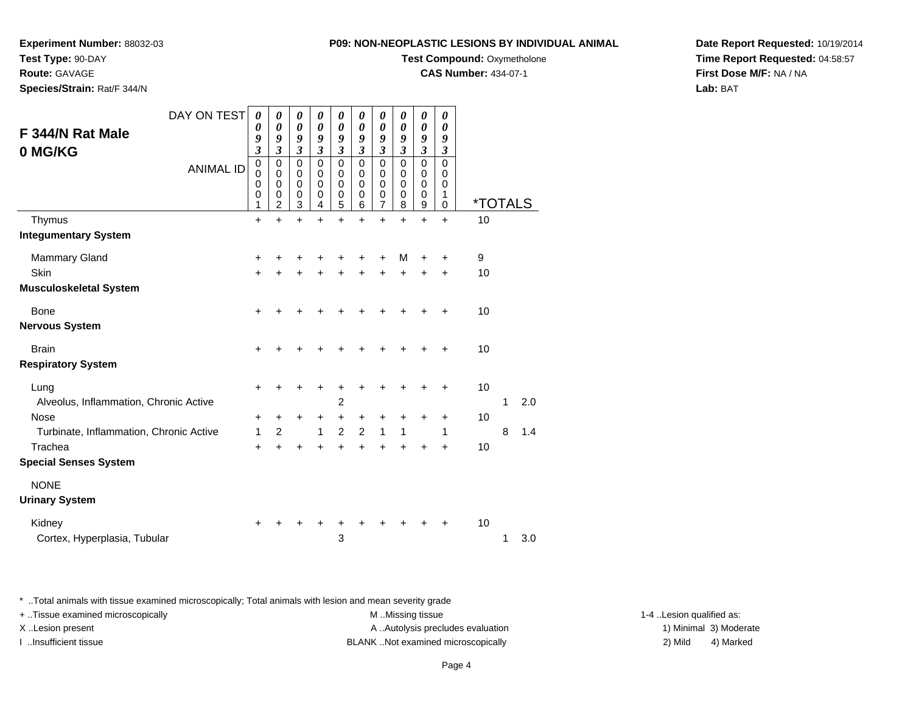**Experiment Number:** 88032-03

**Test Type:** 90-DAY

**Route:** GAVAGE

**Species/Strain:** Rat/F 344/N

**Test Compound:** Oxymetholone

**CAS Number:** 434-07-1

**Date Report Requested:** 10/19/2014**Time Report Requested:** 04:58:57**First Dose M/F:** NA / NA**Lab:** BAT

| DAY ON TEST<br>F 344/N Rat Male<br>0 MG/KG<br><b>ANIMAL ID</b><br>Thymus | 0<br>0<br>9<br>$\mathfrak{z}$<br>$\pmb{0}$<br>0<br>0<br>0<br>1<br>$\ddot{}$ | 0<br>0<br>9<br>3<br>$\mathbf 0$<br>0<br>0<br>0<br>$\overline{2}$<br>$\ddot{}$ | $\boldsymbol{\theta}$<br>$\boldsymbol{\theta}$<br>9<br>3<br>$\mathbf 0$<br>0<br>$\mathbf 0$<br>$\pmb{0}$<br>$\mathbf{3}$<br>$\ddot{}$ | 0<br>0<br>9<br>3<br>$\mathbf 0$<br>0<br>0<br>0<br>$\overline{4}$<br>$\ddot{}$ | 0<br>0<br>9<br>3<br>$\mathbf 0$<br>0<br>0<br>0<br>5<br>$\ddot{}$ | 0<br>0<br>9<br>3<br>$\Omega$<br>0<br>0<br>0<br>6<br>$\ddot{}$ | 0<br>0<br>9<br>$\boldsymbol{\beta}$<br>$\mathbf 0$<br>0<br>0<br>$\boldsymbol{0}$<br>$\overline{7}$<br>$\ddot{}$ | 0<br>0<br>9<br>3<br>0<br>0<br>0<br>0<br>8<br>$\ddot{}$ | 0<br>0<br>9<br>3<br>$\mathbf 0$<br>0<br>0<br>0<br>9<br>$\ddot{}$ | 0<br>0<br>9<br>3<br>$\mathbf 0$<br>0<br>0<br>1<br>$\mathbf 0$<br>$\ddot{}$ | <i><b>*TOTALS</b></i><br>10 |   |     |
|--------------------------------------------------------------------------|-----------------------------------------------------------------------------|-------------------------------------------------------------------------------|---------------------------------------------------------------------------------------------------------------------------------------|-------------------------------------------------------------------------------|------------------------------------------------------------------|---------------------------------------------------------------|-----------------------------------------------------------------------------------------------------------------|--------------------------------------------------------|------------------------------------------------------------------|----------------------------------------------------------------------------|-----------------------------|---|-----|
| <b>Integumentary System</b>                                              |                                                                             |                                                                               |                                                                                                                                       |                                                                               |                                                                  |                                                               |                                                                                                                 |                                                        |                                                                  |                                                                            |                             |   |     |
| Mammary Gland<br><b>Skin</b><br><b>Musculoskeletal System</b>            | $\pm$<br>$\ddot{}$                                                          | +<br>+                                                                        | +<br>+                                                                                                                                | +                                                                             | +<br>$\pm$                                                       | +<br>+                                                        | +<br>$\ddot{}$                                                                                                  | м<br>+                                                 | +<br>+                                                           | +<br>$\ddot{}$                                                             | 9<br>10                     |   |     |
| Bone<br><b>Nervous System</b>                                            | $\ddot{}$                                                                   | +                                                                             | +                                                                                                                                     |                                                                               |                                                                  |                                                               |                                                                                                                 |                                                        | +                                                                | +                                                                          | 10                          |   |     |
| <b>Brain</b><br><b>Respiratory System</b>                                | +                                                                           |                                                                               |                                                                                                                                       |                                                                               |                                                                  |                                                               |                                                                                                                 |                                                        |                                                                  | ٠                                                                          | 10                          |   |     |
| Lung<br>Alveolus, Inflammation, Chronic Active                           | $\ddot{}$                                                                   | +                                                                             | +                                                                                                                                     | ٠                                                                             | +<br>2                                                           | +                                                             | +                                                                                                               | +                                                      | +                                                                | ٠                                                                          | 10                          | 1 | 2.0 |
| Nose<br>Turbinate, Inflammation, Chronic Active<br>Trachea               | +<br>1<br>$\ddot{}$                                                         | +<br>2                                                                        | +<br>$\ddot{}$                                                                                                                        | +<br>1                                                                        | +<br>$\overline{2}$<br>$\ddot{}$                                 | +<br>2                                                        | +<br>1                                                                                                          | +<br>1                                                 | +                                                                | +<br>1<br>+                                                                | 10<br>10                    | 8 | 1.4 |
| <b>Special Senses System</b><br><b>NONE</b>                              |                                                                             |                                                                               |                                                                                                                                       |                                                                               |                                                                  |                                                               |                                                                                                                 |                                                        |                                                                  |                                                                            |                             |   |     |
| <b>Urinary System</b>                                                    |                                                                             |                                                                               |                                                                                                                                       |                                                                               |                                                                  |                                                               |                                                                                                                 |                                                        |                                                                  |                                                                            |                             |   |     |
| Kidney<br>Cortex, Hyperplasia, Tubular                                   | $\ddot{}$                                                                   |                                                                               |                                                                                                                                       |                                                                               | +<br>3                                                           |                                                               |                                                                                                                 |                                                        |                                                                  |                                                                            | 10                          | 1 | 3.0 |

\* ..Total animals with tissue examined microscopically; Total animals with lesion and mean severity grade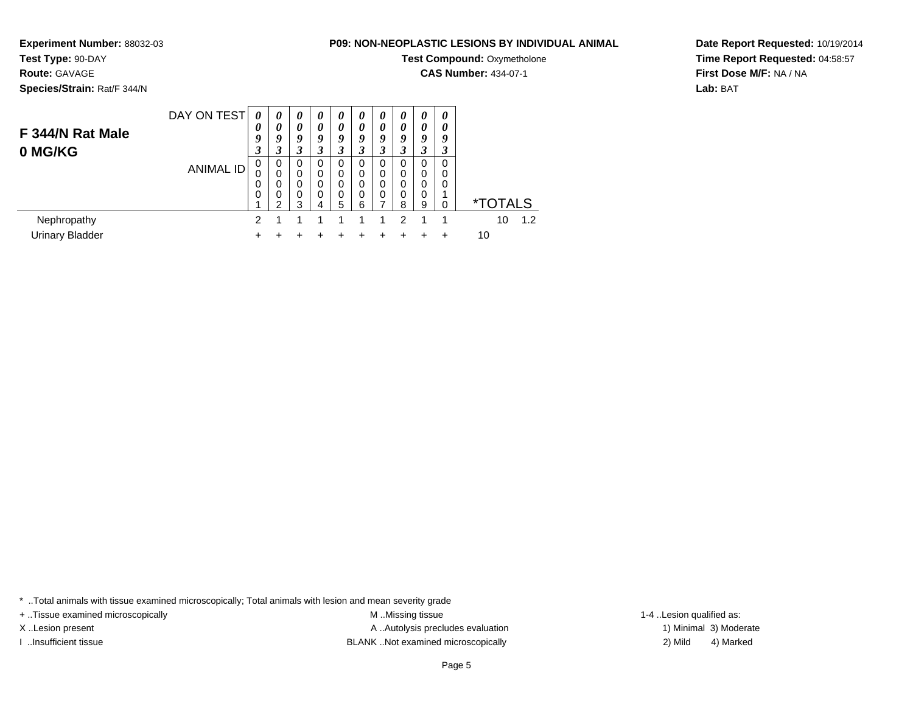**Experiment Number:** 88032-03

**Test Type:** 90-DAY

**Route:** GAVAGE

**Species/Strain:** Rat/F 344/N

## **P09: NON-NEOPLASTIC LESIONS BY INDIVIDUAL ANIMAL**

**Test Compound:** Oxymetholone

**CAS Number:** 434-07-1

**Date Report Requested:** 10/19/2014**Time Report Requested:** 04:58:57**First Dose M/F:** NA / NA**Lab:** BAT

| F 344/N Rat Male<br>0 MG/KG           | DAY ON TEST      | 0<br>0<br>9<br>3        | 0<br>0<br>9<br>3             | 0<br>0<br>9<br>3                                     | $\boldsymbol{\theta}$<br>0<br>9<br>3 | 0<br>$\theta$<br>9<br>3 | $\boldsymbol{\theta}$<br>0<br>9<br>3 | 0<br>0<br>9<br>3 | $\boldsymbol{\theta}$<br>0<br>Q | 0<br>0<br>9<br>3      | 0<br>0<br>9<br>3        |                       |
|---------------------------------------|------------------|-------------------------|------------------------------|------------------------------------------------------|--------------------------------------|-------------------------|--------------------------------------|------------------|---------------------------------|-----------------------|-------------------------|-----------------------|
|                                       | <b>ANIMAL ID</b> | 0<br>O<br>0<br>$\Omega$ | 0<br>0<br>0<br>$\Omega$<br>◠ | $\Omega$<br>$\mathbf 0$<br>$\Omega$<br>$\Omega$<br>3 | 0<br>0<br>$\Omega$<br>0<br>4         | 0<br>0<br>0<br>0<br>5   | 0<br>0<br>0<br>$\Omega$<br>6         | 0<br>0<br>0<br>0 | 0<br>0<br>0<br>$\Omega$<br>8    | 0<br>0<br>0<br>0<br>9 | 0<br>0<br>0<br>$\Omega$ | <i><b>*TOTALS</b></i> |
| Nephropathy<br><b>Urinary Bladder</b> |                  | າ<br>٠                  |                              |                                                      |                                      |                         | 1                                    | 1                | 2                               |                       | ٠                       | 1.2<br>10<br>10       |

\* ..Total animals with tissue examined microscopically; Total animals with lesion and mean severity grade

+ ..Tissue examined microscopically M ...Missing tissue 1-4 ... M ...Missing tissue

X..Lesion present **A ..Autolysis precludes evaluation** A ..Autolysis precludes evaluation 1) Minimal 3) Moderate I ..Insufficient tissue BLANK ..Not examined microscopically 2) Mild 4) Marked

1-4 ..Lesion qualified as: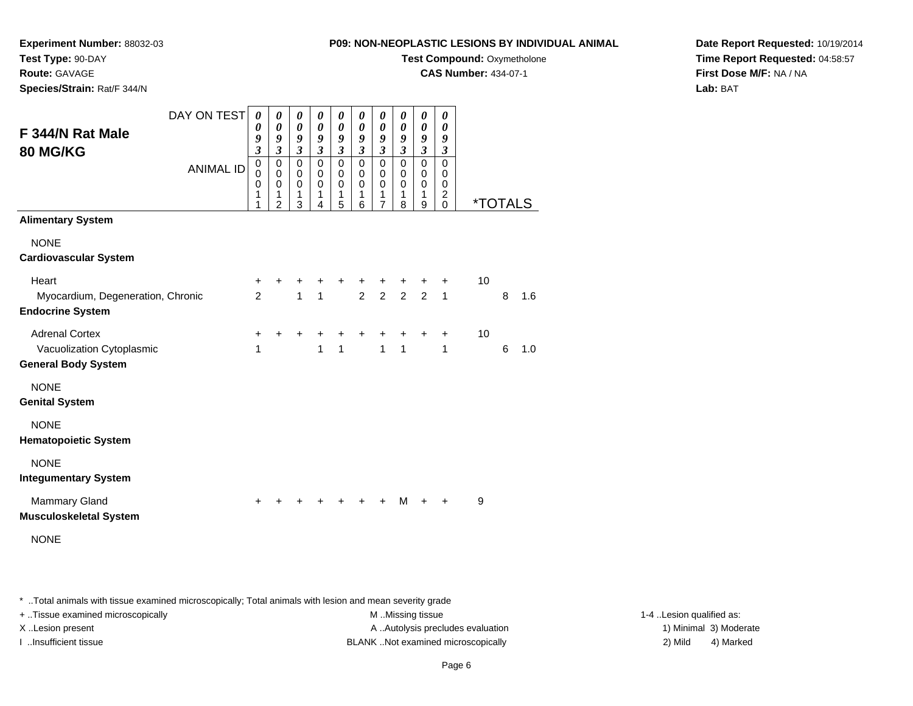**Experiment Number:** 88032-03**Test Type:** 90-DAY

**Route:** GAVAGE

**Species/Strain:** Rat/F 344/N

**Test Compound:** Oxymetholone

**CAS Number:** 434-07-1

**Date Report Requested:** 10/19/2014**Time Report Requested:** 04:58:57**First Dose M/F:** NA / NA**Lab:** BAT

| F 344/N Rat Male<br><b>80 MG/KG</b>                          | DAY ON TEST<br><b>ANIMAL ID</b> | $\boldsymbol{\theta}$<br>$\boldsymbol{\theta}$<br>9<br>$\overline{\mathbf{3}}$<br>$\mathbf 0$<br>$\Omega$<br>0<br>1<br>1 | $\boldsymbol{\theta}$<br>0<br>9<br>3<br>0<br>$\Omega$<br>$\mathbf 0$<br>1<br>$\overline{2}$ | $\boldsymbol{\theta}$<br>$\boldsymbol{\theta}$<br>9<br>$\mathfrak{z}$<br>$\mathbf 0$<br>$\Omega$<br>$\mathbf 0$<br>$\mathbf{1}$<br>3 | $\boldsymbol{\theta}$<br>0<br>9<br>$\boldsymbol{\beta}$<br>$\mathbf 0$<br>0<br>$\mathbf 0$<br>1<br>4 | $\boldsymbol{\theta}$<br>$\boldsymbol{\theta}$<br>$\boldsymbol{9}$<br>$\mathfrak{z}$<br>$\mathbf 0$<br>$\mathbf 0$<br>$\mathbf 0$<br>$\mathbf{1}$<br>5 | 0<br>$\boldsymbol{\theta}$<br>9<br>$\mathfrak{z}$<br>$\mathbf 0$<br>$\mathbf 0$<br>$\mathbf 0$<br>1<br>6 | 0<br>0<br>9<br>$\mathfrak{z}$<br>$\mathbf 0$<br>$\mathbf 0$<br>$\mathbf 0$<br>1<br>7 | $\boldsymbol{\theta}$<br>$\boldsymbol{\theta}$<br>9<br>$\mathfrak{z}$<br>$\mathbf 0$<br>0<br>$\mathbf 0$<br>1<br>8 | 0<br>$\boldsymbol{\theta}$<br>9<br>$\mathfrak{z}$<br>$\mathbf 0$<br>0<br>$\mathbf 0$<br>$\mathbf{1}$<br>9 | $\boldsymbol{\theta}$<br>$\boldsymbol{\theta}$<br>9<br>$\mathfrak{Z}$<br>$\Omega$<br>$\Omega$<br>$\mathbf 0$<br>$\overline{c}$<br>$\mathbf 0$ | <i><b>*TOTALS</b></i> |   |     |
|--------------------------------------------------------------|---------------------------------|--------------------------------------------------------------------------------------------------------------------------|---------------------------------------------------------------------------------------------|--------------------------------------------------------------------------------------------------------------------------------------|------------------------------------------------------------------------------------------------------|--------------------------------------------------------------------------------------------------------------------------------------------------------|----------------------------------------------------------------------------------------------------------|--------------------------------------------------------------------------------------|--------------------------------------------------------------------------------------------------------------------|-----------------------------------------------------------------------------------------------------------|-----------------------------------------------------------------------------------------------------------------------------------------------|-----------------------|---|-----|
| <b>Alimentary System</b><br><b>NONE</b>                      |                                 |                                                                                                                          |                                                                                             |                                                                                                                                      |                                                                                                      |                                                                                                                                                        |                                                                                                          |                                                                                      |                                                                                                                    |                                                                                                           |                                                                                                                                               |                       |   |     |
| <b>Cardiovascular System</b>                                 |                                 |                                                                                                                          |                                                                                             |                                                                                                                                      |                                                                                                      |                                                                                                                                                        |                                                                                                          |                                                                                      |                                                                                                                    |                                                                                                           |                                                                                                                                               |                       |   |     |
| Heart                                                        |                                 | +                                                                                                                        | +                                                                                           | +                                                                                                                                    | +                                                                                                    | +                                                                                                                                                      | +                                                                                                        | +                                                                                    | +                                                                                                                  | +                                                                                                         | +                                                                                                                                             | 10                    |   |     |
| Myocardium, Degeneration, Chronic<br><b>Endocrine System</b> |                                 | 2                                                                                                                        |                                                                                             | $\mathbf{1}$                                                                                                                         | 1                                                                                                    |                                                                                                                                                        | $\overline{2}$                                                                                           | $2^{\circ}$                                                                          | $\overline{2}$                                                                                                     | $\overline{2}$                                                                                            | $\mathbf{1}$                                                                                                                                  |                       | 8 | 1.6 |
| <b>Adrenal Cortex</b>                                        |                                 | +                                                                                                                        | +                                                                                           | $\ddot{}$                                                                                                                            | +                                                                                                    | $\ddot{}$                                                                                                                                              | $\ddot{}$                                                                                                | $\ddot{}$                                                                            | $\ddot{}$                                                                                                          | $\ddot{}$                                                                                                 | $\ddot{}$                                                                                                                                     | 10                    |   |     |
| Vacuolization Cytoplasmic<br><b>General Body System</b>      |                                 | 1                                                                                                                        |                                                                                             |                                                                                                                                      | 1                                                                                                    | 1                                                                                                                                                      |                                                                                                          | $\mathbf{1}$                                                                         | $\mathbf{1}$                                                                                                       |                                                                                                           | 1                                                                                                                                             |                       | 6 | 1.0 |
| <b>NONE</b><br><b>Genital System</b>                         |                                 |                                                                                                                          |                                                                                             |                                                                                                                                      |                                                                                                      |                                                                                                                                                        |                                                                                                          |                                                                                      |                                                                                                                    |                                                                                                           |                                                                                                                                               |                       |   |     |
| <b>NONE</b><br><b>Hematopoietic System</b>                   |                                 |                                                                                                                          |                                                                                             |                                                                                                                                      |                                                                                                      |                                                                                                                                                        |                                                                                                          |                                                                                      |                                                                                                                    |                                                                                                           |                                                                                                                                               |                       |   |     |
| <b>NONE</b><br><b>Integumentary System</b>                   |                                 |                                                                                                                          |                                                                                             |                                                                                                                                      |                                                                                                      |                                                                                                                                                        |                                                                                                          |                                                                                      |                                                                                                                    |                                                                                                           |                                                                                                                                               |                       |   |     |
| <b>Mammary Gland</b><br><b>Musculoskeletal System</b>        |                                 | $\ddot{}$                                                                                                                | +                                                                                           | $\ddot{}$                                                                                                                            | $\pm$                                                                                                | $\pm$                                                                                                                                                  | $+$                                                                                                      | $+$                                                                                  | М                                                                                                                  | $+$                                                                                                       | $\ddot{}$                                                                                                                                     | 9                     |   |     |
| <b>NONE</b>                                                  |                                 |                                                                                                                          |                                                                                             |                                                                                                                                      |                                                                                                      |                                                                                                                                                        |                                                                                                          |                                                                                      |                                                                                                                    |                                                                                                           |                                                                                                                                               |                       |   |     |

\* ..Total animals with tissue examined microscopically; Total animals with lesion and mean severity grade

+ ..Tissue examined microscopically M ...Missing tissue 1-4 ... M ...Missing tissue

X..Lesion present **A ..Autolysis precludes evaluation** A ..Autolysis precludes evaluation 1) Minimal 3) Moderate I ..Insufficient tissue BLANK ..Not examined microscopically 2) Mild 4) Marked

1-4 ..Lesion qualified as: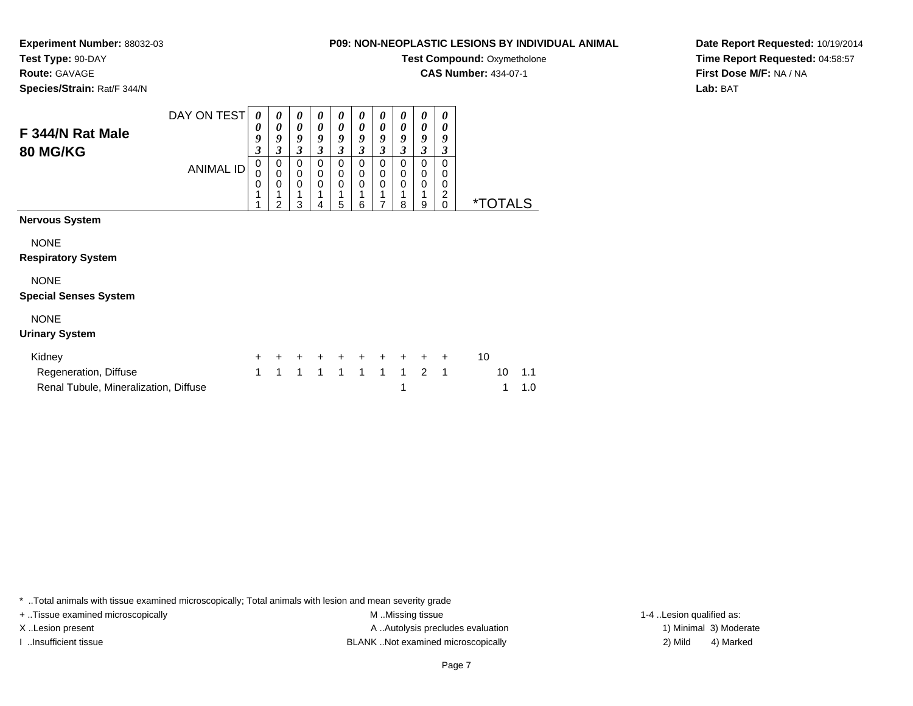**Test Compound: Oxymetholone** 

**CAS Number:** 434-07-1

**Date Report Requested:** 10/19/2014**Time Report Requested:** 04:58:57**First Dose M/F:** NA / NA**Lab:** BAT

| F 344/N Rat Male<br><b>80 MG/KG</b>                            | DAY ON TEST<br><b>ANIMAL ID</b> | 0<br>0<br>9<br>3<br>0<br>0<br>0 | 0<br>0<br>9<br>$\overline{\mathbf{3}}$<br>0<br>$\pmb{0}$<br>$\mathbf 0$<br>$\mathfrak{p}$ | 0<br>$\boldsymbol{\theta}$<br>9<br>3<br>0<br>$\mathbf 0$<br>$\mathbf 0$<br>3 | 0<br>$\boldsymbol{\theta}$<br>9<br>3<br>0<br>0<br>$\Omega$<br>4 | 0<br>0<br>9<br>3<br>0<br>$\mathbf 0$<br>$\mathbf 0$<br>5 | 0<br>0<br>9<br>3<br>0<br>0<br>$\Omega$<br>6 | 0<br>0<br>9<br>3<br>0<br>0<br>0<br>$\overline{7}$ | 0<br>0<br>9<br>$\mathfrak{z}$<br>0<br>0<br>$\mathbf 0$<br>1<br>8 | 0<br>0<br>9<br>3<br>0<br>$\mathbf 0$<br>0<br>1<br>9 | 0<br>0<br>9<br>3<br>0<br>0<br>$\mathbf 0$<br>$\frac{2}{0}$ |    | <i><b>*TOTALS</b></i> |            |
|----------------------------------------------------------------|---------------------------------|---------------------------------|-------------------------------------------------------------------------------------------|------------------------------------------------------------------------------|-----------------------------------------------------------------|----------------------------------------------------------|---------------------------------------------|---------------------------------------------------|------------------------------------------------------------------|-----------------------------------------------------|------------------------------------------------------------|----|-----------------------|------------|
| <b>Nervous System</b>                                          |                                 |                                 |                                                                                           |                                                                              |                                                                 |                                                          |                                             |                                                   |                                                                  |                                                     |                                                            |    |                       |            |
| <b>NONE</b><br><b>Respiratory System</b>                       |                                 |                                 |                                                                                           |                                                                              |                                                                 |                                                          |                                             |                                                   |                                                                  |                                                     |                                                            |    |                       |            |
| <b>NONE</b><br><b>Special Senses System</b>                    |                                 |                                 |                                                                                           |                                                                              |                                                                 |                                                          |                                             |                                                   |                                                                  |                                                     |                                                            |    |                       |            |
| <b>NONE</b><br><b>Urinary System</b>                           |                                 |                                 |                                                                                           |                                                                              |                                                                 |                                                          |                                             |                                                   |                                                                  |                                                     |                                                            |    |                       |            |
| Kidney                                                         |                                 | $\ddot{}$                       |                                                                                           |                                                                              |                                                                 |                                                          | $+$                                         | $+$                                               | $+$                                                              | $+$                                                 | $\ddot{}$                                                  | 10 |                       |            |
| Regeneration, Diffuse<br>Renal Tubule, Mineralization, Diffuse |                                 | 1                               | 1                                                                                         | 1                                                                            | $\mathbf{1}$                                                    | $\mathbf{1}$                                             | $\mathbf{1}$                                | $\mathbf{1}$                                      | $\mathbf{1}$<br>1                                                | 2                                                   | $\overline{1}$                                             |    | 10<br>1               | 1.1<br>1.0 |

\* ..Total animals with tissue examined microscopically; Total animals with lesion and mean severity grade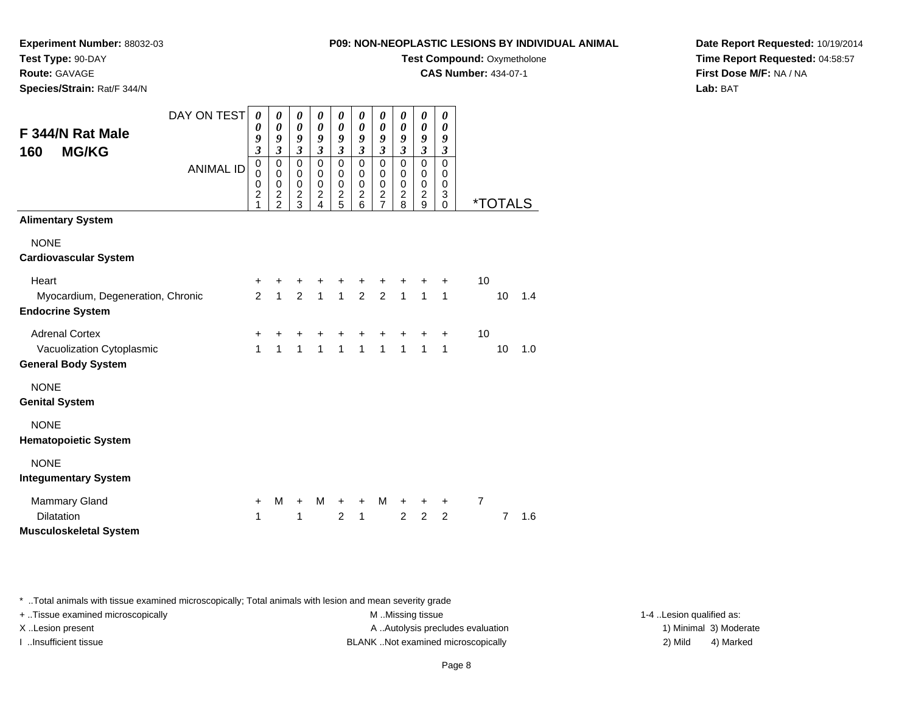**Experiment Number:** 88032-03**Test Type:** 90-DAY

**Route:** GAVAGE

**Species/Strain:** Rat/F 344/N

**Test Compound:** Oxymetholone

**CAS Number:** 434-07-1

**Date Report Requested:** 10/19/2014**Time Report Requested:** 04:58:57**First Dose M/F:** NA / NA**Lab:** BAT

| F 344/N Rat Male<br><b>MG/KG</b><br>160                      | DAY ON TEST      | 0<br>0<br>9<br>$\mathfrak{z}$                        | 0<br>$\boldsymbol{\theta}$<br>9<br>$\mathfrak{z}$                   | 0<br>$\pmb{\theta}$<br>9<br>$\mathfrak{z}$                    | 0<br>$\pmb{\theta}$<br>9<br>$\mathfrak{z}$                       | 0<br>$\pmb{\theta}$<br>9<br>$\mathfrak{z}$                         | 0<br>$\boldsymbol{\theta}$<br>9<br>$\mathfrak{z}$                | 0<br>$\boldsymbol{\theta}$<br>9<br>$\mathfrak{z}$                                  | 0<br>$\boldsymbol{\theta}$<br>9<br>$\mathfrak{z}$                | 0<br>$\boldsymbol{\theta}$<br>9<br>$\mathfrak{z}$              | 0<br>$\boldsymbol{\theta}$<br>9<br>$\boldsymbol{\beta}$     |                |                       |     |
|--------------------------------------------------------------|------------------|------------------------------------------------------|---------------------------------------------------------------------|---------------------------------------------------------------|------------------------------------------------------------------|--------------------------------------------------------------------|------------------------------------------------------------------|------------------------------------------------------------------------------------|------------------------------------------------------------------|----------------------------------------------------------------|-------------------------------------------------------------|----------------|-----------------------|-----|
|                                                              | <b>ANIMAL ID</b> | $\pmb{0}$<br>$\mathbf 0$<br>0<br>$\overline{c}$<br>1 | $\pmb{0}$<br>0<br>$\mathbf 0$<br>$\boldsymbol{2}$<br>$\overline{2}$ | $\mathbf 0$<br>$\mathbf 0$<br>$\mathbf 0$<br>$\mathbf 2$<br>3 | 0<br>0<br>$\pmb{0}$<br>$\overline{\mathbf{c}}$<br>$\overline{4}$ | $\mathbf 0$<br>$\mathbf 0$<br>$\mathbf 0$<br>$\boldsymbol{2}$<br>5 | $\mathbf 0$<br>$\mathbf 0$<br>$\pmb{0}$<br>$\boldsymbol{2}$<br>6 | $\overline{0}$<br>$\mathbf 0$<br>$\mathbf 0$<br>$\boldsymbol{2}$<br>$\overline{7}$ | $\mathbf 0$<br>$\mathbf 0$<br>$\mathbf 0$<br>$\overline{2}$<br>8 | $\mathbf 0$<br>$\mathbf 0$<br>$\pmb{0}$<br>$\overline{c}$<br>9 | $\overline{0}$<br>$\mathbf 0$<br>$\pmb{0}$<br>3<br>$\Omega$ |                | <i><b>*TOTALS</b></i> |     |
| <b>Alimentary System</b>                                     |                  |                                                      |                                                                     |                                                               |                                                                  |                                                                    |                                                                  |                                                                                    |                                                                  |                                                                |                                                             |                |                       |     |
| <b>NONE</b><br><b>Cardiovascular System</b>                  |                  |                                                      |                                                                     |                                                               |                                                                  |                                                                    |                                                                  |                                                                                    |                                                                  |                                                                |                                                             |                |                       |     |
| Heart                                                        |                  | +                                                    | +                                                                   |                                                               |                                                                  |                                                                    |                                                                  |                                                                                    |                                                                  |                                                                | +                                                           | 10             |                       |     |
| Myocardium, Degeneration, Chronic<br><b>Endocrine System</b> |                  | $\overline{2}$                                       | $\mathbf{1}$                                                        | $\overline{2}$                                                | $\overline{1}$                                                   |                                                                    | $1 \quad 2$                                                      | $\overline{2}$                                                                     | 1 <sup>1</sup>                                                   | 1 <sup>1</sup>                                                 | $\mathbf{1}$                                                |                | 10                    | 1.4 |
| <b>Adrenal Cortex</b>                                        |                  | +                                                    | +                                                                   | ٠                                                             |                                                                  |                                                                    |                                                                  |                                                                                    | +                                                                | +                                                              | $\ddot{}$                                                   | 10             |                       |     |
| Vacuolization Cytoplasmic<br><b>General Body System</b>      |                  | $\mathbf{1}$                                         | $\mathbf{1}$                                                        | $\mathbf{1}$                                                  | $\mathbf{1}$                                                     | $\mathbf{1}$                                                       | $\mathbf{1}$                                                     | $\mathbf{1}$                                                                       | $\mathbf{1}$                                                     | $\mathbf{1}$                                                   | 1                                                           |                | 10                    | 1.0 |
| <b>NONE</b><br><b>Genital System</b>                         |                  |                                                      |                                                                     |                                                               |                                                                  |                                                                    |                                                                  |                                                                                    |                                                                  |                                                                |                                                             |                |                       |     |
| <b>NONE</b><br><b>Hematopoietic System</b>                   |                  |                                                      |                                                                     |                                                               |                                                                  |                                                                    |                                                                  |                                                                                    |                                                                  |                                                                |                                                             |                |                       |     |
| <b>NONE</b>                                                  |                  |                                                      |                                                                     |                                                               |                                                                  |                                                                    |                                                                  |                                                                                    |                                                                  |                                                                |                                                             |                |                       |     |
| <b>Integumentary System</b>                                  |                  |                                                      |                                                                     |                                                               |                                                                  |                                                                    |                                                                  |                                                                                    |                                                                  |                                                                |                                                             |                |                       |     |
| <b>Mammary Gland</b>                                         |                  | $\ddot{}$                                            | М                                                                   | +                                                             | м                                                                | +                                                                  | $\ddot{}$                                                        | M                                                                                  | $\ddot{}$                                                        | +                                                              | $\ddot{}$                                                   | $\overline{7}$ |                       |     |
| <b>Dilatation</b><br><b>Musculoskeletal System</b>           |                  | 1                                                    |                                                                     | 1                                                             |                                                                  | $\overline{2}$                                                     | $\mathbf{1}$                                                     |                                                                                    | 2                                                                | $\overline{2}$                                                 | $\overline{2}$                                              |                | $\overline{7}$        | 1.6 |

\* ..Total animals with tissue examined microscopically; Total animals with lesion and mean severity grade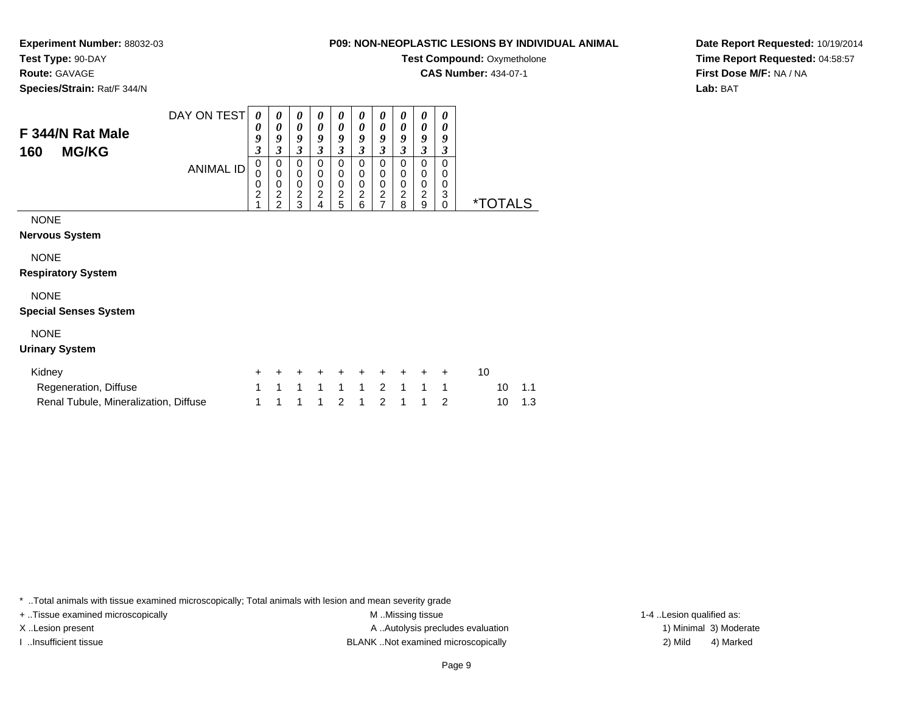**Test Compound: Oxymetholone** 

**CAS Number:** 434-07-1

**Species/Strain:** Rat/F 344/N

**F 344/N Rat Male160 MG/KG**

**Test Type:** 90-DAY**Route:** GAVAGE

**Experiment Number:** 88032-03

| 'N |                  |   |   |                       |   |        |                       |                       |   |                       |   |      |
|----|------------------|---|---|-----------------------|---|--------|-----------------------|-----------------------|---|-----------------------|---|------|
|    | DAY ON TEST      | 0 | 0 | $\boldsymbol{\theta}$ | 0 | 0      | $\boldsymbol{\theta}$ | $\boldsymbol{\theta}$ | 0 | $\boldsymbol{\theta}$ | 0 |      |
|    |                  | 0 | 0 | 0                     | 0 | 0      | 0                     | $\theta$              | 0 | 0                     | 0 |      |
|    |                  | g | 9 | y                     | 9 | 9      | 9                     | 9                     | 9 | 9                     | 9 |      |
|    |                  | 3 | 3 | 3                     |   | 3      | 3                     | 3                     | 3 | 3                     | 3 |      |
|    | <b>ANIMAL ID</b> | 0 | 0 | 0                     | 0 | 0      | 0                     | 0                     | 0 | 0                     | 0 |      |
|    |                  | 0 | 0 | 0                     | 0 | 0      | 0                     | 0                     | 0 | 0                     | 0 |      |
|    |                  | 0 | O | 0                     | 0 | O      | 0                     | 0                     | 0 | 0                     | 0 |      |
|    |                  | ◠ | 2 | 2                     | ົ | ົ<br>ے | ົ<br>∠                | 2                     | 2 | 2                     | 3 | *-   |
|    |                  |   | ◠ | 3                     |   | 5      | 6                     |                       | 8 | 9                     | 0 | AL S |

**Date Report Requested:** 10/19/2014**Time Report Requested:** 04:58:57**First Dose M/F:** NA / NA**Lab:** BAT

### NONE

**Nervous System**

NONE

**Respiratory System**

## NONE

### **Special Senses System**

## NONE

### **Urinary System**

| Kidney                                |  |  | + + + + + + + + + + |  |  |  |        |
|---------------------------------------|--|--|---------------------|--|--|--|--------|
| Regeneration, Diffuse                 |  |  | 1 1 1 1 1 1 2 1 1 1 |  |  |  | 10 1.1 |
| Renal Tubule, Mineralization, Diffuse |  |  | 1 1 1 1 2 1 2 1 1 2 |  |  |  | 10 1.3 |

\* ..Total animals with tissue examined microscopically; Total animals with lesion and mean severity grade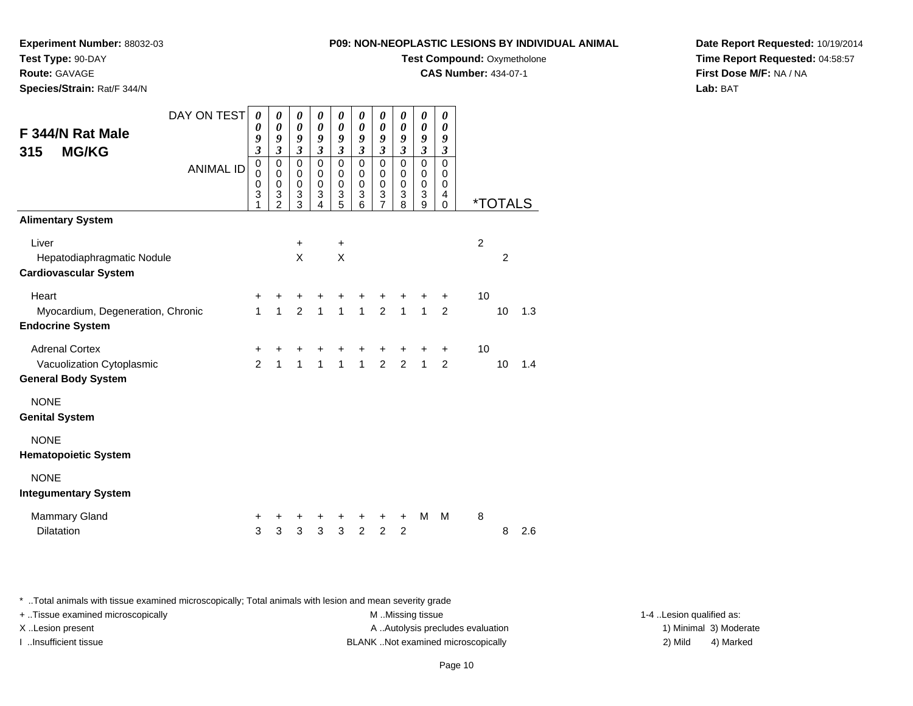**Experiment Number:** 88032-03

**Test Type:** 90-DAY**Route:** GAVAGE

**Species/Strain:** Rat/F 344/N

**Test Compound:** Oxymetholone

**CAS Number:** 434-07-1

**Date Report Requested:** 10/19/2014**Time Report Requested:** 04:58:57**First Dose M/F:** NA / NA**Lab:** BAT

| DAY ON TEST                       | $\boldsymbol{\theta}$ | 0                          | 0                          | 0                          | 0                          | 0                          | 0                           | 0                          | 0                           | 0                          |                |                       |     |
|-----------------------------------|-----------------------|----------------------------|----------------------------|----------------------------|----------------------------|----------------------------|-----------------------------|----------------------------|-----------------------------|----------------------------|----------------|-----------------------|-----|
| F 344/N Rat Male                  | 0<br>9                | $\boldsymbol{\theta}$<br>9 | $\boldsymbol{\theta}$<br>9 | $\boldsymbol{\theta}$<br>9 | $\boldsymbol{\theta}$<br>9 | $\boldsymbol{\theta}$<br>9 | $\boldsymbol{\theta}$<br>9  | $\boldsymbol{\theta}$<br>9 | 0<br>9                      | $\boldsymbol{\theta}$<br>9 |                |                       |     |
| <b>MG/KG</b><br>315               | $\mathfrak{z}$        | 3                          | $\mathfrak{z}$             | 3                          | $\overline{\mathbf{3}}$    | 3                          | $\boldsymbol{\mathfrak{z}}$ | $\mathfrak{z}$             | $\boldsymbol{\beta}$        | $\mathfrak{z}$             |                |                       |     |
| <b>ANIMAL ID</b>                  | $\pmb{0}$<br>0        | $\mathbf 0$<br>$\mathbf 0$ | $\mathbf 0$<br>0           | $\mathbf 0$<br>$\mathbf 0$ | $\mathbf 0$<br>0           | $\mathbf 0$<br>0           | $\mathbf 0$<br>0            | $\mathbf 0$<br>$\mathbf 0$ | $\mathbf 0$<br>0            | $\mathbf 0$<br>0           |                |                       |     |
|                                   | 0<br>3                | $\pmb{0}$<br>3             | $\mathbf 0$<br>3           | $\mathbf 0$<br>3           | 0<br>3                     | $\mathbf 0$<br>3           | $\mathbf 0$<br>3            | $\mathbf 0$<br>3           | $\mathbf 0$<br>$\mathbf{3}$ | 0<br>$\overline{4}$        |                |                       |     |
|                                   | 1                     | $\overline{2}$             | 3                          | 4                          | 5                          | 6                          | 7                           | 8                          | 9                           | $\mathbf 0$                |                | <i><b>*TOTALS</b></i> |     |
| <b>Alimentary System</b>          |                       |                            |                            |                            |                            |                            |                             |                            |                             |                            |                |                       |     |
| Liver                             |                       |                            | +                          |                            | $\ddot{}$                  |                            |                             |                            |                             |                            | $\overline{2}$ |                       |     |
| Hepatodiaphragmatic Nodule        |                       |                            | X                          |                            | X                          |                            |                             |                            |                             |                            |                | $\overline{2}$        |     |
| <b>Cardiovascular System</b>      |                       |                            |                            |                            |                            |                            |                             |                            |                             |                            |                |                       |     |
| Heart                             | $\ddot{}$             | +                          | +                          |                            | +                          |                            |                             |                            |                             | +                          | 10             |                       |     |
| Myocardium, Degeneration, Chronic | $\mathbf{1}$          | $\mathbf{1}$               | $\overline{2}$             | $\overline{1}$             | $\overline{1}$             | $\mathbf{1}$               | $\overline{2}$              | $\overline{1}$             | $\mathbf{1}$                | 2                          |                | 10                    | 1.3 |
| <b>Endocrine System</b>           |                       |                            |                            |                            |                            |                            |                             |                            |                             |                            |                |                       |     |
| <b>Adrenal Cortex</b>             | +                     | +                          | +                          | +                          | +                          | +                          |                             |                            | +                           | +                          | 10             |                       |     |
| Vacuolization Cytoplasmic         | $\mathfrak{p}$        | $\mathbf{1}$               | $\mathbf{1}$               | $\mathbf{1}$               | $\mathbf{1}$               | $\mathbf{1}$               | $\overline{2}$              | $\overline{2}$             | $\mathbf{1}$                | $\overline{2}$             |                | 10                    | 1.4 |
| <b>General Body System</b>        |                       |                            |                            |                            |                            |                            |                             |                            |                             |                            |                |                       |     |
| <b>NONE</b>                       |                       |                            |                            |                            |                            |                            |                             |                            |                             |                            |                |                       |     |
| <b>Genital System</b>             |                       |                            |                            |                            |                            |                            |                             |                            |                             |                            |                |                       |     |
| <b>NONE</b>                       |                       |                            |                            |                            |                            |                            |                             |                            |                             |                            |                |                       |     |
| <b>Hematopoietic System</b>       |                       |                            |                            |                            |                            |                            |                             |                            |                             |                            |                |                       |     |
| <b>NONE</b>                       |                       |                            |                            |                            |                            |                            |                             |                            |                             |                            |                |                       |     |
| <b>Integumentary System</b>       |                       |                            |                            |                            |                            |                            |                             |                            |                             |                            |                |                       |     |
| <b>Mammary Gland</b>              | +                     | +                          | +                          | +                          | +                          | +                          | +                           | $\ddot{}$                  | M                           | M                          | 8              |                       |     |
| <b>Dilatation</b>                 | 3                     | 3                          | 3                          | 3                          | 3                          | $\overline{2}$             | $\overline{c}$              | $\overline{2}$             |                             |                            |                | 8                     | 2.6 |

\* ..Total animals with tissue examined microscopically; Total animals with lesion and mean severity grade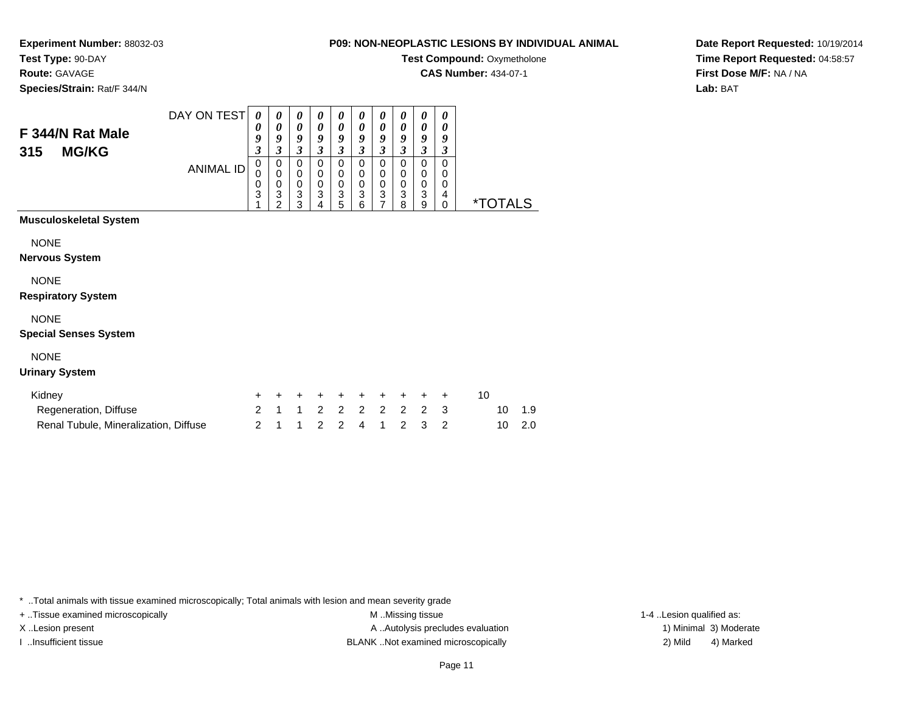**Experiment Number:** 88032-03**Test Type:** 90-DAY

**Route:** GAVAGE

**Species/Strain:** Rat/F 344/N

## **Test Compound: Oxymetholone CAS Number:** 434-07-1

**Date Report Requested:** 10/19/2014**Time Report Requested:** 04:58:57**First Dose M/F:** NA / NA**Lab:** BAT

|     |                  | DAY ON TEST | 0                | $\boldsymbol{\theta}$ | $\boldsymbol{\theta}$ | $\boldsymbol{\theta}$ | $\boldsymbol{\theta}$ | $\boldsymbol{\theta}$ | $\boldsymbol{\theta}$ | $\boldsymbol{\theta}$ | $\boldsymbol{\theta}$ | $\boldsymbol{\theta}$ |  |
|-----|------------------|-------------|------------------|-----------------------|-----------------------|-----------------------|-----------------------|-----------------------|-----------------------|-----------------------|-----------------------|-----------------------|--|
|     | F 344/N Rat Male |             | 0                | $\boldsymbol{\theta}$ | 0                     | 0                     | 0                     | 0                     | 0                     | 0                     | 0                     | 0                     |  |
|     |                  |             | $\boldsymbol{0}$ | o                     | 9                     | 9                     | Q                     | q                     | 9                     | 0                     | 9                     | 9                     |  |
| 315 | <b>MG/KG</b>     |             | J                |                       | 3                     |                       | 3                     |                       | 2<br>J                | J                     | J                     |                       |  |
|     |                  | ANIMAL ID   | U                | 0                     | 0                     | 0                     | 0                     |                       | 0                     |                       | 0                     | 0                     |  |
|     |                  |             | υ                |                       | 0                     | 0                     | 0                     | 0                     | 0                     | 0                     | 0                     | O                     |  |
|     |                  |             | 0                |                       | 0                     | 0                     | 0                     | 0                     | 0                     | 0                     | 0                     | 0                     |  |
|     |                  |             | 3                | ົ<br>۰J               | 3                     | 3                     | 3                     | 3                     | 3                     | 3                     | 3                     | 4                     |  |
|     |                  |             |                  |                       | ົ                     |                       | 5                     | ี                     |                       | 8                     | 9                     |                       |  |

## **Musculoskeletal System**

NONE

**Nervous System**

NONE

## **Respiratory System**

## NONE

## **Special Senses System**

## NONE

## **Urinary System**

| Kidney                                |  | + + + + + + + + + + |  |  |  |        |
|---------------------------------------|--|---------------------|--|--|--|--------|
| Regeneration, Diffuse                 |  | 2 1 1 2 2 2 2 2 2 3 |  |  |  | 10 1.9 |
| Renal Tubule, Mineralization, Diffuse |  | 2 1 1 2 2 4 1 2 3 2 |  |  |  | 10 2.0 |

\* ..Total animals with tissue examined microscopically; Total animals with lesion and mean severity grade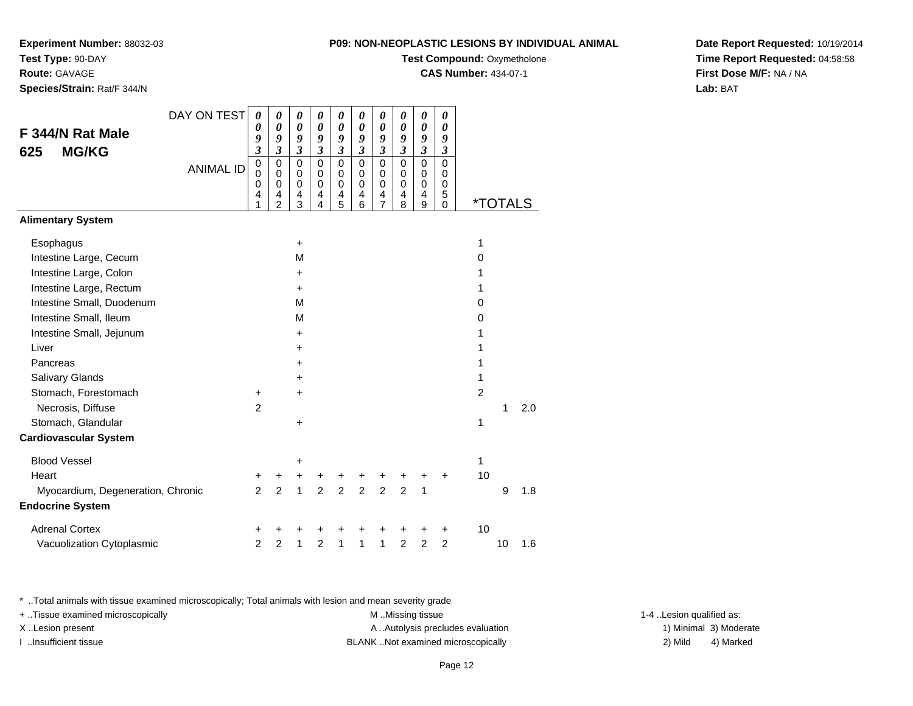**Experiment Number:** 88032-03**Test Type:** 90-DAY

**Route:** GAVAGE

**Species/Strain:** Rat/F 344/N

| UPLASTIC LESIONS BY INDIVIDUAL ANIMAL |  |
|---------------------------------------|--|
| <b>Test Compound: Oxymetholone</b>    |  |

**CAS Number:** 434-07-1

**Date Report Requested:** 10/19/2014**Time Report Requested:** 04:58:58**First Dose M/F:** NA / NA**Lab:** BAT

|                                   | DAY ON TEST      | 0                               | 0                                                                | 0                                                 | 0                               | 0                                                 | 0                               | $\boldsymbol{\theta}$                        | 0                                     | 0                                                 | 0                                         |                |                       |     |
|-----------------------------------|------------------|---------------------------------|------------------------------------------------------------------|---------------------------------------------------|---------------------------------|---------------------------------------------------|---------------------------------|----------------------------------------------|---------------------------------------|---------------------------------------------------|-------------------------------------------|----------------|-----------------------|-----|
| F 344/N Rat Male                  |                  | 0<br>9                          | $\boldsymbol{\theta}$<br>9                                       | $\boldsymbol{\theta}$<br>9                        | $\boldsymbol{\theta}$<br>9      | 0<br>9                                            | $\boldsymbol{\theta}$<br>9      | $\boldsymbol{\theta}$<br>9                   | $\boldsymbol{\theta}$<br>9            | 0<br>9                                            | $\boldsymbol{\theta}$<br>9                |                |                       |     |
| <b>MG/KG</b><br>625               |                  | $\overline{\mathbf{3}}$         | $\boldsymbol{\mathfrak{z}}$                                      | $\mathfrak{z}$                                    | $\mathfrak{z}$                  | $\boldsymbol{\beta}$                              | $\boldsymbol{\mathfrak{z}}$     | $\mathfrak{z}$                               | $\boldsymbol{\beta}$                  | $\mathfrak{z}$                                    | $\boldsymbol{\mathfrak{z}}$               |                |                       |     |
|                                   | <b>ANIMAL ID</b> | 0<br>$\mathbf 0$<br>0<br>4<br>1 | $\mathbf 0$<br>$\mathbf 0$<br>$\mathbf 0$<br>4<br>$\overline{2}$ | $\mathbf 0$<br>$\pmb{0}$<br>$\mathbf 0$<br>4<br>3 | $\mathbf 0$<br>0<br>0<br>4<br>4 | $\mathbf 0$<br>$\pmb{0}$<br>$\mathbf 0$<br>4<br>5 | $\mathbf 0$<br>0<br>0<br>4<br>6 | $\mathbf 0$<br>0<br>0<br>4<br>$\overline{7}$ | $\pmb{0}$<br>0<br>$\pmb{0}$<br>4<br>8 | $\pmb{0}$<br>$\mathbf 0$<br>$\mathbf 0$<br>4<br>9 | $\mathbf 0$<br>0<br>$\mathbf 0$<br>5<br>0 |                | <i><b>*TOTALS</b></i> |     |
| <b>Alimentary System</b>          |                  |                                 |                                                                  |                                                   |                                 |                                                   |                                 |                                              |                                       |                                                   |                                           |                |                       |     |
| Esophagus                         |                  |                                 |                                                                  | $\ddot{}$                                         |                                 |                                                   |                                 |                                              |                                       |                                                   |                                           | 1              |                       |     |
| Intestine Large, Cecum            |                  |                                 |                                                                  | M                                                 |                                 |                                                   |                                 |                                              |                                       |                                                   |                                           | 0              |                       |     |
| Intestine Large, Colon            |                  |                                 |                                                                  | $\pm$                                             |                                 |                                                   |                                 |                                              |                                       |                                                   |                                           | 1              |                       |     |
| Intestine Large, Rectum           |                  |                                 |                                                                  | $\ddot{}$                                         |                                 |                                                   |                                 |                                              |                                       |                                                   |                                           | 1              |                       |     |
| Intestine Small, Duodenum         |                  |                                 |                                                                  | M                                                 |                                 |                                                   |                                 |                                              |                                       |                                                   |                                           | $\Omega$       |                       |     |
| Intestine Small, Ileum            |                  |                                 |                                                                  | M                                                 |                                 |                                                   |                                 |                                              |                                       |                                                   |                                           | 0              |                       |     |
| Intestine Small, Jejunum          |                  |                                 |                                                                  | $\ddot{}$                                         |                                 |                                                   |                                 |                                              |                                       |                                                   |                                           | 1              |                       |     |
| Liver                             |                  |                                 |                                                                  | $\ddot{}$                                         |                                 |                                                   |                                 |                                              |                                       |                                                   |                                           | 1              |                       |     |
| Pancreas                          |                  |                                 |                                                                  | $\pm$                                             |                                 |                                                   |                                 |                                              |                                       |                                                   |                                           | 1              |                       |     |
| Salivary Glands                   |                  |                                 |                                                                  | ٠                                                 |                                 |                                                   |                                 |                                              |                                       |                                                   |                                           | 1              |                       |     |
| Stomach, Forestomach              |                  | +                               |                                                                  | +                                                 |                                 |                                                   |                                 |                                              |                                       |                                                   |                                           | $\overline{2}$ |                       |     |
| Necrosis, Diffuse                 |                  | $\overline{2}$                  |                                                                  |                                                   |                                 |                                                   |                                 |                                              |                                       |                                                   |                                           |                | 1                     | 2.0 |
| Stomach, Glandular                |                  |                                 |                                                                  | $\ddot{}$                                         |                                 |                                                   |                                 |                                              |                                       |                                                   |                                           | 1              |                       |     |
| <b>Cardiovascular System</b>      |                  |                                 |                                                                  |                                                   |                                 |                                                   |                                 |                                              |                                       |                                                   |                                           |                |                       |     |
| <b>Blood Vessel</b>               |                  |                                 |                                                                  | +                                                 |                                 |                                                   |                                 |                                              |                                       |                                                   |                                           | 1              |                       |     |
| Heart                             |                  | +                               | +                                                                | $\ddot{}$                                         | +                               |                                                   | +                               |                                              |                                       |                                                   | +                                         | 10             |                       |     |
| Myocardium, Degeneration, Chronic |                  | $\overline{2}$                  | $\overline{2}$                                                   | $\mathbf{1}$                                      | $\overline{2}$                  | $\overline{2}$                                    | $\overline{2}$                  | $\overline{2}$                               | $\overline{2}$                        | 1                                                 |                                           |                | 9                     | 1.8 |
| <b>Endocrine System</b>           |                  |                                 |                                                                  |                                                   |                                 |                                                   |                                 |                                              |                                       |                                                   |                                           |                |                       |     |
| <b>Adrenal Cortex</b>             |                  | +                               |                                                                  |                                                   | ٠                               |                                                   |                                 |                                              |                                       | +                                                 | +                                         | 10             |                       |     |
| Vacuolization Cytoplasmic         |                  | 2                               | 2                                                                | 1                                                 | $\overline{2}$                  | 1                                                 | 1                               | 1                                            | $\overline{2}$                        | $\overline{2}$                                    | $\overline{2}$                            |                | 10                    | 1.6 |

\* ..Total animals with tissue examined microscopically; Total animals with lesion and mean severity grade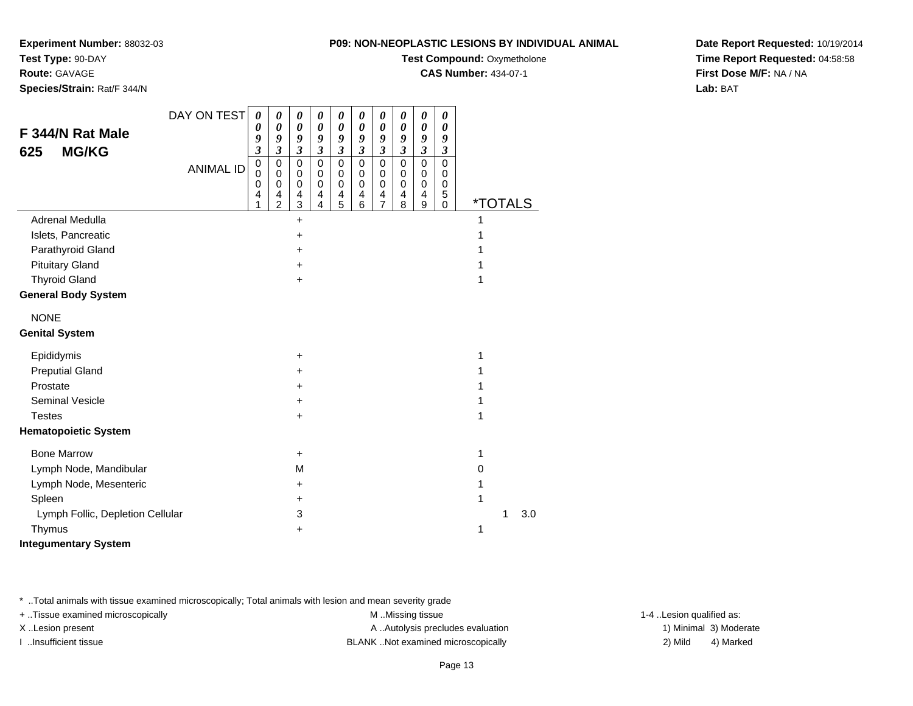**Experiment Number:** 88032-03

**Test Type:** 90-DAY**Route:** GAVAGE

**Species/Strain:** Rat/F 344/N

**Test Compound:** Oxymetholone

**CAS Number:** 434-07-1

**Date Report Requested:** 10/19/2014**Time Report Requested:** 04:58:58**First Dose M/F:** NA / NA**Lab:** BAT

| F 344/N Rat Male<br><b>MG/KG</b><br>625 | DAY ON TEST<br><b>ANIMAL ID</b> | 0<br>0<br>9<br>$\boldsymbol{\mathfrak{z}}$<br>$\mathbf 0$<br>$\mathbf 0$<br>0<br>4 | 0<br>$\boldsymbol{\theta}$<br>9<br>$\overline{\mathbf{3}}$<br>$\mathbf 0$<br>0<br>$\mathbf 0$<br>4<br>$\overline{2}$ | 0<br>0<br>9<br>$\mathfrak{z}$<br>$\mathbf 0$<br>0<br>$\mathbf 0$<br>$\overline{4}$<br>3 | 0<br>$\boldsymbol{\theta}$<br>9<br>$\mathfrak{z}$<br>$\pmb{0}$<br>$\mathbf 0$<br>$\mathbf 0$<br>4<br>4 | $\boldsymbol{\theta}$<br>$\boldsymbol{\theta}$<br>9<br>$\mathfrak{z}$<br>$\pmb{0}$<br>0<br>$\mathbf 0$<br>$\overline{4}$<br>5 | 0<br>$\boldsymbol{\theta}$<br>9<br>$\boldsymbol{\beta}$<br>$\pmb{0}$<br>0<br>$\pmb{0}$<br>4<br>$\,6$ | 0<br>$\boldsymbol{\theta}$<br>9<br>$\mathfrak{z}$<br>$\mathbf 0$<br>0<br>$\mathbf 0$<br>4<br>$\overline{7}$ | 0<br>$\boldsymbol{\theta}$<br>9<br>$\mathfrak{z}$<br>$\mathbf 0$<br>0<br>$\pmb{0}$<br>4<br>8 | 0<br>$\boldsymbol{\theta}$<br>9<br>$\mathfrak{z}$<br>$\pmb{0}$<br>0<br>$\pmb{0}$<br>4<br>9 | 0<br>0<br>9<br>$\boldsymbol{\beta}$<br>$\mathbf 0$<br>0<br>$\pmb{0}$<br>5<br>0 | <i><b>*TOTALS</b></i> |   |     |
|-----------------------------------------|---------------------------------|------------------------------------------------------------------------------------|----------------------------------------------------------------------------------------------------------------------|-----------------------------------------------------------------------------------------|--------------------------------------------------------------------------------------------------------|-------------------------------------------------------------------------------------------------------------------------------|------------------------------------------------------------------------------------------------------|-------------------------------------------------------------------------------------------------------------|----------------------------------------------------------------------------------------------|--------------------------------------------------------------------------------------------|--------------------------------------------------------------------------------|-----------------------|---|-----|
| Adrenal Medulla                         |                                 |                                                                                    |                                                                                                                      | $+$                                                                                     |                                                                                                        |                                                                                                                               |                                                                                                      |                                                                                                             |                                                                                              |                                                                                            |                                                                                | 1                     |   |     |
| Islets, Pancreatic                      |                                 |                                                                                    |                                                                                                                      | +                                                                                       |                                                                                                        |                                                                                                                               |                                                                                                      |                                                                                                             |                                                                                              |                                                                                            |                                                                                |                       |   |     |
| Parathyroid Gland                       |                                 |                                                                                    |                                                                                                                      | +                                                                                       |                                                                                                        |                                                                                                                               |                                                                                                      |                                                                                                             |                                                                                              |                                                                                            |                                                                                |                       |   |     |
| <b>Pituitary Gland</b>                  |                                 |                                                                                    |                                                                                                                      | +                                                                                       |                                                                                                        |                                                                                                                               |                                                                                                      |                                                                                                             |                                                                                              |                                                                                            |                                                                                | 1                     |   |     |
| <b>Thyroid Gland</b>                    |                                 |                                                                                    |                                                                                                                      | $\pm$                                                                                   |                                                                                                        |                                                                                                                               |                                                                                                      |                                                                                                             |                                                                                              |                                                                                            |                                                                                | 1                     |   |     |
| <b>General Body System</b>              |                                 |                                                                                    |                                                                                                                      |                                                                                         |                                                                                                        |                                                                                                                               |                                                                                                      |                                                                                                             |                                                                                              |                                                                                            |                                                                                |                       |   |     |
| <b>NONE</b>                             |                                 |                                                                                    |                                                                                                                      |                                                                                         |                                                                                                        |                                                                                                                               |                                                                                                      |                                                                                                             |                                                                                              |                                                                                            |                                                                                |                       |   |     |
| <b>Genital System</b>                   |                                 |                                                                                    |                                                                                                                      |                                                                                         |                                                                                                        |                                                                                                                               |                                                                                                      |                                                                                                             |                                                                                              |                                                                                            |                                                                                |                       |   |     |
| Epididymis                              |                                 |                                                                                    |                                                                                                                      | +                                                                                       |                                                                                                        |                                                                                                                               |                                                                                                      |                                                                                                             |                                                                                              |                                                                                            |                                                                                | 1                     |   |     |
| <b>Preputial Gland</b>                  |                                 |                                                                                    |                                                                                                                      | +                                                                                       |                                                                                                        |                                                                                                                               |                                                                                                      |                                                                                                             |                                                                                              |                                                                                            |                                                                                |                       |   |     |
| Prostate                                |                                 |                                                                                    |                                                                                                                      | +                                                                                       |                                                                                                        |                                                                                                                               |                                                                                                      |                                                                                                             |                                                                                              |                                                                                            |                                                                                | 1                     |   |     |
| <b>Seminal Vesicle</b>                  |                                 |                                                                                    |                                                                                                                      | +                                                                                       |                                                                                                        |                                                                                                                               |                                                                                                      |                                                                                                             |                                                                                              |                                                                                            |                                                                                |                       |   |     |
| <b>Testes</b>                           |                                 |                                                                                    |                                                                                                                      | +                                                                                       |                                                                                                        |                                                                                                                               |                                                                                                      |                                                                                                             |                                                                                              |                                                                                            |                                                                                | 1                     |   |     |
| <b>Hematopoietic System</b>             |                                 |                                                                                    |                                                                                                                      |                                                                                         |                                                                                                        |                                                                                                                               |                                                                                                      |                                                                                                             |                                                                                              |                                                                                            |                                                                                |                       |   |     |
| <b>Bone Marrow</b>                      |                                 |                                                                                    |                                                                                                                      | $\ddot{}$                                                                               |                                                                                                        |                                                                                                                               |                                                                                                      |                                                                                                             |                                                                                              |                                                                                            |                                                                                | 1                     |   |     |
| Lymph Node, Mandibular                  |                                 |                                                                                    |                                                                                                                      | M                                                                                       |                                                                                                        |                                                                                                                               |                                                                                                      |                                                                                                             |                                                                                              |                                                                                            |                                                                                | $\Omega$              |   |     |
| Lymph Node, Mesenteric                  |                                 |                                                                                    |                                                                                                                      | +                                                                                       |                                                                                                        |                                                                                                                               |                                                                                                      |                                                                                                             |                                                                                              |                                                                                            |                                                                                | 1                     |   |     |
| Spleen                                  |                                 |                                                                                    |                                                                                                                      | ٠                                                                                       |                                                                                                        |                                                                                                                               |                                                                                                      |                                                                                                             |                                                                                              |                                                                                            |                                                                                | 1                     |   |     |
| Lymph Follic, Depletion Cellular        |                                 |                                                                                    |                                                                                                                      | 3                                                                                       |                                                                                                        |                                                                                                                               |                                                                                                      |                                                                                                             |                                                                                              |                                                                                            |                                                                                |                       | 1 | 3.0 |
| Thymus                                  |                                 |                                                                                    |                                                                                                                      | +                                                                                       |                                                                                                        |                                                                                                                               |                                                                                                      |                                                                                                             |                                                                                              |                                                                                            |                                                                                | 1                     |   |     |

**Integumentary System**

\* ..Total animals with tissue examined microscopically; Total animals with lesion and mean severity grade

+ ..Tissue examined microscopically examined microscopically examined as:  $M$  ..Missing tissue 1-4 ..Lesion qualified as: X..Lesion present **A ..Autolysis precludes evaluation** A ..Autolysis precludes evaluation 1) Minimal 3) Moderate

I ..Insufficient tissue BLANK ..Not examined microscopically 2) Mild 4) Marked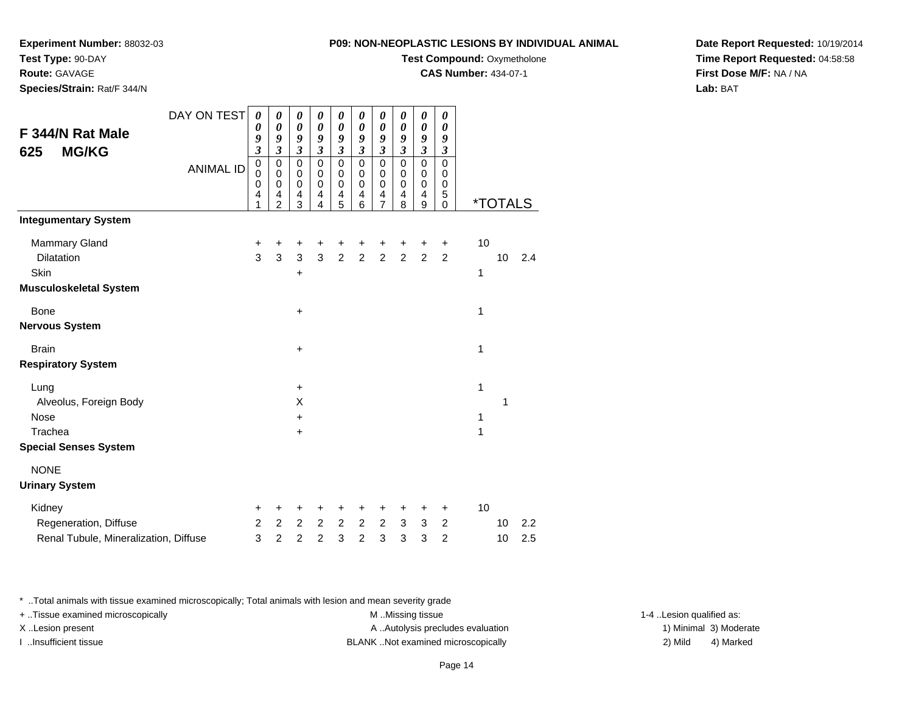**Experiment Number:** 88032-03

**Test Type:** 90-DAY

**Route:** GAVAGE

**Species/Strain:** Rat/F 344/N

**Test Compound: Oxymetholone** 

**CAS Number:** 434-07-1

**Date Report Requested:** 10/19/2014**Time Report Requested:** 04:58:58**First Dose M/F:** NA / NA**Lab:** BAT

| F 344/N Rat Male                                                         | DAY ON TEST      | 0<br>0                                | 0<br>0                                | 0<br>$\boldsymbol{\theta}$            | 0<br>$\boldsymbol{\theta}$                | 0<br>0                          | 0<br>0                                    | 0<br>0                                             | 0<br>0                                    | 0<br>0                                    | 0<br>0                                |                    |                       |            |
|--------------------------------------------------------------------------|------------------|---------------------------------------|---------------------------------------|---------------------------------------|-------------------------------------------|---------------------------------|-------------------------------------------|----------------------------------------------------|-------------------------------------------|-------------------------------------------|---------------------------------------|--------------------|-----------------------|------------|
| <b>MG/KG</b><br>625                                                      |                  | 9<br>$\overline{\mathbf{3}}$          | 9<br>$\overline{\mathbf{3}}$          | 9<br>3                                | 9<br>$\boldsymbol{\beta}$                 | 9<br>$\boldsymbol{\beta}$       | 9<br>$\boldsymbol{\mathfrak{z}}$          | 9<br>$\boldsymbol{\beta}$                          | 9<br>$\boldsymbol{\beta}$                 | 9<br>$\mathfrak{z}$                       | 9<br>$\boldsymbol{\mathfrak{z}}$      |                    |                       |            |
|                                                                          | <b>ANIMAL ID</b> | $\pmb{0}$<br>$\pmb{0}$<br>0<br>4<br>1 | 0<br>0<br>0<br>4<br>$\overline{2}$    | $\mathbf 0$<br>0<br>0<br>4<br>3       | $\mathbf 0$<br>0<br>$\mathbf 0$<br>4<br>4 | 0<br>0<br>$\mathbf 0$<br>4<br>5 | $\mathbf 0$<br>0<br>$\mathbf 0$<br>4<br>6 | $\pmb{0}$<br>0<br>$\pmb{0}$<br>4<br>$\overline{7}$ | $\pmb{0}$<br>0<br>$\mathbf 0$<br>4<br>8   | 0<br>0<br>$\mathsf 0$<br>4<br>$\mathsf g$ | 0<br>0<br>0<br>5<br>0                 |                    | <i><b>*TOTALS</b></i> |            |
| <b>Integumentary System</b>                                              |                  |                                       |                                       |                                       |                                           |                                 |                                           |                                                    |                                           |                                           |                                       |                    |                       |            |
| Mammary Gland<br>Dilatation<br>Skin                                      |                  | +<br>3                                | +<br>3                                | +<br>3                                | +<br>3                                    | +<br>$\overline{2}$             | +<br>$\overline{2}$                       | +<br>$\overline{2}$                                | +<br>$\overline{2}$                       | +<br>$\overline{2}$                       | $\ddot{}$<br>2                        | 10<br>$\mathbf{1}$ | 10                    | 2.4        |
| <b>Musculoskeletal System</b>                                            |                  |                                       |                                       | +                                     |                                           |                                 |                                           |                                                    |                                           |                                           |                                       |                    |                       |            |
| <b>Bone</b><br><b>Nervous System</b>                                     |                  |                                       |                                       | $\ddot{}$                             |                                           |                                 |                                           |                                                    |                                           |                                           |                                       | 1                  |                       |            |
| <b>Brain</b><br><b>Respiratory System</b>                                |                  |                                       |                                       | +                                     |                                           |                                 |                                           |                                                    |                                           |                                           |                                       | 1                  |                       |            |
| Lung<br>Alveolus, Foreign Body<br><b>Nose</b>                            |                  |                                       |                                       | $\ddot{}$<br>X<br>+                   |                                           |                                 |                                           |                                                    |                                           |                                           |                                       | 1<br>1             | 1                     |            |
| Trachea<br><b>Special Senses System</b>                                  |                  |                                       |                                       | +                                     |                                           |                                 |                                           |                                                    |                                           |                                           |                                       | 1                  |                       |            |
| <b>NONE</b>                                                              |                  |                                       |                                       |                                       |                                           |                                 |                                           |                                                    |                                           |                                           |                                       |                    |                       |            |
| <b>Urinary System</b>                                                    |                  |                                       |                                       |                                       |                                           |                                 |                                           |                                                    |                                           |                                           |                                       |                    |                       |            |
| Kidney<br>Regeneration, Diffuse<br>Renal Tubule, Mineralization, Diffuse |                  | +<br>$\overline{c}$<br>3              | +<br>$\overline{2}$<br>$\overline{2}$ | +<br>$\overline{2}$<br>$\overline{c}$ | +<br>$\overline{2}$<br>$\overline{2}$     | +<br>$\overline{a}$<br>3        | +<br>$\overline{2}$<br>$\overline{c}$     | $\mathbf +$<br>$\overline{2}$<br>3                 | $\ddot{}$<br>$\mathbf{3}$<br>$\mathbf{3}$ | $\mathbf +$<br>$\mathbf{3}$<br>3          | +<br>$\overline{2}$<br>$\overline{c}$ | 10                 | 10<br>10              | 2.2<br>2.5 |

\* ..Total animals with tissue examined microscopically; Total animals with lesion and mean severity grade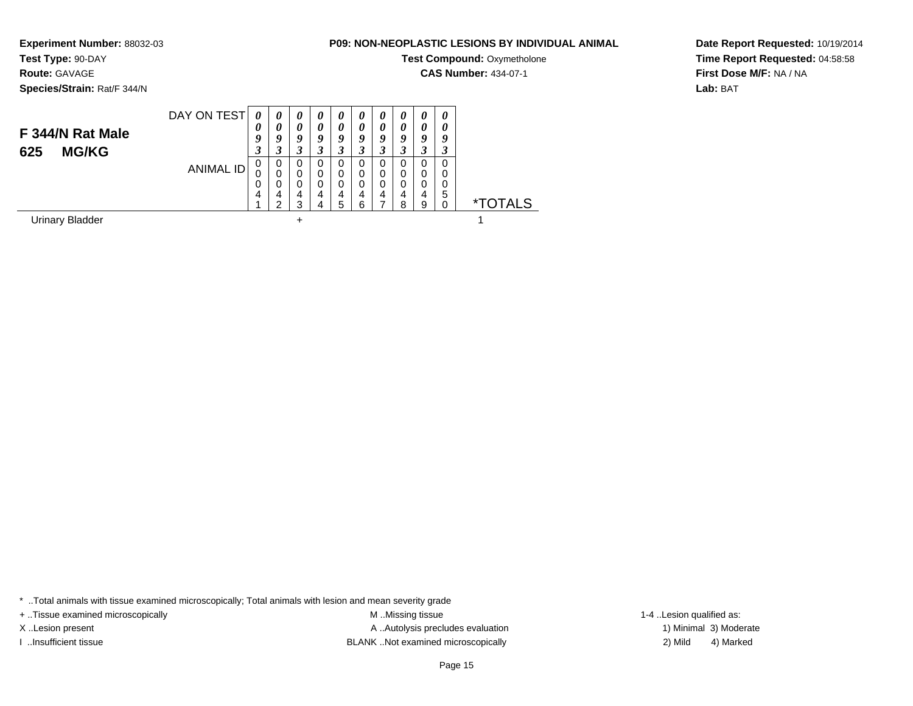**Experiment Number:** 88032-03

# **Test Type:** 90-DAY

**Route:** GAVAGE

**Species/Strain:** Rat/F 344/N

## **P09: NON-NEOPLASTIC LESIONS BY INDIVIDUAL ANIMAL**

**Test Compound: Oxymetholone** 

**CAS Number:** 434-07-1

**Date Report Requested:** 10/19/2014**Time Report Requested:** 04:58:58**First Dose M/F:** NA / NA**Lab:** BAT

| F 344/N Rat Male<br>625<br><b>MG/KG</b> | DAY ON TEST | 0<br>U<br>9<br>3 | 0<br>0<br>у<br>3      | $\boldsymbol{\theta}$<br>0<br>9<br>3 | $\boldsymbol{\theta}$<br>$\boldsymbol{\theta}$<br>9<br>3 | $\boldsymbol{\theta}$<br>0<br>9<br>3 | $\boldsymbol{\theta}$<br>0<br>ŋ | $\boldsymbol{\theta}$<br>0<br>9<br>3 | $\boldsymbol{\theta}$<br>0<br>9 | $\theta$<br>0<br>9<br>3 | $\boldsymbol{\theta}$<br>0<br>9 |                       |
|-----------------------------------------|-------------|------------------|-----------------------|--------------------------------------|----------------------------------------------------------|--------------------------------------|---------------------------------|--------------------------------------|---------------------------------|-------------------------|---------------------------------|-----------------------|
|                                         | ANIMAL ID   | 0<br>0<br>0<br>4 | 0<br>0<br>0<br>4<br>ີ | 0<br>0<br>0<br>4<br>3                | 0<br>0<br>0<br>4<br>4                                    | 0<br>0<br>0<br>4<br>5                | 0<br>0<br>0<br>4<br>6           | 0<br>0<br>0<br>4                     | 0<br>0<br>0<br>4<br>8           | 0<br>0<br>0<br>4<br>9   | 0<br>0<br>0<br>5<br>0           | <i><b>*TOTALS</b></i> |
| <b>Urinary Bladder</b>                  |             |                  |                       | ÷                                    |                                                          |                                      |                                 |                                      |                                 |                         |                                 |                       |

\* ..Total animals with tissue examined microscopically; Total animals with lesion and mean severity grade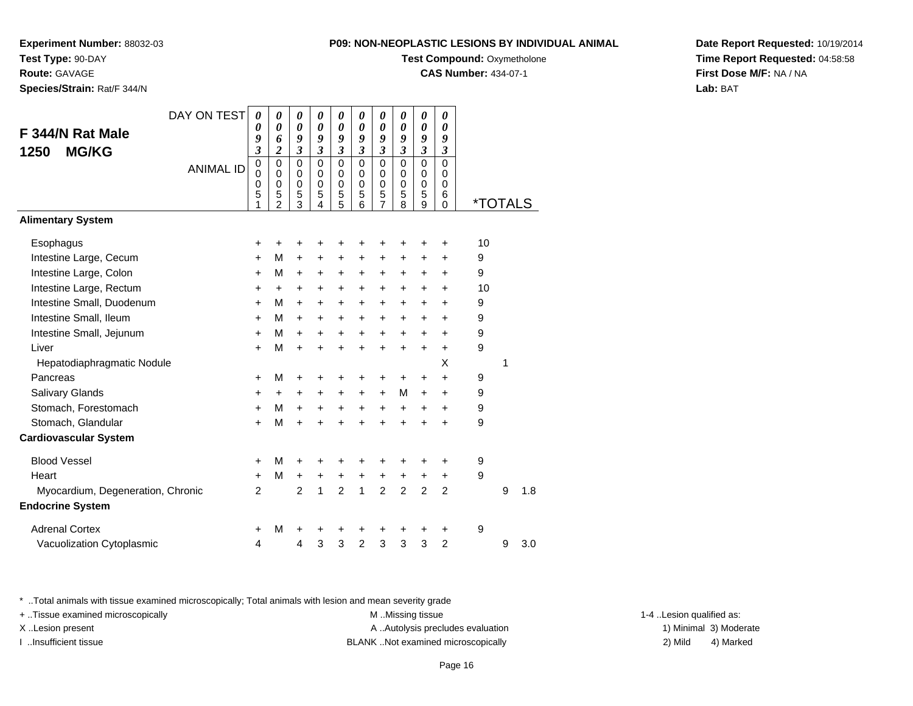**Test Compound: Oxymetholone** 

**CAS Number:** 434-07-1

**Date Report Requested:** 10/19/2014**Time Report Requested:** 04:58:58**First Dose M/F:** NA / NA**Lab:** BAT

\* ..Total animals with tissue examined microscopically; Total animals with lesion and mean severity grade

+ ..Tissue examined microscopically examined microscopically examined as:  $M$  ..Missing tissue 1-4 ..Lesion qualified as:

X..Lesion present **A ..Autolysis precludes evaluation** A ..Autolysis precludes evaluation 1) Minimal 3) Moderate

I ..Insufficient tissue BLANK ..Not examined microscopically 2) Mild 4) Marked

| DAY ON TEST                       |                  | 0                                | 0                        | 0                       | 0                          | 0                     | 0                          | 0                     | 0                         | 0                     | 0                                |                       |   |     |
|-----------------------------------|------------------|----------------------------------|--------------------------|-------------------------|----------------------------|-----------------------|----------------------------|-----------------------|---------------------------|-----------------------|----------------------------------|-----------------------|---|-----|
| F 344/N Rat Male                  |                  | 0                                | 0                        | $\boldsymbol{\theta}$   | $\boldsymbol{\theta}$      | 0                     | 0                          | 0                     | $\boldsymbol{\theta}$     | 0                     | 0                                |                       |   |     |
| <b>MG/KG</b><br>1250              |                  | 9<br>$\boldsymbol{\mathfrak{z}}$ | 6<br>$\boldsymbol{2}$    | 9<br>$\mathfrak{z}$     | 9<br>$\mathfrak{z}$        | 9<br>$\mathfrak{z}$   | 9<br>$\mathfrak{z}$        | 9<br>$\mathfrak{z}$   | 9<br>$\boldsymbol{\beta}$ | 9<br>$\mathfrak{z}$   | 9<br>$\boldsymbol{\mathfrak{z}}$ |                       |   |     |
|                                   | <b>ANIMAL ID</b> | $\mathbf 0$<br>0                 | $\mathbf 0$<br>0         | $\Omega$<br>$\mathbf 0$ | $\mathbf 0$<br>$\mathbf 0$ | $\mathbf 0$<br>0      | $\mathbf 0$<br>$\mathbf 0$ | $\mathbf 0$<br>0      | $\mathbf 0$<br>0          | $\Omega$<br>0         | $\Omega$<br>0                    |                       |   |     |
|                                   |                  | 0<br>5<br>1                      | 0<br>5<br>$\mathfrak{p}$ | $\mathbf 0$<br>5<br>3   | 0<br>5<br>4                | $\mathbf 0$<br>5<br>5 | $\mathbf 0$<br>5<br>6      | $\mathbf 0$<br>5<br>7 | $\mathbf 0$<br>5<br>8     | $\mathbf 0$<br>5<br>9 | 0<br>6<br>$\Omega$               | <i><b>*TOTALS</b></i> |   |     |
| <b>Alimentary System</b>          |                  |                                  |                          |                         |                            |                       |                            |                       |                           |                       |                                  |                       |   |     |
| Esophagus                         |                  | +                                | +                        | +                       |                            |                       | +                          | +                     | ٠                         | ٠                     | ٠                                | 10                    |   |     |
| Intestine Large, Cecum            |                  | $\pm$                            | M                        | $\ddot{}$               | $\ddot{}$                  | +                     | $\ddot{}$                  | +                     | $\ddot{}$                 | $\pm$                 | $\ddot{}$                        | 9                     |   |     |
| Intestine Large, Colon            |                  | $\ddot{}$                        | M                        | +                       | +                          | +                     | +                          | +                     | $\ddot{}$                 | +                     | +                                | 9                     |   |     |
| Intestine Large, Rectum           |                  | +                                | +                        | +                       | $\ddot{}$                  | $\ddot{}$             | +                          | +                     | $\ddot{}$                 | +                     | $\ddot{}$                        | 10                    |   |     |
| Intestine Small, Duodenum         |                  | $+$                              | M                        | $\ddot{}$               | $\ddot{}$                  | $\ddot{}$             | $\ddot{}$                  | $\ddot{}$             | $\ddot{}$                 | $\ddot{}$             | $\ddot{}$                        | 9                     |   |     |
| Intestine Small, Ileum            |                  | $+$                              | м                        | $\ddot{}$               | $\ddot{}$                  | $\ddot{}$             | $\ddot{}$                  | $\ddot{}$             | $\ddot{}$                 | $\ddot{}$             | $\ddot{}$                        | 9                     |   |     |
| Intestine Small, Jejunum          |                  | $\ddot{}$                        | м                        | +                       | $\ddot{}$                  | +                     | +                          | +                     | $\ddot{}$                 | +                     | $\ddot{}$                        | 9                     |   |     |
| Liver                             |                  | $\ddot{}$                        | M                        | $\ddot{}$               |                            | $\ddot{}$             | $\ddot{}$                  | $\ddot{}$             | $\ddot{}$                 | $\ddot{}$             | $\ddot{}$                        | 9                     |   |     |
| Hepatodiaphragmatic Nodule        |                  |                                  |                          |                         |                            |                       |                            |                       |                           |                       | X                                |                       | 1 |     |
| Pancreas                          |                  | $\ddot{}$                        | м                        | +                       | +                          | +                     | +                          | +                     | +                         | +                     | +                                | 9                     |   |     |
| Salivary Glands                   |                  | +                                | +                        | +                       |                            | +                     | $\ddot{}$                  | +                     | M                         | $\ddot{}$             | +                                | 9                     |   |     |
| Stomach, Forestomach              |                  | +                                | М                        | $\ddot{}$               | +                          | $\ddot{}$             | $\ddot{}$                  | $\ddot{}$             | $\ddot{}$                 | $\ddot{}$             | +                                | 9                     |   |     |
| Stomach, Glandular                |                  | $+$                              | M                        | $\ddot{}$               |                            | $\ddot{}$             | $\ddot{}$                  | $\ddot{}$             | $\ddot{}$                 | ÷                     | $\ddot{}$                        | 9                     |   |     |
| <b>Cardiovascular System</b>      |                  |                                  |                          |                         |                            |                       |                            |                       |                           |                       |                                  |                       |   |     |
| <b>Blood Vessel</b>               |                  | $\pm$                            | м                        | $\pm$                   |                            |                       | ÷                          | +                     | ÷                         | ٠                     | +                                | 9                     |   |     |
| Heart                             |                  | $\pm$                            | м                        | $\ddot{}$               | $\ddot{}$                  | $\ddot{}$             | $\ddot{}$                  | $\ddot{}$             | $\ddot{}$                 | +                     | $\ddot{}$                        | 9                     |   |     |
| Myocardium, Degeneration, Chronic |                  | $\overline{2}$                   |                          | $\overline{2}$          | $\mathbf{1}$               | $\overline{2}$        | $\mathbf{1}$               | $\overline{2}$        | $\overline{2}$            | $\overline{2}$        | $\overline{2}$                   |                       | 9 | 1.8 |
| <b>Endocrine System</b>           |                  |                                  |                          |                         |                            |                       |                            |                       |                           |                       |                                  |                       |   |     |
| <b>Adrenal Cortex</b>             |                  | +                                | м                        | +                       |                            | +                     | ٠                          | +                     | +                         | +                     | +                                | 9                     |   |     |
| Vacuolization Cytoplasmic         |                  | 4                                |                          | 4                       | 3                          | 3                     | $\overline{c}$             | 3                     | 3                         | 3                     | $\overline{2}$                   |                       | 9 | 3.0 |

## **Experiment Number:** 88032-03**Test Type:** 90-DAY**Route:** GAVAGE

**Species/Strain:** Rat/F 344/N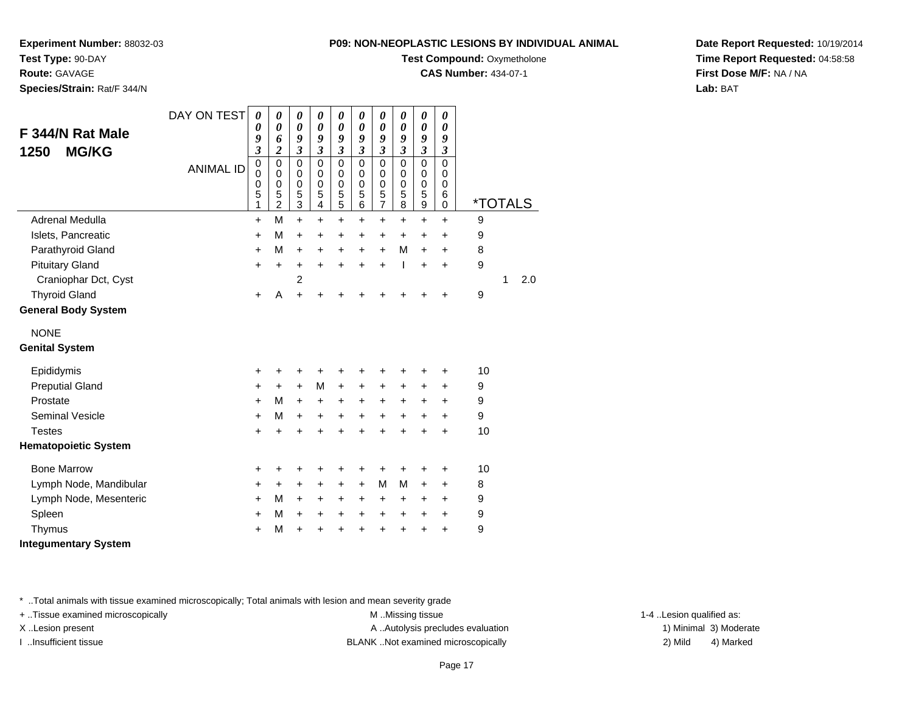**Test Compound: Oxymetholone** 

**CAS Number:** 434-07-1

**Date Report Requested:** 10/19/2014**Time Report Requested:** 04:58:58**First Dose M/F:** NA / NA**Lab:** BAT

**Experiment Number:** 88032-03**Test Type:** 90-DAY**Route:** GAVAGE**Species/Strain:** Rat/F 344/N

| F 344/N Rat Male<br><b>MG/KG</b><br>1250 | DAY ON TEST<br><b>ANIMAL ID</b> | $\boldsymbol{\theta}$<br>0<br>9<br>3<br>$\mathbf 0$<br>$\mathbf 0$ | 0<br>0<br>6<br>$\overline{\mathbf{c}}$<br>$\mathbf 0$<br>0 | 0<br>$\pmb{\theta}$<br>9<br>$\overline{\mathbf{3}}$<br>$\mathbf 0$<br>0 | 0<br>0<br>9<br>$\overline{\mathbf{3}}$<br>$\mathbf 0$<br>0 | 0<br>$\boldsymbol{\theta}$<br>9<br>$\overline{\mathbf{3}}$<br>$\mathbf 0$<br>0 | 0<br>$\boldsymbol{\theta}$<br>9<br>$\overline{\mathbf{3}}$<br>$\mathbf 0$<br>0 | 0<br>$\boldsymbol{\theta}$<br>9<br>$\mathfrak{z}$<br>$\mathbf 0$<br>0 | 0<br>0<br>9<br>$\mathfrak{z}$<br>$\Omega$<br>0 | 0<br>$\boldsymbol{\theta}$<br>9<br>$\mathfrak{z}$<br>$\mathbf 0$<br>0 | $\boldsymbol{\theta}$<br>0<br>9<br>$\mathfrak{z}$<br>$\mathbf 0$<br>0 |    |                       |     |
|------------------------------------------|---------------------------------|--------------------------------------------------------------------|------------------------------------------------------------|-------------------------------------------------------------------------|------------------------------------------------------------|--------------------------------------------------------------------------------|--------------------------------------------------------------------------------|-----------------------------------------------------------------------|------------------------------------------------|-----------------------------------------------------------------------|-----------------------------------------------------------------------|----|-----------------------|-----|
|                                          |                                 | $\mathbf 0$<br>5<br>1                                              | 0<br>5<br>$\overline{c}$                                   | $\pmb{0}$<br>5<br>3                                                     | $\mathbf 0$<br>5<br>4                                      | $\mathbf 0$<br>5<br>$\sqrt{5}$                                                 | $\mathbf 0$<br>5<br>6                                                          | 0<br>5<br>$\overline{7}$                                              | $\mathbf 0$<br>5<br>8                          | $\mathbf 0$<br>5<br>$\boldsymbol{9}$                                  | $\mathbf 0$<br>6<br>$\Omega$                                          |    | <i><b>*TOTALS</b></i> |     |
| Adrenal Medulla                          |                                 | $\ddot{}$                                                          | M                                                          | $+$                                                                     | $\ddot{}$                                                  | $\ddot{}$                                                                      | $\ddot{}$                                                                      | $\ddot{}$                                                             | $\ddot{}$                                      | $\ddot{}$                                                             | $\ddot{}$                                                             | 9  |                       |     |
| Islets, Pancreatic                       |                                 | +                                                                  | M                                                          | $\ddot{}$                                                               | +                                                          | +                                                                              | +                                                                              | +                                                                     | +                                              | +                                                                     | $\ddot{}$                                                             | 9  |                       |     |
| Parathyroid Gland                        |                                 | +                                                                  | M                                                          | $\ddot{}$                                                               | +                                                          | $\ddot{}$                                                                      | $\ddot{}$                                                                      | $\ddot{}$                                                             | M                                              | $\ddot{}$                                                             | $\ddot{}$                                                             | 8  |                       |     |
| <b>Pituitary Gland</b>                   |                                 | $\ddot{}$                                                          | $\ddot{}$                                                  | $\ddot{}$                                                               | $\ddot{}$                                                  | $\ddot{}$                                                                      | $\ddot{}$                                                                      | $\ddot{}$                                                             | T                                              | $\ddot{}$                                                             | $\ddot{}$                                                             | 9  |                       |     |
| Craniophar Dct, Cyst                     |                                 |                                                                    |                                                            | $\overline{c}$                                                          |                                                            |                                                                                |                                                                                |                                                                       |                                                |                                                                       |                                                                       |    | 1                     | 2.0 |
| <b>Thyroid Gland</b>                     |                                 | $\ddot{}$                                                          | A                                                          | $\ddot{}$                                                               | +                                                          | +                                                                              |                                                                                |                                                                       |                                                |                                                                       | ÷                                                                     | 9  |                       |     |
| <b>General Body System</b>               |                                 |                                                                    |                                                            |                                                                         |                                                            |                                                                                |                                                                                |                                                                       |                                                |                                                                       |                                                                       |    |                       |     |
| <b>NONE</b>                              |                                 |                                                                    |                                                            |                                                                         |                                                            |                                                                                |                                                                                |                                                                       |                                                |                                                                       |                                                                       |    |                       |     |
| <b>Genital System</b>                    |                                 |                                                                    |                                                            |                                                                         |                                                            |                                                                                |                                                                                |                                                                       |                                                |                                                                       |                                                                       |    |                       |     |
| Epididymis                               |                                 | +                                                                  | +                                                          | +                                                                       | +                                                          | +                                                                              | +                                                                              | +                                                                     |                                                |                                                                       | +                                                                     | 10 |                       |     |
| <b>Preputial Gland</b>                   |                                 | +                                                                  | +                                                          | $\ddot{}$                                                               | M                                                          | $\ddot{}$                                                                      | $\ddot{}$                                                                      | $\ddot{}$                                                             | $\ddot{}$                                      | $\ddot{}$                                                             | $\ddot{}$                                                             | 9  |                       |     |
| Prostate                                 |                                 | $\ddot{}$                                                          | M                                                          | $\ddot{}$                                                               | +                                                          | $\ddot{}$                                                                      | +                                                                              | +                                                                     | +                                              | +                                                                     | $\ddot{}$                                                             | 9  |                       |     |
| <b>Seminal Vesicle</b>                   |                                 | $\ddot{}$                                                          | M                                                          | $\ddot{}$                                                               | $\ddot{}$                                                  | $\ddot{}$                                                                      | $\ddot{}$                                                                      | $\ddot{}$                                                             | $\ddot{}$                                      | $\ddot{}$                                                             | $\ddot{}$                                                             | 9  |                       |     |
| <b>Testes</b>                            |                                 | $\ddot{}$                                                          | $\ddot{}$                                                  | $\ddot{}$                                                               | $\ddot{}$                                                  | $\ddot{}$                                                                      | ÷                                                                              | $\ddot{}$                                                             | ÷                                              | $\ddot{}$                                                             | $\ddot{}$                                                             | 10 |                       |     |
| <b>Hematopoietic System</b>              |                                 |                                                                    |                                                            |                                                                         |                                                            |                                                                                |                                                                                |                                                                       |                                                |                                                                       |                                                                       |    |                       |     |
| <b>Bone Marrow</b>                       |                                 | $\ddot{}$                                                          | +                                                          | +                                                                       | +                                                          | +                                                                              | +                                                                              | +                                                                     | +                                              | +                                                                     | +                                                                     | 10 |                       |     |
| Lymph Node, Mandibular                   |                                 | $\ddot{}$                                                          | +                                                          | $\ddot{}$                                                               | +                                                          | $\ddot{}$                                                                      | $\ddot{}$                                                                      | M                                                                     | M                                              | $\ddot{}$                                                             | $\ddot{}$                                                             | 8  |                       |     |
| Lymph Node, Mesenteric                   |                                 | +                                                                  | M                                                          | $\ddot{}$                                                               | +                                                          | +                                                                              | +                                                                              | $\ddot{}$                                                             | +                                              | $\ddot{}$                                                             | +                                                                     | 9  |                       |     |
| Spleen                                   |                                 | $\ddot{}$                                                          | M                                                          | $\ddot{}$                                                               | +                                                          | $\ddot{}$                                                                      | $\ddot{}$                                                                      | $\ddot{}$                                                             | $\ddot{}$                                      | $\ddot{}$                                                             | $\ddot{}$                                                             | 9  |                       |     |
| Thymus                                   |                                 | +                                                                  | M                                                          | $\ddot{}$                                                               | +                                                          | +                                                                              | +                                                                              | $\ddot{}$                                                             | +                                              | $\ddot{}$                                                             | $\ddot{}$                                                             | 9  |                       |     |
| <b>Integumentary System</b>              |                                 |                                                                    |                                                            |                                                                         |                                                            |                                                                                |                                                                                |                                                                       |                                                |                                                                       |                                                                       |    |                       |     |

\* ..Total animals with tissue examined microscopically; Total animals with lesion and mean severity grade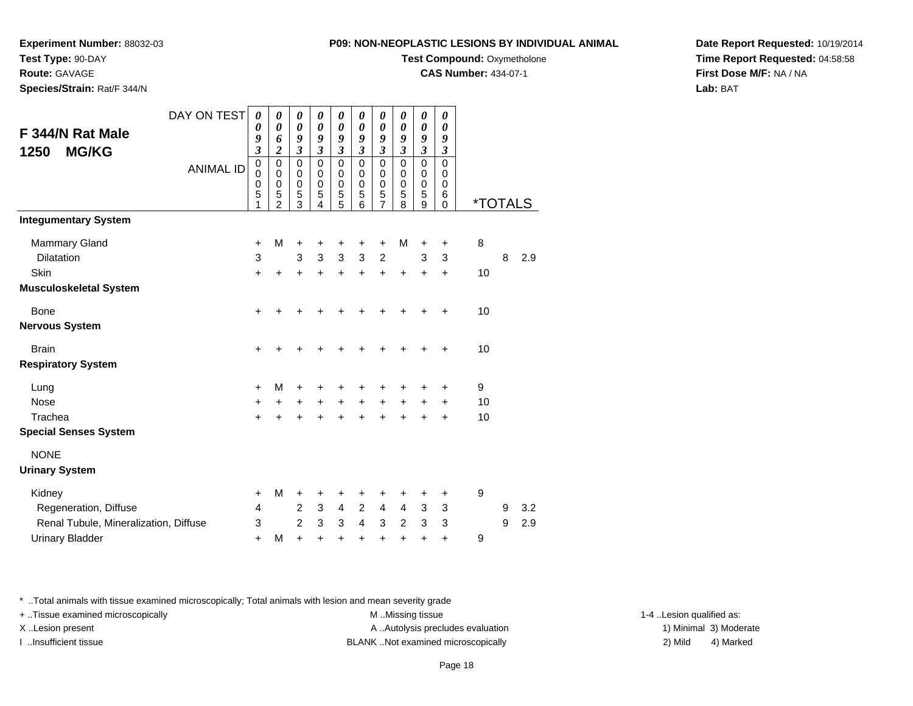**Experiment Number:** 88032-03**Test Type:** 90-DAY

**Route:** GAVAGE

**Species/Strain:** Rat/F 344/N

# **Test Compound:** Oxymetholone

**CAS Number:** 434-07-1

**Date Report Requested:** 10/19/2014**Time Report Requested:** 04:58:58**First Dose M/F:** NA / NA**Lab:** BAT

| F 344/N Rat Male                      | DAY ON TEST      | 0<br>0<br>9                     | 0<br>0<br>6                                                   | 0<br>$\boldsymbol{\theta}$<br>9        | 0<br>0<br>9                            | 0<br>$\boldsymbol{\theta}$<br>9       | 0<br>0<br>9                     | 0<br>0<br>9                                | 0<br>0<br>9                     | 0<br>0<br>9                     | 0<br>0<br>9                                      |                       |   |     |
|---------------------------------------|------------------|---------------------------------|---------------------------------------------------------------|----------------------------------------|----------------------------------------|---------------------------------------|---------------------------------|--------------------------------------------|---------------------------------|---------------------------------|--------------------------------------------------|-----------------------|---|-----|
| <b>MG/KG</b><br>1250                  |                  | $\boldsymbol{\mathfrak{z}}$     | $\boldsymbol{2}$                                              | 3                                      | 3                                      | 3                                     | 3                               | 3                                          | 3                               | $\boldsymbol{\beta}$            | $\boldsymbol{\beta}$                             |                       |   |     |
|                                       | <b>ANIMAL ID</b> | 0<br>$\mathbf 0$<br>0<br>5<br>1 | $\mathbf 0$<br>$\Omega$<br>$\mathbf 0$<br>5<br>$\overline{2}$ | $\mathbf 0$<br>$\Omega$<br>0<br>5<br>3 | $\mathbf 0$<br>$\Omega$<br>0<br>5<br>4 | $\pmb{0}$<br>0<br>$\pmb{0}$<br>5<br>5 | $\mathbf 0$<br>0<br>0<br>5<br>6 | 0<br>0<br>$\pmb{0}$<br>5<br>$\overline{7}$ | $\mathbf 0$<br>0<br>0<br>5<br>8 | $\mathbf 0$<br>0<br>0<br>5<br>9 | $\mathbf 0$<br>0<br>$\mathbf 0$<br>6<br>$\Omega$ | <i><b>*TOTALS</b></i> |   |     |
| <b>Integumentary System</b>           |                  |                                 |                                                               |                                        |                                        |                                       |                                 |                                            |                                 |                                 |                                                  |                       |   |     |
| <b>Mammary Gland</b>                  |                  | +                               | M                                                             | +                                      | +                                      | +                                     | +                               | +                                          | M                               | +                               | $\ddot{}$                                        | 8                     |   |     |
| Dilatation                            |                  | 3                               |                                                               | 3                                      | 3                                      | 3                                     | 3                               | $\overline{c}$                             |                                 | 3                               | 3                                                |                       | 8 | 2.9 |
| Skin                                  |                  | $\ddot{}$                       | $\ddot{}$                                                     | $\ddot{}$                              | $\ddot{}$                              | $+$                                   | $\ddot{}$                       | $+$                                        | $\ddot{}$                       | $\ddot{}$                       | $\ddot{}$                                        | 10                    |   |     |
| <b>Musculoskeletal System</b>         |                  |                                 |                                                               |                                        |                                        |                                       |                                 |                                            |                                 |                                 |                                                  |                       |   |     |
| Bone                                  |                  | +                               |                                                               | +                                      |                                        |                                       |                                 |                                            |                                 | +                               | $\ddot{}$                                        | 10                    |   |     |
| <b>Nervous System</b>                 |                  |                                 |                                                               |                                        |                                        |                                       |                                 |                                            |                                 |                                 |                                                  |                       |   |     |
| <b>Brain</b>                          |                  | +                               | +                                                             | +                                      | +                                      | +                                     | +                               | +                                          | ٠                               | +                               | $\ddot{}$                                        | 10                    |   |     |
| <b>Respiratory System</b>             |                  |                                 |                                                               |                                        |                                        |                                       |                                 |                                            |                                 |                                 |                                                  |                       |   |     |
| Lung                                  |                  | $\ddot{}$                       | M                                                             | +                                      |                                        | +                                     | +                               | +                                          | +                               | +                               | +                                                | 9                     |   |     |
| <b>Nose</b>                           |                  | +                               | $\pm$                                                         | $\ddot{}$                              | $\ddot{}$                              | $+$                                   | $+$                             | $+$                                        | $+$                             | $\ddot{}$                       | $\ddot{}$                                        | 10                    |   |     |
| Trachea                               |                  | $\ddot{}$                       |                                                               | $\ddot{}$                              | $\ddot{}$                              | $\ddot{}$                             | $\ddot{}$                       | $\ddot{}$                                  | Ŧ.                              | +                               | $\ddot{}$                                        | 10                    |   |     |
| <b>Special Senses System</b>          |                  |                                 |                                                               |                                        |                                        |                                       |                                 |                                            |                                 |                                 |                                                  |                       |   |     |
| <b>NONE</b>                           |                  |                                 |                                                               |                                        |                                        |                                       |                                 |                                            |                                 |                                 |                                                  |                       |   |     |
| <b>Urinary System</b>                 |                  |                                 |                                                               |                                        |                                        |                                       |                                 |                                            |                                 |                                 |                                                  |                       |   |     |
| Kidney                                |                  | $\ddot{}$                       | M                                                             | +                                      | +                                      | +                                     | +                               | +                                          | +                               | +                               | +                                                | 9                     |   |     |
| Regeneration, Diffuse                 |                  | 4                               |                                                               | 2                                      | 3                                      | $\overline{4}$                        | 2                               | 4                                          | $\overline{4}$                  | 3                               | 3                                                |                       | 9 | 3.2 |
| Renal Tubule, Mineralization, Diffuse |                  | 3                               |                                                               | $\overline{2}$                         | 3                                      | 3                                     | 4                               | 3                                          | 2                               | 3                               | 3                                                |                       | 9 | 2.9 |
| <b>Urinary Bladder</b>                |                  | $\ddot{}$                       | M                                                             | $\ddot{}$                              | $\ddot{}$                              | $\ddot{}$                             | +                               | $\ddot{}$                                  | $\ddot{}$                       | $\ddot{}$                       | $\ddot{}$                                        | 9                     |   |     |

\* ..Total animals with tissue examined microscopically; Total animals with lesion and mean severity grade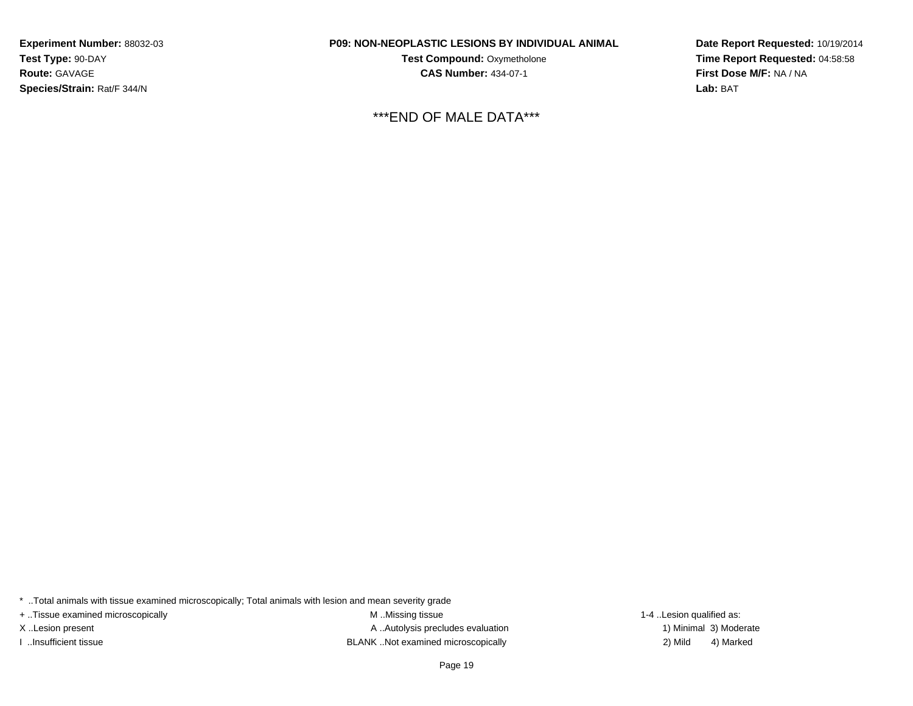**Experiment Number:** 88032-03**Test Type:** 90-DAY**Route:** GAVAGE**Species/Strain:** Rat/F 344/N

## **P09: NON-NEOPLASTIC LESIONS BY INDIVIDUAL ANIMAL**

**Test Compound: Oxymetholone CAS Number:** 434-07-1

\*\*\*END OF MALE DATA\*\*\*

**Date Report Requested:** 10/19/2014**Time Report Requested:** 04:58:58**First Dose M/F:** NA / NA**Lab:** BAT

\* ..Total animals with tissue examined microscopically; Total animals with lesion and mean severity grade

+ ..Tissue examined microscopically examined microscopically examined as:  $M$  ..Missing tissue 1-4 ..Lesion qualified as:

X..Lesion present **A ..Autolysis precludes evaluation** A ..Autolysis precludes evaluation 1) Minimal 3) Moderate I ..Insufficient tissue BLANK ..Not examined microscopically 2) Mild 4) Marked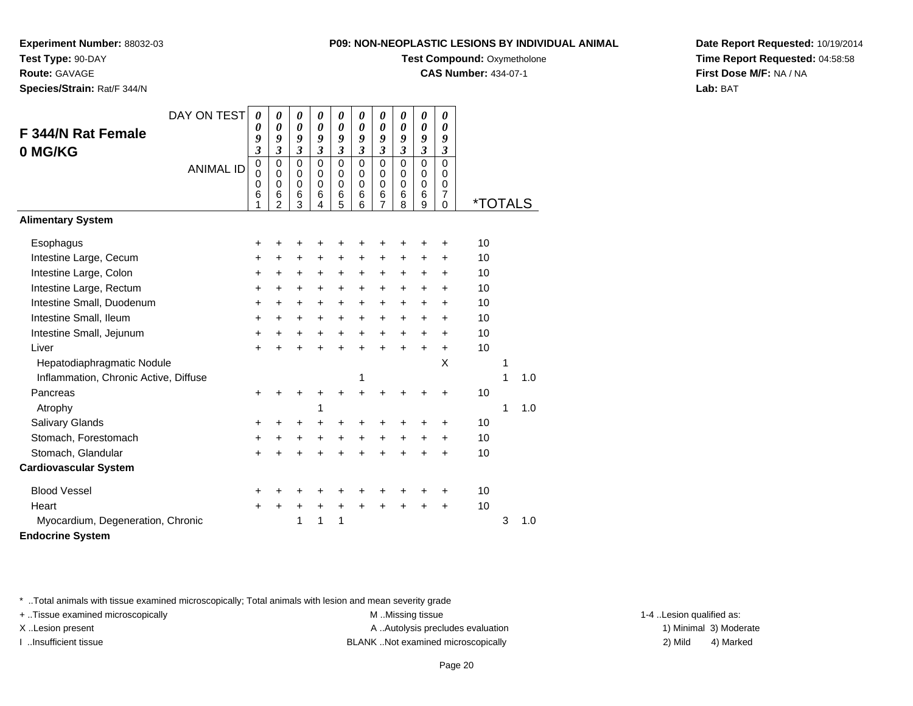**Experiment Number:** 88032-03**Test Type:** 90-DAY

**Route:** GAVAGE

**Species/Strain:** Rat/F 344/N

| M-NEUPLASTIG LESIUNS BT INDIVIDUAL ANI |  |  |
|----------------------------------------|--|--|
| <b>Test Compound: Oxymetholone</b>     |  |  |

**CAS Number:** 434-07-1

**Date Report Requested:** 10/19/2014**Time Report Requested:** 04:58:58**First Dose M/F:** NA / NA**Lab:** BAT

| <b>F 344/N Rat Female</b>             | DAY ON TEST      | 0<br>0                                                          | 0<br>0                                                                    | 0<br>0                                                          | 0<br>$\boldsymbol{\theta}$             | 0<br>0                                                                    | 0<br>0                                                                    | 0<br>0                                                                    | 0<br>$\boldsymbol{\theta}$                                       | 0<br>0                                                                     | 0<br>0                                                                                  |                       |   |     |
|---------------------------------------|------------------|-----------------------------------------------------------------|---------------------------------------------------------------------------|-----------------------------------------------------------------|----------------------------------------|---------------------------------------------------------------------------|---------------------------------------------------------------------------|---------------------------------------------------------------------------|------------------------------------------------------------------|----------------------------------------------------------------------------|-----------------------------------------------------------------------------------------|-----------------------|---|-----|
| 0 MG/KG                               | <b>ANIMAL ID</b> | 9<br>$\overline{\mathbf{3}}$<br>$\mathbf 0$<br>0<br>0<br>6<br>1 | 9<br>$\overline{\mathbf{3}}$<br>0<br>$\mathbf 0$<br>$\mathbf 0$<br>6<br>2 | 9<br>$\overline{\mathbf{3}}$<br>0<br>0<br>$\mathbf 0$<br>6<br>3 | 9<br>3<br>$\Omega$<br>0<br>0<br>6<br>4 | 9<br>$\overline{\mathbf{3}}$<br>$\mathbf 0$<br>0<br>$\mathbf 0$<br>6<br>5 | 9<br>$\overline{\mathbf{3}}$<br>$\mathbf 0$<br>0<br>$\mathbf 0$<br>6<br>6 | 9<br>$\overline{\mathbf{3}}$<br>$\mathbf 0$<br>0<br>$\mathbf 0$<br>6<br>7 | 9<br>$\mathfrak{z}$<br>$\mathbf 0$<br>0<br>$\mathbf 0$<br>6<br>8 | 9<br>$\mathfrak{z}$<br>$\mathbf 0$<br>$\mathbf 0$<br>$\mathbf 0$<br>6<br>9 | 9<br>$\mathfrak{z}$<br>$\mathbf 0$<br>0<br>$\mathbf 0$<br>$\overline{7}$<br>$\mathbf 0$ | <i><b>*TOTALS</b></i> |   |     |
| <b>Alimentary System</b>              |                  |                                                                 |                                                                           |                                                                 |                                        |                                                                           |                                                                           |                                                                           |                                                                  |                                                                            |                                                                                         |                       |   |     |
| Esophagus                             |                  | +                                                               | +                                                                         | +                                                               |                                        |                                                                           | +                                                                         | +                                                                         | +                                                                | +                                                                          | +                                                                                       | 10                    |   |     |
| Intestine Large, Cecum                |                  | +                                                               | $\ddot{}$                                                                 | +                                                               | $\ddot{}$                              | +                                                                         | $\ddot{}$                                                                 | +                                                                         | +                                                                | +                                                                          | +                                                                                       | 10                    |   |     |
| Intestine Large, Colon                |                  | +                                                               | +                                                                         | +                                                               | +                                      | +                                                                         | $\ddot{}$                                                                 | +                                                                         | $\ddot{}$                                                        | +                                                                          | +                                                                                       | 10                    |   |     |
| Intestine Large, Rectum               |                  | +                                                               | +                                                                         | +                                                               | +                                      | +                                                                         | +                                                                         | +                                                                         | $\ddot{}$                                                        | ٠                                                                          | $\ddot{}$                                                                               | 10                    |   |     |
| Intestine Small, Duodenum             |                  | $\ddot{}$                                                       | +                                                                         | +                                                               | $\ddot{}$                              | $\ddot{}$                                                                 | $\ddot{}$                                                                 | $\ddot{}$                                                                 | +                                                                | $\ddot{}$                                                                  | $\ddot{}$                                                                               | 10                    |   |     |
| Intestine Small, Ileum                |                  | $\ddot{}$                                                       | $\ddot{}$                                                                 | $\ddot{}$                                                       | $\ddot{}$                              | $\ddot{}$                                                                 | $\ddot{}$                                                                 | $\ddot{}$                                                                 | $\ddot{}$                                                        | $\ddot{}$                                                                  | $\ddot{}$                                                                               | 10                    |   |     |
| Intestine Small, Jejunum              |                  | +                                                               | +                                                                         | +                                                               | +                                      | +                                                                         | +                                                                         | +                                                                         | +                                                                | +                                                                          | +                                                                                       | 10                    |   |     |
| Liver                                 |                  | $\ddot{}$                                                       |                                                                           | $\ddot{}$                                                       | $\ddot{}$                              | $\ddot{}$                                                                 | $\ddot{}$                                                                 | $\ddot{}$                                                                 | $\ddot{}$                                                        | $\ddot{}$                                                                  | $\ddot{}$                                                                               | 10                    |   |     |
| Hepatodiaphragmatic Nodule            |                  |                                                                 |                                                                           |                                                                 |                                        |                                                                           |                                                                           |                                                                           |                                                                  |                                                                            | X                                                                                       |                       | 1 |     |
| Inflammation, Chronic Active, Diffuse |                  |                                                                 |                                                                           |                                                                 |                                        |                                                                           | 1                                                                         |                                                                           |                                                                  |                                                                            |                                                                                         |                       | 1 | 1.0 |
| Pancreas                              |                  | $\ddot{}$                                                       | +                                                                         | +                                                               | +                                      | +                                                                         | ÷                                                                         | +                                                                         | +                                                                | +                                                                          | +                                                                                       | 10                    |   |     |
| Atrophy                               |                  |                                                                 |                                                                           |                                                                 | 1                                      |                                                                           |                                                                           |                                                                           |                                                                  |                                                                            |                                                                                         |                       | 1 | 1.0 |
| Salivary Glands                       |                  | $\ddot{}$                                                       | +                                                                         | +                                                               |                                        | ٠                                                                         | ٠                                                                         | ٠                                                                         | ٠                                                                |                                                                            | ٠                                                                                       | 10                    |   |     |
| Stomach, Forestomach                  |                  | +                                                               | +                                                                         | +                                                               | +                                      | +                                                                         | +                                                                         | +                                                                         | +                                                                | +                                                                          | +                                                                                       | 10                    |   |     |
| Stomach, Glandular                    |                  | $\ddot{}$                                                       |                                                                           |                                                                 |                                        | $\ddot{}$                                                                 | ÷                                                                         | Ŧ.                                                                        | Ŧ.                                                               |                                                                            | +                                                                                       | 10                    |   |     |
| <b>Cardiovascular System</b>          |                  |                                                                 |                                                                           |                                                                 |                                        |                                                                           |                                                                           |                                                                           |                                                                  |                                                                            |                                                                                         |                       |   |     |
| <b>Blood Vessel</b>                   |                  | +                                                               |                                                                           | +                                                               |                                        |                                                                           | +                                                                         | +                                                                         | +                                                                |                                                                            | +                                                                                       | 10                    |   |     |
| Heart                                 |                  | $\pm$                                                           | +                                                                         | +                                                               | +                                      | +                                                                         | $\ddot{}$                                                                 | +                                                                         | $\ddot{}$                                                        | +                                                                          | +                                                                                       | 10                    |   |     |
| Myocardium, Degeneration, Chronic     |                  |                                                                 |                                                                           | 1                                                               | 1                                      | 1                                                                         |                                                                           |                                                                           |                                                                  |                                                                            |                                                                                         |                       | 3 | 1.0 |
| <b>Endocrine System</b>               |                  |                                                                 |                                                                           |                                                                 |                                        |                                                                           |                                                                           |                                                                           |                                                                  |                                                                            |                                                                                         |                       |   |     |

\* ..Total animals with tissue examined microscopically; Total animals with lesion and mean severity grade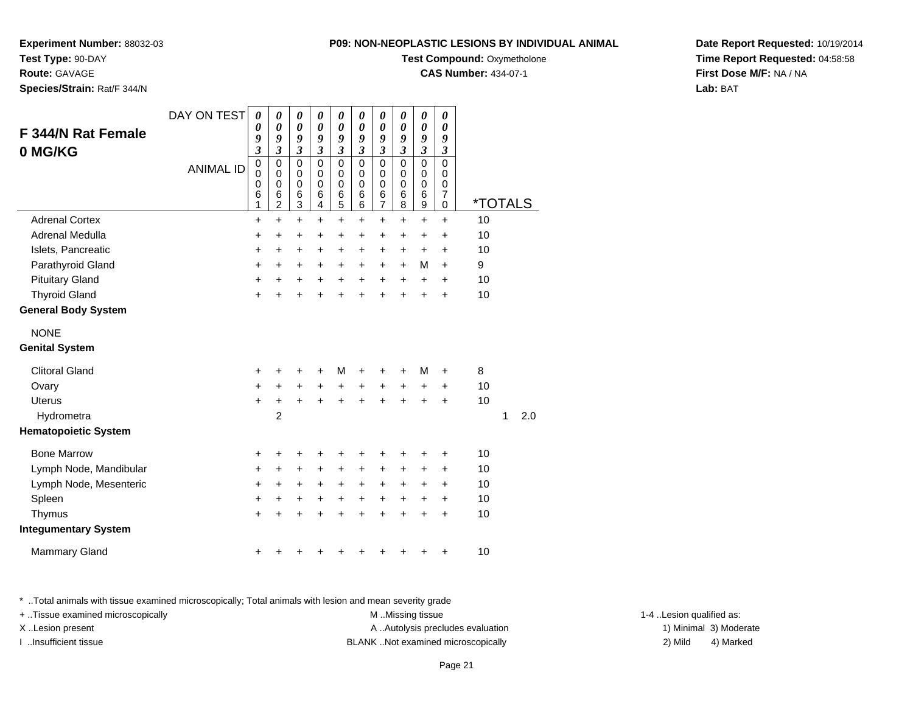**Experiment Number:** 88032-03

**Test Type:** 90-DAY

**Route:** GAVAGE

**Species/Strain:** Rat/F 344/N

| <b>P09: NON-NEOPLASTIC LESIONS BY INDIVIDUAL ANIMAL</b> |
|---------------------------------------------------------|
|---------------------------------------------------------|

**Test Compound: Oxymetholone** 

**CAS Number:** 434-07-1

**Date Report Requested:** 10/19/2014**Time Report Requested:** 04:58:58**First Dose M/F:** NA / NA**Lab:** BAT

| <b>F 344/N Rat Female</b><br>0 MG/KG | DAY ON TEST<br><b>ANIMAL ID</b> | 0<br>0<br>9<br>$\boldsymbol{\mathfrak{z}}$<br>$\pmb{0}$<br>0<br>0<br>6<br>1 | $\boldsymbol{\theta}$<br>0<br>9<br>$\mathfrak{z}$<br>$\mathbf 0$<br>$\mathbf 0$<br>$\mathbf 0$<br>6<br>$\overline{c}$ | $\boldsymbol{\theta}$<br>0<br>9<br>$\boldsymbol{\beta}$<br>$\mathbf 0$<br>0<br>0<br>6<br>3 | $\boldsymbol{\theta}$<br>$\boldsymbol{\theta}$<br>9<br>$\boldsymbol{\beta}$<br>$\mathbf 0$<br>0<br>$\mathbf 0$<br>6<br>4 | $\boldsymbol{\theta}$<br>0<br>9<br>$\boldsymbol{\beta}$<br>$\mathbf 0$<br>0<br>$\mathbf 0$<br>6<br>5 | $\boldsymbol{\theta}$<br>0<br>9<br>$\boldsymbol{\beta}$<br>$\mathbf 0$<br>0<br>$\Omega$<br>6<br>6 | $\boldsymbol{\theta}$<br>0<br>9<br>$\boldsymbol{\beta}$<br>$\mathbf 0$<br>0<br>$\mathbf 0$<br>6<br>7 | $\boldsymbol{\theta}$<br>0<br>9<br>$\boldsymbol{\beta}$<br>$\mathbf 0$<br>0<br>$\Omega$<br>6<br>8 | $\pmb{\theta}$<br>0<br>9<br>$\boldsymbol{\beta}$<br>$\mathbf 0$<br>$\boldsymbol{0}$<br>$\mathbf 0$<br>$\,6$<br>$\boldsymbol{9}$ | $\pmb{\theta}$<br>0<br>9<br>$\boldsymbol{\beta}$<br>$\mathbf 0$<br>0<br>$\mathbf 0$<br>$\overline{\mathbf{7}}$<br>0 | <i><b>*TOTALS</b></i> |   |     |
|--------------------------------------|---------------------------------|-----------------------------------------------------------------------------|-----------------------------------------------------------------------------------------------------------------------|--------------------------------------------------------------------------------------------|--------------------------------------------------------------------------------------------------------------------------|------------------------------------------------------------------------------------------------------|---------------------------------------------------------------------------------------------------|------------------------------------------------------------------------------------------------------|---------------------------------------------------------------------------------------------------|---------------------------------------------------------------------------------------------------------------------------------|---------------------------------------------------------------------------------------------------------------------|-----------------------|---|-----|
| <b>Adrenal Cortex</b>                |                                 | $\ddot{}$                                                                   | $\ddot{}$                                                                                                             | $\ddot{}$                                                                                  | $\ddot{}$                                                                                                                | $\ddot{}$                                                                                            | $\ddot{}$                                                                                         | $\ddot{}$                                                                                            | $\ddot{}$                                                                                         | $\ddot{}$                                                                                                                       | $\ddot{}$                                                                                                           | 10                    |   |     |
| Adrenal Medulla                      |                                 | +                                                                           | +                                                                                                                     | +                                                                                          | +                                                                                                                        | +                                                                                                    | +                                                                                                 | +                                                                                                    | +                                                                                                 | +                                                                                                                               | +                                                                                                                   | 10                    |   |     |
| Islets, Pancreatic                   |                                 | $\ddot{}$                                                                   | +                                                                                                                     | +                                                                                          | +                                                                                                                        | +                                                                                                    | +                                                                                                 | +                                                                                                    | $\ddot{}$                                                                                         | $\pm$                                                                                                                           | $\ddot{}$                                                                                                           | 10                    |   |     |
| Parathyroid Gland                    |                                 | $\ddot{}$                                                                   | $\ddot{}$                                                                                                             | +                                                                                          | $\ddot{}$                                                                                                                | $\ddot{}$                                                                                            | $\ddot{}$                                                                                         | $\ddot{}$                                                                                            | $\ddot{}$                                                                                         | M                                                                                                                               | $\ddot{}$                                                                                                           | 9                     |   |     |
| <b>Pituitary Gland</b>               |                                 | $\ddot{}$                                                                   | +                                                                                                                     | +                                                                                          | $\ddot{}$                                                                                                                | $\ddot{}$                                                                                            | $\ddot{}$                                                                                         | $\ddot{}$                                                                                            | $\ddot{}$                                                                                         | $\ddot{}$                                                                                                                       | $\ddot{}$                                                                                                           | 10                    |   |     |
| <b>Thyroid Gland</b>                 |                                 | $\ddot{}$                                                                   |                                                                                                                       | +                                                                                          | $\ddot{}$                                                                                                                | $\ddot{}$                                                                                            | $\ddot{}$                                                                                         | $\ddot{}$                                                                                            | ÷                                                                                                 | $\ddot{}$                                                                                                                       | $\ddot{}$                                                                                                           | 10                    |   |     |
| <b>General Body System</b>           |                                 |                                                                             |                                                                                                                       |                                                                                            |                                                                                                                          |                                                                                                      |                                                                                                   |                                                                                                      |                                                                                                   |                                                                                                                                 |                                                                                                                     |                       |   |     |
| <b>NONE</b><br><b>Genital System</b> |                                 |                                                                             |                                                                                                                       |                                                                                            |                                                                                                                          |                                                                                                      |                                                                                                   |                                                                                                      |                                                                                                   |                                                                                                                                 |                                                                                                                     |                       |   |     |
| <b>Clitoral Gland</b>                |                                 | $\pm$                                                                       |                                                                                                                       | ٠                                                                                          | +                                                                                                                        | м                                                                                                    | +                                                                                                 | +                                                                                                    |                                                                                                   | м                                                                                                                               | $\ddot{}$                                                                                                           | 8                     |   |     |
| Ovary                                |                                 | +                                                                           | $\ddot{}$                                                                                                             | $\ddot{}$                                                                                  | $\ddot{}$                                                                                                                | $\ddot{}$                                                                                            | +                                                                                                 | +                                                                                                    | +                                                                                                 | +                                                                                                                               | +                                                                                                                   | 10                    |   |     |
| <b>Uterus</b>                        |                                 | $\ddot{}$                                                                   | $\ddot{}$                                                                                                             | $\ddot{}$                                                                                  | $\ddot{}$                                                                                                                | $\ddot{}$                                                                                            | $\ddot{}$                                                                                         | $\ddot{}$                                                                                            | $\ddot{}$                                                                                         | $\ddot{}$                                                                                                                       | $\ddot{}$                                                                                                           | 10                    |   |     |
| Hydrometra                           |                                 |                                                                             | $\overline{2}$                                                                                                        |                                                                                            |                                                                                                                          |                                                                                                      |                                                                                                   |                                                                                                      |                                                                                                   |                                                                                                                                 |                                                                                                                     |                       | 1 | 2.0 |
| <b>Hematopoietic System</b>          |                                 |                                                                             |                                                                                                                       |                                                                                            |                                                                                                                          |                                                                                                      |                                                                                                   |                                                                                                      |                                                                                                   |                                                                                                                                 |                                                                                                                     |                       |   |     |
| <b>Bone Marrow</b>                   |                                 | +                                                                           | +                                                                                                                     | +                                                                                          | +                                                                                                                        | +                                                                                                    | +                                                                                                 | +                                                                                                    | +                                                                                                 | +                                                                                                                               | +                                                                                                                   | 10                    |   |     |
| Lymph Node, Mandibular               |                                 | $\ddot{}$                                                                   | +                                                                                                                     | $\pm$                                                                                      | +                                                                                                                        | $\ddot{}$                                                                                            | $\ddot{}$                                                                                         | $\ddot{}$                                                                                            | +                                                                                                 | $\pm$                                                                                                                           | $\ddot{}$                                                                                                           | 10                    |   |     |
| Lymph Node, Mesenteric               |                                 | $\ddot{}$                                                                   | $\ddot{}$                                                                                                             | +                                                                                          | $\ddot{}$                                                                                                                | $\ddot{}$                                                                                            | $\ddot{}$                                                                                         | $\ddot{}$                                                                                            | $\ddot{}$                                                                                         | +                                                                                                                               | $\ddot{}$                                                                                                           | 10                    |   |     |
| Spleen                               |                                 | +                                                                           | +                                                                                                                     | +                                                                                          | +                                                                                                                        | $\ddot{}$                                                                                            | $\ddot{}$                                                                                         | $\ddot{}$                                                                                            | $\ddot{}$                                                                                         | +                                                                                                                               | +                                                                                                                   | 10                    |   |     |
| Thymus                               |                                 | $\ddot{}$                                                                   |                                                                                                                       | $\ddot{}$                                                                                  | ÷                                                                                                                        | $\ddot{}$                                                                                            | $\ddot{}$                                                                                         | $\ddot{}$                                                                                            | $\ddot{}$                                                                                         | $\ddot{}$                                                                                                                       | $\ddot{}$                                                                                                           | 10                    |   |     |
| <b>Integumentary System</b>          |                                 |                                                                             |                                                                                                                       |                                                                                            |                                                                                                                          |                                                                                                      |                                                                                                   |                                                                                                      |                                                                                                   |                                                                                                                                 |                                                                                                                     |                       |   |     |
| <b>Mammary Gland</b>                 |                                 | +                                                                           |                                                                                                                       | ٠                                                                                          | +                                                                                                                        | +                                                                                                    | +                                                                                                 | +                                                                                                    | +                                                                                                 | +                                                                                                                               | +                                                                                                                   | 10                    |   |     |

\* ..Total animals with tissue examined microscopically; Total animals with lesion and mean severity grade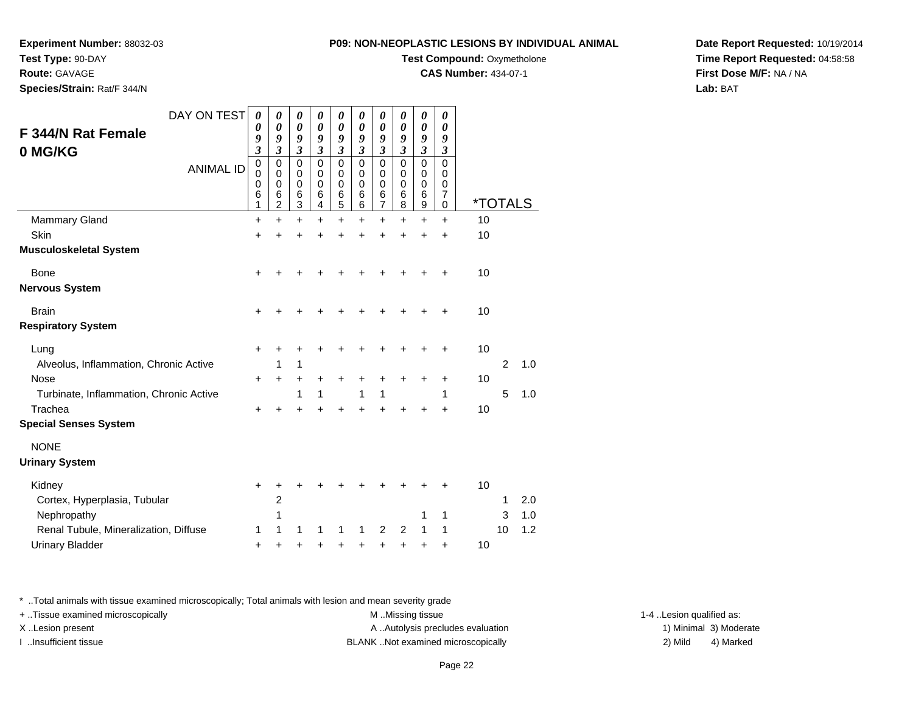**Experiment Number:** 88032-03

**Test Type:** 90-DAY

**Route:** GAVAGE

**Species/Strain:** Rat/F 344/N

## **P09: NON-NEOPLASTIC LESIONS BY INDIVIDUAL ANIMAL**

**Test Compound:** Oxymetholone

**CAS Number:** 434-07-1

**Date Report Requested:** 10/19/2014**Time Report Requested:** 04:58:58**First Dose M/F:** NA / NA**Lab:** BAT

|                                         | DAY ON TEST      | $\boldsymbol{\theta}$      | 0                | $\boldsymbol{\theta}$      | 0                    | 0                    | 0             | 0                | 0             | 0                | 0             |                       |                |     |
|-----------------------------------------|------------------|----------------------------|------------------|----------------------------|----------------------|----------------------|---------------|------------------|---------------|------------------|---------------|-----------------------|----------------|-----|
| <b>F 344/N Rat Female</b>               |                  | 0<br>9                     | 0<br>9           | $\boldsymbol{\theta}$<br>9 | 0<br>9               | 0<br>9               | 0<br>9        | 0<br>9           | 0<br>9        | 0<br>9           | 0<br>9        |                       |                |     |
| 0 MG/KG                                 |                  | $\mathfrak{z}$             | $\mathfrak{z}$   | $\boldsymbol{\beta}$       | 3                    | $\boldsymbol{\beta}$ | 3             | 3                | 3             | 3                | 3             |                       |                |     |
|                                         | <b>ANIMAL ID</b> | $\mathbf 0$<br>$\mathbf 0$ | $\mathbf 0$<br>0 | $\Omega$<br>0              | $\Omega$<br>$\Omega$ | $\mathbf 0$<br>0     | $\Omega$<br>0 | $\mathbf 0$<br>0 | $\Omega$<br>0 | $\mathbf 0$<br>0 | $\Omega$<br>0 |                       |                |     |
|                                         |                  | 0<br>6                     | 0<br>6           | 0<br>$\,6$                 | 0<br>6               | $\mathbf 0$<br>$\,6$ | 0<br>6        | 0<br>$\,6\,$     | 0<br>6        | 0<br>6           | 0<br>7        |                       |                |     |
|                                         |                  | 1                          | $\overline{c}$   | $\mathbf{3}$               | 4                    | $\overline{5}$       | 6             | $\overline{7}$   | 8             | 9                | 0             | <i><b>*TOTALS</b></i> |                |     |
| <b>Mammary Gland</b>                    |                  | +                          | +                | +                          | +                    | $\ddot{}$            | +             | $\ddot{}$        | +             | +                | +             | 10                    |                |     |
| Skin                                    |                  | $\ddot{}$                  | +                | +                          | +                    | +                    | +             | +                | +             | +                | +             | 10                    |                |     |
| <b>Musculoskeletal System</b>           |                  |                            |                  |                            |                      |                      |               |                  |               |                  |               |                       |                |     |
| <b>Bone</b>                             |                  | +                          |                  |                            |                      |                      |               |                  |               |                  |               | 10                    |                |     |
| <b>Nervous System</b>                   |                  |                            |                  |                            |                      |                      |               |                  |               |                  |               |                       |                |     |
| <b>Brain</b>                            |                  | +                          | +                | +                          |                      |                      |               |                  |               |                  | +             | 10                    |                |     |
| <b>Respiratory System</b>               |                  |                            |                  |                            |                      |                      |               |                  |               |                  |               |                       |                |     |
| Lung                                    |                  | +                          | +                | +                          |                      |                      |               |                  |               |                  | +             | 10                    |                |     |
| Alveolus, Inflammation, Chronic Active  |                  |                            | 1                | 1                          |                      |                      |               |                  |               |                  |               |                       | $\overline{2}$ | 1.0 |
| <b>Nose</b>                             |                  | $\ddot{}$                  | $\ddot{}$        | +                          | +                    | $\ddot{}$            | +             | +                | +             | +                | +             | 10                    |                |     |
| Turbinate, Inflammation, Chronic Active |                  |                            |                  | 1                          | 1                    |                      | 1             | 1                |               |                  | 1             |                       | 5              | 1.0 |
| Trachea                                 |                  | ٠                          | +                | +                          |                      | $\div$               |               | +                |               | +                | +             | 10                    |                |     |
| <b>Special Senses System</b>            |                  |                            |                  |                            |                      |                      |               |                  |               |                  |               |                       |                |     |
| <b>NONE</b>                             |                  |                            |                  |                            |                      |                      |               |                  |               |                  |               |                       |                |     |
| <b>Urinary System</b>                   |                  |                            |                  |                            |                      |                      |               |                  |               |                  |               |                       |                |     |
| Kidney                                  |                  | +                          | +                | +                          |                      |                      |               |                  |               |                  |               | 10                    |                |     |
| Cortex, Hyperplasia, Tubular            |                  |                            | $\overline{c}$   |                            |                      |                      |               |                  |               |                  |               |                       | 1              | 2.0 |
| Nephropathy                             |                  |                            | 1                |                            |                      |                      |               |                  |               | 1                | 1             |                       | 3              | 1.0 |
| Renal Tubule, Mineralization, Diffuse   |                  | 1                          | 1                | 1                          |                      | 1                    |               | 2                | 2             | 1                | 1             |                       | 10             | 1.2 |
| <b>Urinary Bladder</b>                  |                  | +                          | +                | +                          | +                    | +                    | +             | +                | +             | +                | +             | 10                    |                |     |

\* ..Total animals with tissue examined microscopically; Total animals with lesion and mean severity grade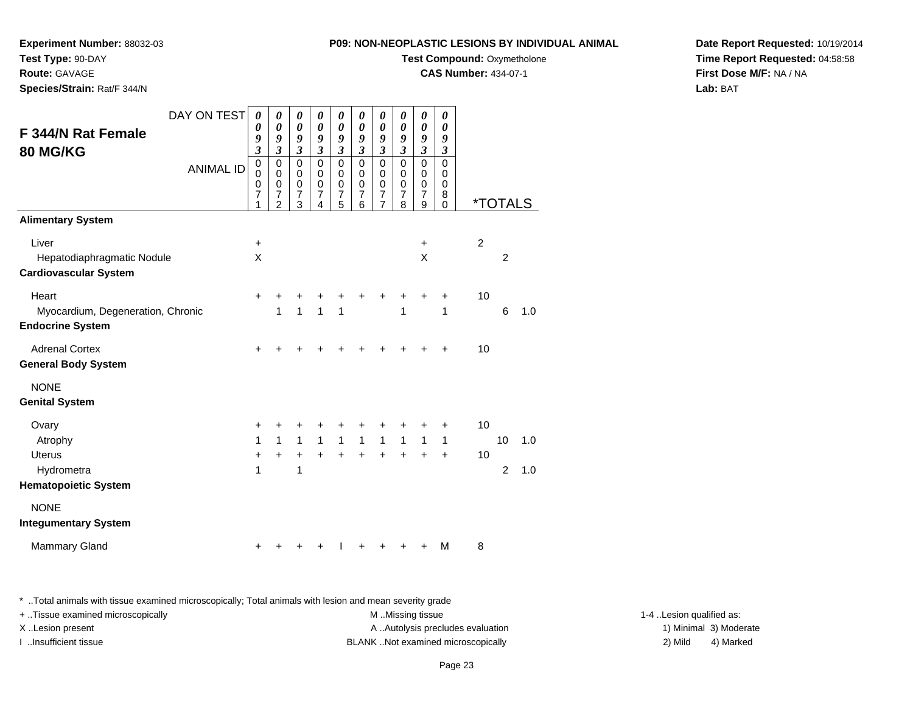**Experiment Number:** 88032-03

**Test Type:** 90-DAY**Route:** GAVAGE

**Species/Strain:** Rat/F 344/N

**Test Compound: Oxymetholone** 

**CAS Number:** 434-07-1

**Date Report Requested:** 10/19/2014**Time Report Requested:** 04:58:58**First Dose M/F:** NA / NA**Lab:** BAT

| DAY ON TEST<br><b>F 344/N Rat Female</b><br><b>80 MG/KG</b><br><b>ANIMAL ID</b> | 0<br>$\boldsymbol{\theta}$<br>9<br>$\overline{\mathbf{3}}$<br>$\mathsf 0$<br>$\mathbf 0$<br>0 | 0<br>$\boldsymbol{\theta}$<br>9<br>$\mathfrak{z}$<br>$\pmb{0}$<br>0<br>$\mathbf 0$ | $\boldsymbol{\theta}$<br>$\boldsymbol{\theta}$<br>9<br>$\mathfrak{z}$<br>$\pmb{0}$<br>$\mathbf 0$<br>$\mathbf 0$ | 0<br>$\pmb{\theta}$<br>9<br>$\mathfrak{z}$<br>$\mathbf 0$<br>0<br>$\mathbf 0$ | 0<br>$\boldsymbol{\theta}$<br>9<br>$\mathfrak{z}$<br>$\mathbf 0$<br>0<br>$\mathbf 0$ | 0<br>$\boldsymbol{\theta}$<br>9<br>$\mathfrak{z}$<br>$\mathbf 0$<br>0<br>$\pmb{0}$ | 0<br>$\pmb{\theta}$<br>9<br>$\boldsymbol{\mathfrak{z}}$<br>$\mathbf 0$<br>$\mathbf 0$<br>$\mathbf 0$ | 0<br>$\boldsymbol{\theta}$<br>9<br>$\mathfrak{z}$<br>$\mathbf 0$<br>0<br>$\mathbf 0$ | 0<br>$\pmb{\theta}$<br>$\pmb{9}$<br>$\mathfrak{z}$<br>$\pmb{0}$<br>$\pmb{0}$<br>$\mathbf 0$ | 0<br>$\boldsymbol{\theta}$<br>9<br>$\boldsymbol{\mathfrak{z}}$<br>$\mathbf 0$<br>0<br>0 |                       |                      |            |
|---------------------------------------------------------------------------------|-----------------------------------------------------------------------------------------------|------------------------------------------------------------------------------------|------------------------------------------------------------------------------------------------------------------|-------------------------------------------------------------------------------|--------------------------------------------------------------------------------------|------------------------------------------------------------------------------------|------------------------------------------------------------------------------------------------------|--------------------------------------------------------------------------------------|---------------------------------------------------------------------------------------------|-----------------------------------------------------------------------------------------|-----------------------|----------------------|------------|
|                                                                                 | $\overline{7}$<br>1                                                                           | $\overline{7}$<br>$\overline{2}$                                                   | $\overline{7}$<br>3                                                                                              | $\overline{7}$<br>4                                                           | $\overline{7}$<br>5                                                                  | $\overline{7}$<br>6                                                                | $\boldsymbol{7}$<br>$\overline{7}$                                                                   | $\boldsymbol{7}$<br>8                                                                | $\overline{7}$<br>9                                                                         | 8<br>$\Omega$                                                                           | <i><b>*TOTALS</b></i> |                      |            |
| <b>Alimentary System</b>                                                        |                                                                                               |                                                                                    |                                                                                                                  |                                                                               |                                                                                      |                                                                                    |                                                                                                      |                                                                                      |                                                                                             |                                                                                         |                       |                      |            |
| Liver<br>Hepatodiaphragmatic Nodule<br><b>Cardiovascular System</b>             | $\ddot{}$<br>X                                                                                |                                                                                    |                                                                                                                  |                                                                               |                                                                                      |                                                                                    |                                                                                                      |                                                                                      | +<br>X                                                                                      |                                                                                         | $\overline{c}$        | 2                    |            |
| Heart<br>Myocardium, Degeneration, Chronic<br><b>Endocrine System</b>           | $\ddot{}$                                                                                     | +<br>1                                                                             | 1                                                                                                                | 1                                                                             | 1                                                                                    |                                                                                    | +                                                                                                    | 1                                                                                    | ٠                                                                                           | ٠<br>1                                                                                  | 10                    | $\,6$                | 1.0        |
| <b>Adrenal Cortex</b><br><b>General Body System</b>                             | +                                                                                             | +                                                                                  | ٠                                                                                                                |                                                                               |                                                                                      |                                                                                    |                                                                                                      |                                                                                      |                                                                                             | ÷                                                                                       | 10                    |                      |            |
| <b>NONE</b><br><b>Genital System</b>                                            |                                                                                               |                                                                                    |                                                                                                                  |                                                                               |                                                                                      |                                                                                    |                                                                                                      |                                                                                      |                                                                                             |                                                                                         |                       |                      |            |
| Ovary<br>Atrophy<br><b>Uterus</b><br>Hydrometra                                 | +<br>1<br>+<br>1                                                                              | +<br>$\mathbf{1}$<br>+                                                             | +<br>$\mathbf{1}$<br>$\ddot{}$<br>1                                                                              | $\mathbf{1}$<br>$+$                                                           | +<br>$\mathbf{1}$<br>$+$                                                             | $\mathbf{1}$<br>$+$                                                                | $\mathbf{1}$<br>$+$                                                                                  | $\mathbf{1}$<br>$\ddot{}$                                                            | $\mathbf{1}$<br>$+$                                                                         | +<br>$\mathbf{1}$<br>$\ddot{}$                                                          | 10<br>10              | 10<br>$\overline{2}$ | 1.0<br>1.0 |
| <b>Hematopoietic System</b>                                                     |                                                                                               |                                                                                    |                                                                                                                  |                                                                               |                                                                                      |                                                                                    |                                                                                                      |                                                                                      |                                                                                             |                                                                                         |                       |                      |            |
| <b>NONE</b><br><b>Integumentary System</b>                                      |                                                                                               |                                                                                    |                                                                                                                  |                                                                               |                                                                                      |                                                                                    |                                                                                                      |                                                                                      |                                                                                             |                                                                                         |                       |                      |            |
| <b>Mammary Gland</b>                                                            | +                                                                                             |                                                                                    |                                                                                                                  |                                                                               |                                                                                      |                                                                                    |                                                                                                      |                                                                                      |                                                                                             | M                                                                                       | 8                     |                      |            |

\* ..Total animals with tissue examined microscopically; Total animals with lesion and mean severity grade

| + Tissue examined microscopically | M Missing tissue                  | 1-4 Lesion qualified as: |                        |
|-----------------------------------|-----------------------------------|--------------------------|------------------------|
| X Lesion present                  | A Autolysis precludes evaluation  |                          | 1) Minimal 3) Moderate |
| …Insufficient tissue              | BLANKNot examined microscopically | 2) Mild                  | 4) Marked              |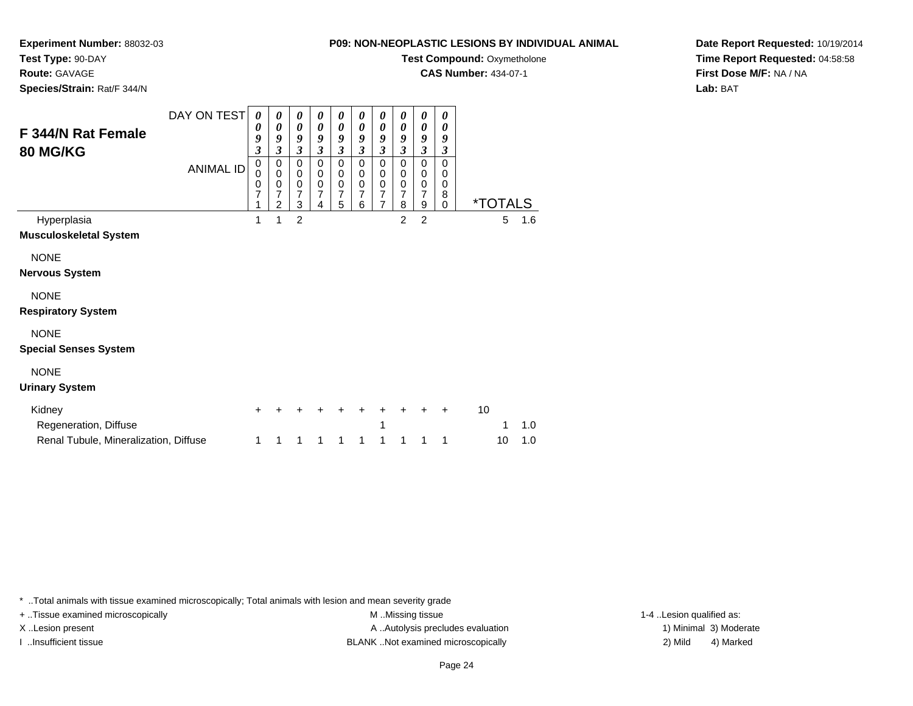**Experiment Number:** 88032-03

**Test Type:** 90-DAY

**Route:** GAVAGE

**Species/Strain:** Rat/F 344/N

**Test Compound: Oxymetholone** 

**CAS Number:** 434-07-1

**Date Report Requested:** 10/19/2014**Time Report Requested:** 04:58:58**First Dose M/F:** NA / NA**Lab:** BAT

| F 344/N Rat Female<br><b>80 MG/KG</b> | DAY ON TEST<br><b>ANIMAL ID</b> | 0<br>0<br>9<br>3<br>0<br>0<br>0<br>7<br>1 | 0<br>0<br>9<br>3<br>0<br>$\boldsymbol{0}$<br>$\pmb{0}$<br>7<br>$\overline{2}$ | 0<br>$\boldsymbol{\theta}$<br>9<br>$\overline{\mathbf{3}}$<br>0<br>$\pmb{0}$<br>$\mathbf 0$<br>$\overline{7}$<br>3 | 0<br>0<br>9<br>3<br>0<br>0<br>$\pmb{0}$<br>$\overline{7}$<br>4 | 0<br>0<br>9<br>$\overline{\mathbf{3}}$<br>0<br>0<br>$\mathbf 0$<br>$\overline{7}$<br>5 | 0<br>0<br>9<br>3<br>0<br>$\mathbf 0$<br>$\mathbf 0$<br>7<br>6 | 0<br>$\boldsymbol{\theta}$<br>9<br>$\overline{\mathbf{3}}$<br>$\mathbf 0$<br>$\mathbf 0$<br>$\mathbf 0$<br>$\overline{7}$<br>$\overline{7}$ | 0<br>0<br>9<br>3<br>$\mathbf 0$<br>$\mathbf 0$<br>$\mathbf 0$<br>$\overline{7}$<br>8 | 0<br>0<br>9<br>$\overline{\mathbf{3}}$<br>$\mathbf 0$<br>$\mathbf 0$<br>$\pmb{0}$<br>$\overline{7}$<br>9 | 0<br>0<br>9<br>3<br>$\mathbf 0$<br>0<br>$\mathbf 0$<br>8<br>$\Omega$ |    | <i><b>*TOTALS</b></i> |     |
|---------------------------------------|---------------------------------|-------------------------------------------|-------------------------------------------------------------------------------|--------------------------------------------------------------------------------------------------------------------|----------------------------------------------------------------|----------------------------------------------------------------------------------------|---------------------------------------------------------------|---------------------------------------------------------------------------------------------------------------------------------------------|--------------------------------------------------------------------------------------|----------------------------------------------------------------------------------------------------------|----------------------------------------------------------------------|----|-----------------------|-----|
| Hyperplasia                           |                                 | 1                                         | 1                                                                             | $\overline{2}$                                                                                                     |                                                                |                                                                                        |                                                               |                                                                                                                                             | $\overline{2}$                                                                       | $\overline{2}$                                                                                           |                                                                      |    | 5                     | 1.6 |
| <b>Musculoskeletal System</b>         |                                 |                                           |                                                                               |                                                                                                                    |                                                                |                                                                                        |                                                               |                                                                                                                                             |                                                                                      |                                                                                                          |                                                                      |    |                       |     |
| <b>NONE</b>                           |                                 |                                           |                                                                               |                                                                                                                    |                                                                |                                                                                        |                                                               |                                                                                                                                             |                                                                                      |                                                                                                          |                                                                      |    |                       |     |
| <b>Nervous System</b>                 |                                 |                                           |                                                                               |                                                                                                                    |                                                                |                                                                                        |                                                               |                                                                                                                                             |                                                                                      |                                                                                                          |                                                                      |    |                       |     |
| <b>NONE</b>                           |                                 |                                           |                                                                               |                                                                                                                    |                                                                |                                                                                        |                                                               |                                                                                                                                             |                                                                                      |                                                                                                          |                                                                      |    |                       |     |
| <b>Respiratory System</b>             |                                 |                                           |                                                                               |                                                                                                                    |                                                                |                                                                                        |                                                               |                                                                                                                                             |                                                                                      |                                                                                                          |                                                                      |    |                       |     |
| <b>NONE</b>                           |                                 |                                           |                                                                               |                                                                                                                    |                                                                |                                                                                        |                                                               |                                                                                                                                             |                                                                                      |                                                                                                          |                                                                      |    |                       |     |
| <b>Special Senses System</b>          |                                 |                                           |                                                                               |                                                                                                                    |                                                                |                                                                                        |                                                               |                                                                                                                                             |                                                                                      |                                                                                                          |                                                                      |    |                       |     |
| <b>NONE</b>                           |                                 |                                           |                                                                               |                                                                                                                    |                                                                |                                                                                        |                                                               |                                                                                                                                             |                                                                                      |                                                                                                          |                                                                      |    |                       |     |
| <b>Urinary System</b>                 |                                 |                                           |                                                                               |                                                                                                                    |                                                                |                                                                                        |                                                               |                                                                                                                                             |                                                                                      |                                                                                                          |                                                                      |    |                       |     |
| Kidney                                |                                 | ÷                                         |                                                                               |                                                                                                                    |                                                                |                                                                                        |                                                               | ٠                                                                                                                                           |                                                                                      |                                                                                                          | ٠                                                                    | 10 |                       |     |
| Regeneration, Diffuse                 |                                 |                                           |                                                                               |                                                                                                                    |                                                                |                                                                                        |                                                               | 1                                                                                                                                           |                                                                                      |                                                                                                          |                                                                      |    | 1                     | 1.0 |
| Renal Tubule, Mineralization, Diffuse |                                 | 1                                         |                                                                               | 1                                                                                                                  |                                                                | 1                                                                                      | 1                                                             | 1                                                                                                                                           | 1                                                                                    | 1                                                                                                        | 1                                                                    |    | 10                    | 1.0 |

\* ..Total animals with tissue examined microscopically; Total animals with lesion and mean severity grade

+ ..Tissue examined microscopically examined microscopically examined as:  $M$  ..Missing tissue 1-4 ..Lesion qualified as: X..Lesion present **A ..Autolysis precludes evaluation** A ..Autolysis precludes evaluation 1) Minimal 3) Moderate I ..Insufficient tissue 2) Mild 2 and the BLANK ..Not examined microscopically and the same 2) Mild

4) Marked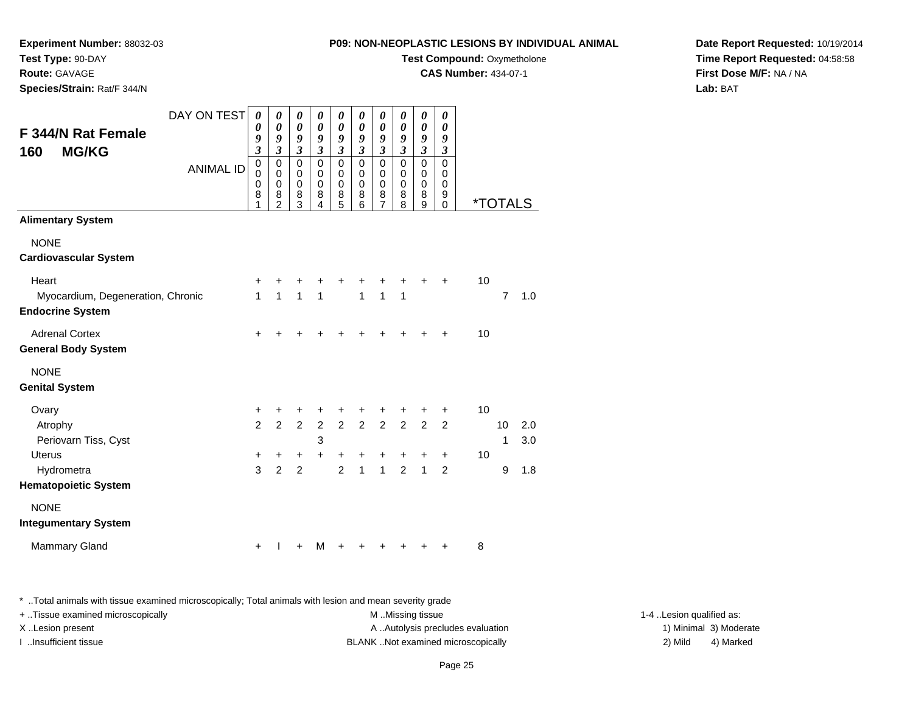**Experiment Number:** 88032-03

**Test Type:** 90-DAY**Route:** GAVAGE

**Species/Strain:** Rat/F 344/N

**Test Compound:** Oxymetholone

**CAS Number:** 434-07-1

**Date Report Requested:** 10/19/2014**Time Report Requested:** 04:58:58**First Dose M/F:** NA / NA**Lab:** BAT

| <b>F 344/N Rat Female</b><br><b>MG/KG</b><br>160             | DAY ON TEST      | 0<br>$\boldsymbol{\theta}$<br>9<br>$\overline{\mathbf{3}}$ | 0<br>$\pmb{\theta}$<br>9<br>$\boldsymbol{\mathfrak{z}}$      | 0<br>$\pmb{\theta}$<br>9<br>$\mathfrak{z}$        | 0<br>$\pmb{\theta}$<br>9<br>$\mathfrak{z}$          | 0<br>$\pmb{\theta}$<br>9<br>$\mathfrak{z}$          | 0<br>$\pmb{\theta}$<br>9<br>$\mathfrak{z}$          | 0<br>$\pmb{\theta}$<br>9<br>$\mathfrak{z}$           | 0<br>$\boldsymbol{\theta}$<br>9<br>$\mathfrak{z}$ | 0<br>$\boldsymbol{\theta}$<br>9<br>$\mathfrak{z}$                        | 0<br>$\boldsymbol{\theta}$<br>9<br>$\boldsymbol{\beta}$ |                       |                |     |
|--------------------------------------------------------------|------------------|------------------------------------------------------------|--------------------------------------------------------------|---------------------------------------------------|-----------------------------------------------------|-----------------------------------------------------|-----------------------------------------------------|------------------------------------------------------|---------------------------------------------------|--------------------------------------------------------------------------|---------------------------------------------------------|-----------------------|----------------|-----|
|                                                              | <b>ANIMAL ID</b> | $\mathbf 0$<br>$\mathbf 0$<br>0<br>8<br>1                  | $\pmb{0}$<br>$\mathbf 0$<br>$\pmb{0}$<br>8<br>$\overline{c}$ | $\pmb{0}$<br>$\mathbf 0$<br>$\mathbf 0$<br>8<br>3 | $\mathbf 0$<br>$\mathbf 0$<br>$\mathbf 0$<br>8<br>4 | $\mathbf 0$<br>$\mathbf 0$<br>$\mathbf 0$<br>8<br>5 | $\mathsf 0$<br>$\mathbf 0$<br>$\mathbf 0$<br>8<br>6 | $\mathbf 0$<br>0<br>$\pmb{0}$<br>8<br>$\overline{7}$ | $\pmb{0}$<br>0<br>0<br>8<br>8                     | $\mathbf 0$<br>$\mathbf 0$<br>$\mathbf 0$<br>$\bf 8$<br>$\boldsymbol{9}$ | $\mathbf 0$<br>0<br>$\mathbf 0$<br>9<br>$\mathbf 0$     | <i><b>*TOTALS</b></i> |                |     |
| <b>Alimentary System</b>                                     |                  |                                                            |                                                              |                                                   |                                                     |                                                     |                                                     |                                                      |                                                   |                                                                          |                                                         |                       |                |     |
| <b>NONE</b><br><b>Cardiovascular System</b>                  |                  |                                                            |                                                              |                                                   |                                                     |                                                     |                                                     |                                                      |                                                   |                                                                          |                                                         |                       |                |     |
| Heart                                                        |                  | +                                                          | +                                                            | +                                                 | +                                                   | +                                                   | +                                                   | +                                                    | +                                                 |                                                                          | +                                                       | 10                    |                |     |
| Myocardium, Degeneration, Chronic<br><b>Endocrine System</b> |                  | $\mathbf{1}$                                               | $\overline{1}$                                               | $\mathbf{1}$                                      | 1                                                   |                                                     | $\mathbf{1}$                                        | 1                                                    | 1                                                 |                                                                          |                                                         |                       | $\overline{7}$ | 1.0 |
| <b>Adrenal Cortex</b><br><b>General Body System</b>          |                  | $\ddot{}$                                                  |                                                              |                                                   |                                                     |                                                     |                                                     |                                                      |                                                   |                                                                          |                                                         | 10                    |                |     |
| <b>NONE</b><br><b>Genital System</b>                         |                  |                                                            |                                                              |                                                   |                                                     |                                                     |                                                     |                                                      |                                                   |                                                                          |                                                         |                       |                |     |
| Ovary                                                        |                  | +                                                          | +                                                            | +                                                 | +                                                   | $\ddot{}$                                           | +                                                   | +                                                    | +                                                 | +                                                                        | +                                                       | 10                    |                |     |
| Atrophy                                                      |                  | $\overline{2}$                                             | $\overline{2}$                                               |                                                   | $2\quad 2$                                          |                                                     | $2 \quad 2 \quad 2$                                 |                                                      | $\overline{2}$                                    | $\overline{2}$                                                           | $\overline{2}$                                          |                       | 10             | 2.0 |
| Periovarn Tiss, Cyst                                         |                  |                                                            |                                                              |                                                   | 3                                                   |                                                     |                                                     |                                                      |                                                   |                                                                          |                                                         |                       | 1              | 3.0 |
| <b>Uterus</b>                                                |                  | +                                                          | +                                                            | +                                                 | +                                                   | $\ddot{}$                                           | +                                                   | +                                                    | +                                                 | +                                                                        | $\ddot{}$                                               | 10                    |                |     |
| Hydrometra                                                   |                  | 3                                                          | $\overline{2}$                                               | $\overline{2}$                                    |                                                     | $\overline{2}$                                      | $\mathbf{1}$                                        | $\mathbf{1}$                                         | $\overline{2}$                                    | $\mathbf{1}$                                                             | $\overline{2}$                                          |                       | 9              | 1.8 |
| <b>Hematopoietic System</b>                                  |                  |                                                            |                                                              |                                                   |                                                     |                                                     |                                                     |                                                      |                                                   |                                                                          |                                                         |                       |                |     |
| <b>NONE</b>                                                  |                  |                                                            |                                                              |                                                   |                                                     |                                                     |                                                     |                                                      |                                                   |                                                                          |                                                         |                       |                |     |
| <b>Integumentary System</b>                                  |                  |                                                            |                                                              |                                                   |                                                     |                                                     |                                                     |                                                      |                                                   |                                                                          |                                                         |                       |                |     |
| <b>Mammary Gland</b>                                         |                  | $\ddot{}$                                                  |                                                              | $\ddot{}$                                         | м                                                   | $\ddot{}$                                           | +                                                   | ٠                                                    |                                                   |                                                                          |                                                         | 8                     |                |     |

\* ..Total animals with tissue examined microscopically; Total animals with lesion and mean severity grade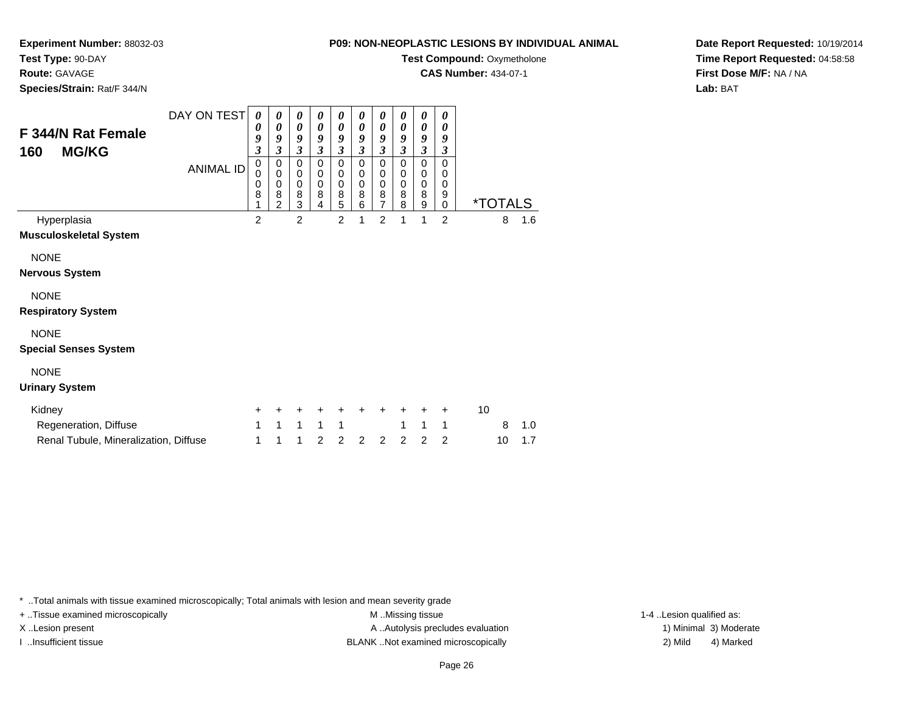**Experiment Number:** 88032-03

**Test Type:** 90-DAY

**Route:** GAVAGE

**Species/Strain:** Rat/F 344/N

**Test Compound: Oxymetholone** 

**CAS Number:** 434-07-1

**Date Report Requested:** 10/19/2014**Time Report Requested:** 04:58:58**First Dose M/F:** NA / NA**Lab:** BAT

| F 344/N Rat Female<br><b>MG/KG</b><br>160    | DAY ON TEST<br><b>ANIMAL ID</b> | 0<br>0<br>9<br>3<br>0<br>0<br>0<br>8<br>1 | 0<br>0<br>9<br>$\overline{\mathbf{3}}$<br>0<br>$\mathbf 0$<br>$\boldsymbol{0}$<br>8<br>$\mathcal{P}$ | 0<br>0<br>9<br>3<br>0<br>0<br>0<br>8<br>3 | 0<br>0<br>9<br>3<br>$\mathbf 0$<br>$\mathbf 0$<br>$\mathbf 0$<br>8<br>4 | 0<br>0<br>9<br>$\overline{\mathbf{3}}$<br>0<br>0<br>0<br>8<br>5 | 0<br>0<br>9<br>$\overline{\mathbf{3}}$<br>$\mathbf 0$<br>$\mathbf 0$<br>$\mathbf 0$<br>8<br>6 | 0<br>0<br>9<br>$\overline{\mathbf{3}}$<br>$\mathbf 0$<br>0<br>$\mathbf 0$<br>8<br>$\overline{7}$ | 0<br>0<br>9<br>$\mathfrak{z}$<br>$\mathbf 0$<br>0<br>$\mathbf 0$<br>8<br>8 | 0<br>0<br>9<br>$\mathfrak{z}$<br>$\Omega$<br>0<br>$\mathbf 0$<br>8<br>9 | 0<br>0<br>9<br>3<br>$\mathbf 0$<br>0<br>$\mathbf 0$<br>9<br>0 |    | <i><b>*TOTALS</b></i> |     |
|----------------------------------------------|---------------------------------|-------------------------------------------|------------------------------------------------------------------------------------------------------|-------------------------------------------|-------------------------------------------------------------------------|-----------------------------------------------------------------|-----------------------------------------------------------------------------------------------|--------------------------------------------------------------------------------------------------|----------------------------------------------------------------------------|-------------------------------------------------------------------------|---------------------------------------------------------------|----|-----------------------|-----|
| Hyperplasia<br><b>Musculoskeletal System</b> |                                 | $\overline{2}$                            |                                                                                                      | $\overline{2}$                            |                                                                         | $\overline{2}$                                                  | 1                                                                                             | $\overline{2}$                                                                                   | 1                                                                          | 1                                                                       | $\overline{2}$                                                |    | 8                     | 1.6 |
| <b>NONE</b><br><b>Nervous System</b>         |                                 |                                           |                                                                                                      |                                           |                                                                         |                                                                 |                                                                                               |                                                                                                  |                                                                            |                                                                         |                                                               |    |                       |     |
| <b>NONE</b><br><b>Respiratory System</b>     |                                 |                                           |                                                                                                      |                                           |                                                                         |                                                                 |                                                                                               |                                                                                                  |                                                                            |                                                                         |                                                               |    |                       |     |
| <b>NONE</b><br><b>Special Senses System</b>  |                                 |                                           |                                                                                                      |                                           |                                                                         |                                                                 |                                                                                               |                                                                                                  |                                                                            |                                                                         |                                                               |    |                       |     |
| <b>NONE</b><br><b>Urinary System</b>         |                                 |                                           |                                                                                                      |                                           |                                                                         |                                                                 |                                                                                               |                                                                                                  |                                                                            |                                                                         |                                                               |    |                       |     |
| Kidney<br>Regeneration, Diffuse              |                                 | ٠<br>1                                    | 1                                                                                                    | 1                                         | 1                                                                       | 1                                                               | ٠                                                                                             | ٠                                                                                                | ٠<br>1                                                                     | $\ddot{}$<br>1                                                          | $\pm$<br>1                                                    | 10 | 8                     | 1.0 |

\* ..Total animals with tissue examined microscopically; Total animals with lesion and mean severity grade

Renal Tubule, Mineralization, Diffuse

+ ..Tissue examined microscopically examined microscopically examined as:  $M$  ..Missing tissue 1-4 ..Lesion qualified as: X..Lesion present **A ..Autolysis precludes evaluation** A ..Autolysis precludes evaluation 1) Minimal 3) Moderate I ..Insufficient tissue BLANK ..Not examined microscopically 2) Mild 4) Marked

<sup>1</sup> <sup>1</sup> <sup>1</sup> <sup>2</sup> <sup>2</sup> <sup>2</sup> <sup>2</sup> <sup>2</sup> <sup>2</sup> <sup>2</sup> <sup>10</sup> 1.7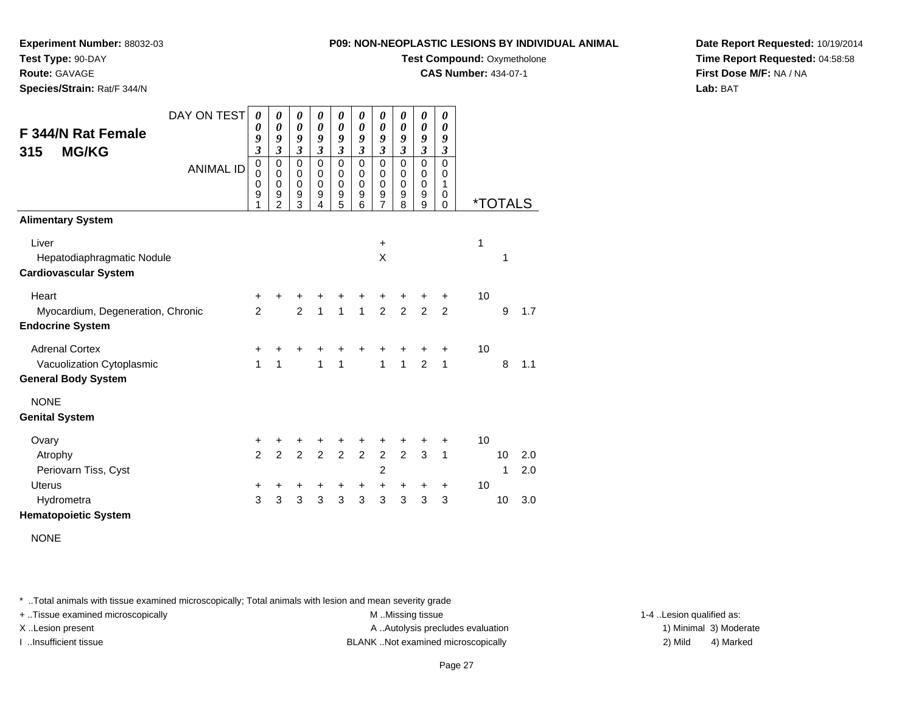**Experiment Number:** 88032-03

**Test Type:** 90-DAY

**Route:** GAVAGE

**Species/Strain:** Rat/F 344/N

**Test Compound:** Oxymetholone

**CAS Number:** 434-07-1

**Date Report Requested:** 10/19/2014**Time Report Requested:** 04:58:58**First Dose M/F:** NA / NA**Lab:** BAT

| F 344/N Rat Female<br><b>MG/KG</b><br>315<br><b>Alimentary System</b>            | DAY ON TEST<br><b>ANIMAL ID</b> | 0<br>0<br>9<br>$\overline{\mathbf{3}}$<br>$\mathbf 0$<br>0<br>0<br>9<br>1 | 0<br>$\boldsymbol{\theta}$<br>9<br>$\overline{\mathbf{3}}$<br>0<br>$\mathbf 0$<br>$\mathbf 0$<br>9<br>$\overline{2}$ | 0<br>$\boldsymbol{\theta}$<br>9<br>$\mathfrak{z}$<br>$\mathbf 0$<br>$\pmb{0}$<br>$\pmb{0}$<br>9<br>$\overline{3}$ | 0<br>$\boldsymbol{\theta}$<br>9<br>$\mathfrak{z}$<br>$\mathbf 0$<br>$\mathbf 0$<br>$\mathbf 0$<br>$\boldsymbol{9}$<br>4 | 0<br>$\boldsymbol{\theta}$<br>9<br>$\overline{\mathbf{3}}$<br>$\mathbf 0$<br>0<br>0<br>$\boldsymbol{9}$<br>$\overline{5}$ | 0<br>$\boldsymbol{\theta}$<br>9<br>$\mathfrak{z}$<br>$\Omega$<br>$\Omega$<br>0<br>9<br>6 | 0<br>$\boldsymbol{\theta}$<br>9<br>$\mathfrak{z}$<br>$\mathbf 0$<br>$\mathbf 0$<br>$\pmb{0}$<br>9<br>$\overline{7}$ | 0<br>0<br>9<br>$\overline{\mathbf{3}}$<br>$\mathbf 0$<br>0<br>0<br>$\boldsymbol{9}$<br>8 | 0<br>$\boldsymbol{\theta}$<br>9<br>$\overline{\mathbf{3}}$<br>0<br>$\mathsf 0$<br>$\pmb{0}$<br>9<br>$\overline{9}$ | 0<br>0<br>9<br>$\overline{\mathbf{3}}$<br>$\mathbf 0$<br>0<br>1<br>$\mathbf 0$<br>$\mathbf 0$ | <i><b>*TOTALS</b></i> |         |            |
|----------------------------------------------------------------------------------|---------------------------------|---------------------------------------------------------------------------|----------------------------------------------------------------------------------------------------------------------|-------------------------------------------------------------------------------------------------------------------|-------------------------------------------------------------------------------------------------------------------------|---------------------------------------------------------------------------------------------------------------------------|------------------------------------------------------------------------------------------|---------------------------------------------------------------------------------------------------------------------|------------------------------------------------------------------------------------------|--------------------------------------------------------------------------------------------------------------------|-----------------------------------------------------------------------------------------------|-----------------------|---------|------------|
| Liver<br>Hepatodiaphragmatic Nodule<br><b>Cardiovascular System</b>              |                                 |                                                                           |                                                                                                                      |                                                                                                                   |                                                                                                                         |                                                                                                                           |                                                                                          | $\ddot{}$<br>X                                                                                                      |                                                                                          |                                                                                                                    |                                                                                               | 1                     | 1       |            |
| Heart<br>Myocardium, Degeneration, Chronic<br><b>Endocrine System</b>            |                                 | +<br>$\overline{2}$                                                       |                                                                                                                      | $\overline{2}$                                                                                                    | $\mathbf{1}$                                                                                                            | $\mathbf{1}$                                                                                                              | $\overline{1}$                                                                           | +<br>$\overline{2}$                                                                                                 | $\overline{2}$                                                                           | +<br>$\overline{2}$                                                                                                | ÷<br>2                                                                                        | 10                    | 9       | 1.7        |
| <b>Adrenal Cortex</b><br>Vacuolization Cytoplasmic<br><b>General Body System</b> |                                 | +<br>1                                                                    | +<br>1                                                                                                               |                                                                                                                   | 1                                                                                                                       | ٠<br>$\mathbf{1}$                                                                                                         | +                                                                                        | +<br>$\mathbf{1}$                                                                                                   | $\pm$<br>$\mathbf{1}$                                                                    | $\pm$<br>$\mathfrak{p}$                                                                                            | $\pm$<br>$\mathbf{1}$                                                                         | 10                    | 8       | 1.1        |
| <b>NONE</b><br><b>Genital System</b>                                             |                                 |                                                                           |                                                                                                                      |                                                                                                                   |                                                                                                                         |                                                                                                                           |                                                                                          |                                                                                                                     |                                                                                          |                                                                                                                    |                                                                                               |                       |         |            |
| Ovary<br>Atrophy<br>Periovarn Tiss, Cyst                                         |                                 | +<br>$\overline{2}$                                                       | $\overline{2}$                                                                                                       | $\overline{2}$                                                                                                    | $\overline{2}$                                                                                                          | $\overline{2}$                                                                                                            | $\overline{2}$                                                                           | +<br>$\overline{2}$<br>2                                                                                            | $\overline{2}$                                                                           | 3                                                                                                                  | +<br>$\mathbf{1}$                                                                             | 10                    | 10<br>1 | 2.0<br>2.0 |
| <b>Uterus</b><br>Hydrometra<br><b>Hematopoietic System</b>                       |                                 | +<br>3                                                                    | 3                                                                                                                    | +<br>3                                                                                                            | +<br>$\overline{3}$                                                                                                     | +<br>$\overline{3}$                                                                                                       | +<br>$\overline{3}$                                                                      | +<br>3                                                                                                              | +<br>3                                                                                   | +<br>3                                                                                                             | $\ddot{}$<br>3                                                                                | 10                    | 10      | 3.0        |

NONE

\* ..Total animals with tissue examined microscopically; Total animals with lesion and mean severity grade

+ ..Tissue examined microscopically examined microscopically examined as:  $M$  ..Missing tissue 1-4 ..Lesion qualified as:

X..Lesion present **A ..Autolysis precludes evaluation** A ..Autolysis precludes evaluation 1) Minimal 3) Moderate

I ..Insufficient tissue BLANK ..Not examined microscopically 2) Mild 4) Marked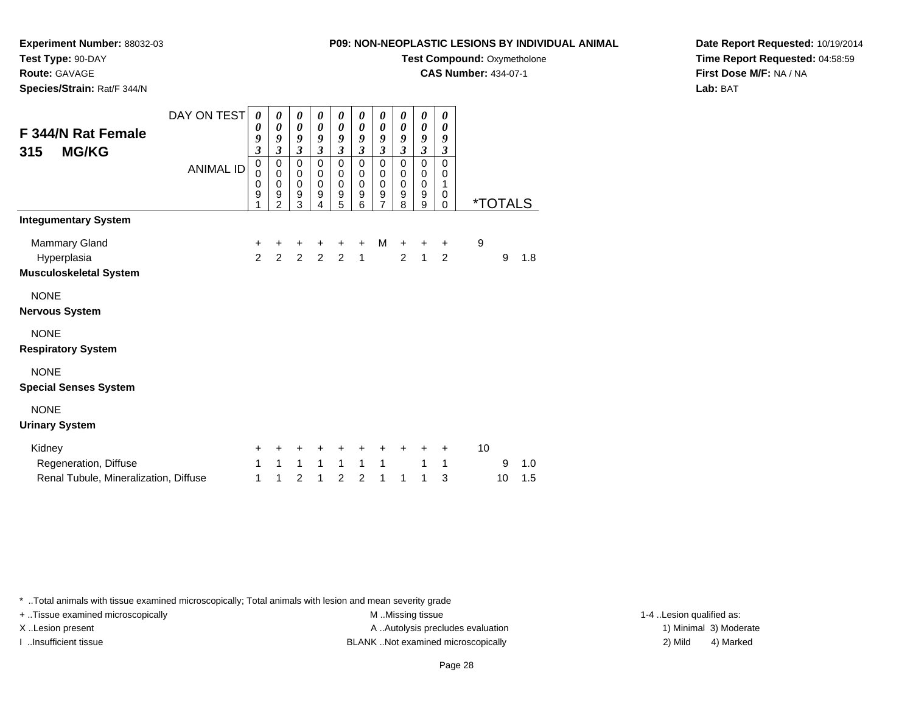**Experiment Number:** 88032-03

**Test Type:** 90-DAY**Route:** GAVAGE

**Species/Strain:** Rat/F 344/N

**Test Compound:** Oxymetholone

**CAS Number:** 434-07-1

**Date Report Requested:** 10/19/2014**Time Report Requested:** 04:58:59**First Dose M/F:** NA / NA**Lab:** BAT

| F 344/N Rat Female<br><b>MG/KG</b><br>315 | DAY ON TEST<br><b>ANIMAL ID</b> | 0<br>$\boldsymbol{\theta}$<br>9<br>3<br>$\pmb{0}$<br>0<br>0<br>9<br>1 | 0<br>$\boldsymbol{\theta}$<br>9<br>$\mathfrak{z}$<br>$\mathbf 0$<br>0<br>$\mathbf 0$<br>9<br>$\overline{2}$ | 0<br>$\boldsymbol{\theta}$<br>9<br>$\boldsymbol{\mathfrak{z}}$<br>$\pmb{0}$<br>0<br>$\pmb{0}$<br>$\boldsymbol{9}$<br>3 | 0<br>$\boldsymbol{\theta}$<br>9<br>$\mathfrak{z}$<br>$\mathbf 0$<br>$\mathbf 0$<br>$\mathbf 0$<br>$\boldsymbol{9}$<br>4 | 0<br>$\boldsymbol{\theta}$<br>9<br>$\boldsymbol{\mathfrak{z}}$<br>$\mathbf 0$<br>0<br>$\mathbf 0$<br>$\boldsymbol{9}$<br>5 | 0<br>0<br>9<br>$\mathfrak{z}$<br>$\mathbf 0$<br>0<br>0<br>9<br>6 | 0<br>$\boldsymbol{\theta}$<br>9<br>$\boldsymbol{\beta}$<br>$\mathbf 0$<br>0<br>$\mathbf 0$<br>$\boldsymbol{9}$<br>$\overline{7}$ | 0<br>$\boldsymbol{\theta}$<br>9<br>3<br>$\mathbf 0$<br>0<br>0<br>9<br>8 | 0<br>$\pmb{\theta}$<br>9<br>$\boldsymbol{\mathfrak{z}}$<br>$\mathsf 0$<br>0<br>$\mathbf 0$<br>$\boldsymbol{9}$<br>9 | 0<br>0<br>9<br>$\boldsymbol{\beta}$<br>$\mathbf 0$<br>0<br>1<br>0<br>$\Omega$ |    | <i><b>*TOTALS</b></i> |     |
|-------------------------------------------|---------------------------------|-----------------------------------------------------------------------|-------------------------------------------------------------------------------------------------------------|------------------------------------------------------------------------------------------------------------------------|-------------------------------------------------------------------------------------------------------------------------|----------------------------------------------------------------------------------------------------------------------------|------------------------------------------------------------------|----------------------------------------------------------------------------------------------------------------------------------|-------------------------------------------------------------------------|---------------------------------------------------------------------------------------------------------------------|-------------------------------------------------------------------------------|----|-----------------------|-----|
| <b>Integumentary System</b>               |                                 |                                                                       |                                                                                                             |                                                                                                                        |                                                                                                                         |                                                                                                                            |                                                                  |                                                                                                                                  |                                                                         |                                                                                                                     |                                                                               |    |                       |     |
| Mammary Gland                             |                                 | $\ddot{}$                                                             | +                                                                                                           | +                                                                                                                      | +                                                                                                                       | $\pm$                                                                                                                      | $\ddot{}$                                                        | м                                                                                                                                | $\ddot{}$                                                               | +                                                                                                                   | $+$                                                                           | 9  |                       |     |
| Hyperplasia                               |                                 | $\overline{2}$                                                        | $\overline{2}$                                                                                              |                                                                                                                        | $2\quad 2$                                                                                                              | $\overline{2}$                                                                                                             | $\mathbf{1}$                                                     |                                                                                                                                  | $\overline{2}$                                                          | $\mathbf{1}$                                                                                                        | $\overline{2}$                                                                |    | 9                     | 1.8 |
| <b>Musculoskeletal System</b>             |                                 |                                                                       |                                                                                                             |                                                                                                                        |                                                                                                                         |                                                                                                                            |                                                                  |                                                                                                                                  |                                                                         |                                                                                                                     |                                                                               |    |                       |     |
| <b>NONE</b>                               |                                 |                                                                       |                                                                                                             |                                                                                                                        |                                                                                                                         |                                                                                                                            |                                                                  |                                                                                                                                  |                                                                         |                                                                                                                     |                                                                               |    |                       |     |
| <b>Nervous System</b>                     |                                 |                                                                       |                                                                                                             |                                                                                                                        |                                                                                                                         |                                                                                                                            |                                                                  |                                                                                                                                  |                                                                         |                                                                                                                     |                                                                               |    |                       |     |
| <b>NONE</b>                               |                                 |                                                                       |                                                                                                             |                                                                                                                        |                                                                                                                         |                                                                                                                            |                                                                  |                                                                                                                                  |                                                                         |                                                                                                                     |                                                                               |    |                       |     |
| <b>Respiratory System</b>                 |                                 |                                                                       |                                                                                                             |                                                                                                                        |                                                                                                                         |                                                                                                                            |                                                                  |                                                                                                                                  |                                                                         |                                                                                                                     |                                                                               |    |                       |     |
| <b>NONE</b>                               |                                 |                                                                       |                                                                                                             |                                                                                                                        |                                                                                                                         |                                                                                                                            |                                                                  |                                                                                                                                  |                                                                         |                                                                                                                     |                                                                               |    |                       |     |
| <b>Special Senses System</b>              |                                 |                                                                       |                                                                                                             |                                                                                                                        |                                                                                                                         |                                                                                                                            |                                                                  |                                                                                                                                  |                                                                         |                                                                                                                     |                                                                               |    |                       |     |
| <b>NONE</b>                               |                                 |                                                                       |                                                                                                             |                                                                                                                        |                                                                                                                         |                                                                                                                            |                                                                  |                                                                                                                                  |                                                                         |                                                                                                                     |                                                                               |    |                       |     |
| <b>Urinary System</b>                     |                                 |                                                                       |                                                                                                             |                                                                                                                        |                                                                                                                         |                                                                                                                            |                                                                  |                                                                                                                                  |                                                                         |                                                                                                                     |                                                                               |    |                       |     |
| Kidney                                    |                                 | $\ddot{}$                                                             | +                                                                                                           | +                                                                                                                      | +                                                                                                                       | +                                                                                                                          | ٠                                                                | ٠                                                                                                                                | +                                                                       | ٠                                                                                                                   | $\pm$                                                                         | 10 |                       |     |
| Regeneration, Diffuse                     |                                 | 1                                                                     | $\mathbf{1}$                                                                                                | $\mathbf{1}$                                                                                                           | $1 \quad$                                                                                                               | $\mathbf{1}$                                                                                                               | $\mathbf{1}$                                                     | $\mathbf{1}$                                                                                                                     |                                                                         | 1                                                                                                                   | $\mathbf{1}$                                                                  |    | 9                     | 1.0 |
| Renal Tubule, Mineralization, Diffuse     |                                 | 1                                                                     | 1                                                                                                           | $\overline{c}$                                                                                                         | 1                                                                                                                       | 2                                                                                                                          | 2                                                                | 1                                                                                                                                | 1                                                                       | 1                                                                                                                   | 3                                                                             |    | 10                    | 1.5 |

\* ..Total animals with tissue examined microscopically; Total animals with lesion and mean severity grade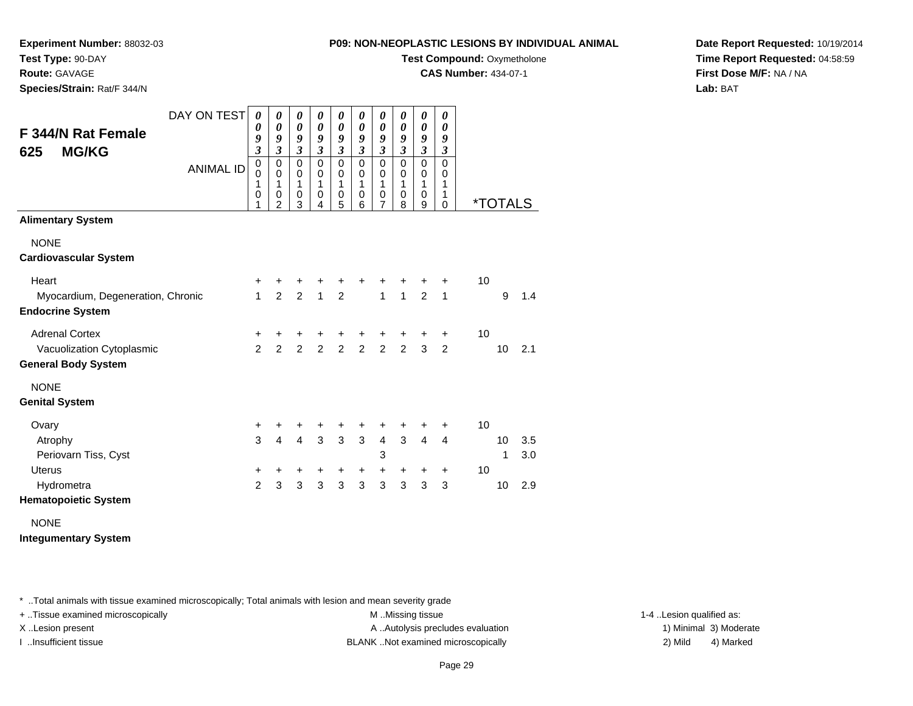**Experiment Number:** 88032-03**Test Type:** 90-DAY

**Route:** GAVAGE

**Species/Strain:** Rat/F 344/N

**Test Compound:** Oxymetholone

**CAS Number:** 434-07-1

**Date Report Requested:** 10/19/2014**Time Report Requested:** 04:58:59**First Dose M/F:** NA / NA**Lab:** BAT

| <b>F 344/N Rat Female</b><br><b>MG/KG</b><br>625             | DAY ON TEST      | 0<br>0<br>9<br>$\overline{\mathbf{3}}$ | 0<br>$\boldsymbol{\theta}$<br>9<br>$\mathfrak{z}$ | 0<br>$\boldsymbol{\theta}$<br>9<br>$\mathfrak{z}$ | 0<br>0<br>9<br>$\mathfrak{z}$                     | 0<br>$\boldsymbol{\theta}$<br>9<br>$\boldsymbol{\mathfrak{z}}$ | 0<br>0<br>9<br>$\mathfrak{z}$                     | 0<br>$\boldsymbol{\theta}$<br>9<br>$\boldsymbol{\mathfrak{z}}$           | 0<br>0<br>9<br>$\mathfrak{z}$                   | 0<br>$\boldsymbol{\theta}$<br>9<br>$\boldsymbol{\mathfrak{z}}$ | 0<br>0<br>9<br>$\mathfrak{z}$             |      |                       |     |
|--------------------------------------------------------------|------------------|----------------------------------------|---------------------------------------------------|---------------------------------------------------|---------------------------------------------------|----------------------------------------------------------------|---------------------------------------------------|--------------------------------------------------------------------------|-------------------------------------------------|----------------------------------------------------------------|-------------------------------------------|------|-----------------------|-----|
|                                                              | <b>ANIMAL ID</b> | $\mathbf 0$<br>0<br>1<br>0<br>1        | $\mathsf 0$<br>$\mathbf 0$<br>1<br>$\pmb{0}$<br>2 | $\mathbf 0$<br>$\mathbf 0$<br>1<br>$\pmb{0}$<br>3 | $\mathbf 0$<br>$\mathbf 0$<br>1<br>$\pmb{0}$<br>4 | $\mathbf 0$<br>$\mathbf 0$<br>$\mathbf{1}$<br>$\pmb{0}$<br>5   | $\mathbf 0$<br>$\pmb{0}$<br>1<br>$\mathbf 0$<br>6 | $\overline{0}$<br>$\,0\,$<br>$\mathbf{1}$<br>$\pmb{0}$<br>$\overline{7}$ | $\mathbf 0$<br>$\pmb{0}$<br>1<br>$\pmb{0}$<br>8 | $\mathbf 0$<br>$\mathbf 0$<br>1<br>$\mathbf 0$<br>9            | $\mathbf 0$<br>0<br>1<br>1<br>$\mathbf 0$ |      | <i><b>*TOTALS</b></i> |     |
| <b>Alimentary System</b>                                     |                  |                                        |                                                   |                                                   |                                                   |                                                                |                                                   |                                                                          |                                                 |                                                                |                                           |      |                       |     |
| <b>NONE</b><br><b>Cardiovascular System</b>                  |                  |                                        |                                                   |                                                   |                                                   |                                                                |                                                   |                                                                          |                                                 |                                                                |                                           |      |                       |     |
| Heart                                                        |                  | +                                      | +                                                 | +                                                 | +                                                 | +                                                              | +                                                 | +                                                                        |                                                 |                                                                | +                                         | $10$ |                       |     |
| Myocardium, Degeneration, Chronic<br><b>Endocrine System</b> |                  | 1                                      | $\overline{2}$                                    | $\overline{2}$                                    | $\overline{1}$                                    | $\overline{2}$                                                 |                                                   | $\mathbf{1}$                                                             | $\overline{1}$                                  | $\overline{2}$                                                 | $\mathbf{1}$                              |      | 9                     | 1.4 |
| <b>Adrenal Cortex</b>                                        |                  | $\ddot{}$                              | $\ddot{}$                                         | $\ddot{}$                                         | +                                                 | $\ddot{}$                                                      | $\ddot{}$                                         | $\ddot{}$                                                                | +                                               | $\ddot{}$                                                      | $\ddot{}$                                 | 10   |                       |     |
| Vacuolization Cytoplasmic<br><b>General Body System</b>      |                  | $\overline{2}$                         | $\overline{2}$                                    | $\overline{2}$                                    | $\overline{2}$                                    | $\overline{2}$                                                 | $\overline{c}$                                    | $\overline{2}$                                                           | $\overline{2}$                                  | 3                                                              | $\overline{2}$                            |      | 10                    | 2.1 |
| <b>NONE</b>                                                  |                  |                                        |                                                   |                                                   |                                                   |                                                                |                                                   |                                                                          |                                                 |                                                                |                                           |      |                       |     |
| <b>Genital System</b>                                        |                  |                                        |                                                   |                                                   |                                                   |                                                                |                                                   |                                                                          |                                                 |                                                                |                                           |      |                       |     |
| Ovary                                                        |                  | $\ddot{}$                              | +                                                 | +                                                 | +                                                 | +                                                              | +                                                 | +                                                                        | +                                               | +                                                              | $\ddot{}$                                 | 10   |                       |     |
| Atrophy                                                      |                  | 3                                      | $\overline{4}$                                    | $\overline{4}$                                    | 3                                                 | $\overline{3}$                                                 | $\overline{3}$                                    | $\overline{4}$                                                           | 3                                               | $\overline{4}$                                                 | $\overline{4}$                            |      | 10                    | 3.5 |
| Periovarn Tiss, Cyst                                         |                  |                                        |                                                   |                                                   |                                                   |                                                                |                                                   | 3                                                                        |                                                 |                                                                |                                           |      | 1                     | 3.0 |
| <b>Uterus</b>                                                |                  | $\ddot{}$                              | $\ddot{}$                                         | $\ddot{}$                                         | $\ddot{}$                                         | $\ddot{}$                                                      | $+$                                               | $\ddot{}$                                                                | $\ddot{}$                                       | $\ddot{}$                                                      | $\ddot{}$                                 | 10   |                       |     |
| Hydrometra<br><b>Hematopoietic System</b>                    |                  | $\overline{2}$                         | 3                                                 | $\mathbf{3}$                                      | 3                                                 | 3                                                              | $\overline{3}$                                    | 3                                                                        | 3                                               | $\mathbf{3}$                                                   | 3                                         |      | 10                    | 2.9 |
| <b>NONE</b>                                                  |                  |                                        |                                                   |                                                   |                                                   |                                                                |                                                   |                                                                          |                                                 |                                                                |                                           |      |                       |     |

**Integumentary System**

\* ..Total animals with tissue examined microscopically; Total animals with lesion and mean severity grade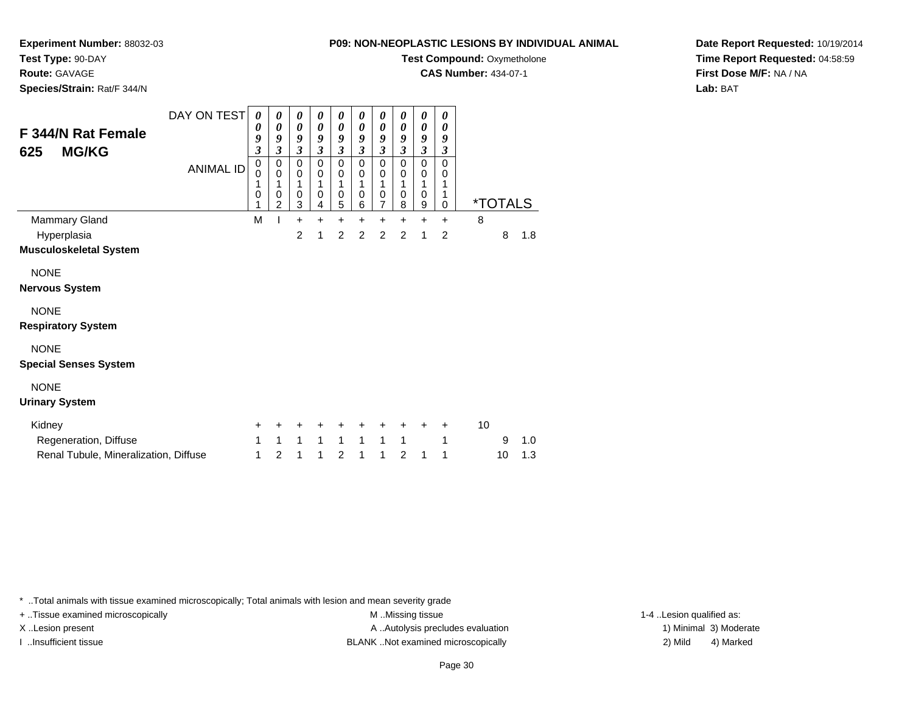**Experiment Number:** 88032-03

**Test Type:** 90-DAY

**Route:** GAVAGE

**Species/Strain:** Rat/F 344/N

**Test Compound:** Oxymetholone

**CAS Number:** 434-07-1

**Date Report Requested:** 10/19/2014**Time Report Requested:** 04:58:59**First Dose M/F:** NA / NA**Lab:** BAT

| <b>F 344/N Rat Female</b><br><b>MG/KG</b><br>625                                                                                | DAY ON TEST<br><b>ANIMAL ID</b> | 0<br>0<br>9<br>$\overline{\mathbf{3}}$<br>$\pmb{0}$<br>0<br>1<br>0<br>$\mathbf{1}$ | $\boldsymbol{\theta}$<br>$\boldsymbol{\theta}$<br>9<br>3<br>$\,0\,$<br>$\pmb{0}$<br>1<br>$\pmb{0}$<br>$\overline{2}$ | $\boldsymbol{\theta}$<br>$\boldsymbol{\theta}$<br>9<br>$\boldsymbol{\beta}$<br>0<br>$\mathbf 0$<br>1<br>0<br>3 | $\boldsymbol{\theta}$<br>0<br>9<br>$\boldsymbol{\beta}$<br>0<br>$\mathbf 0$<br>1<br>0<br>$\overline{4}$ | 0<br>$\boldsymbol{\theta}$<br>9<br>$\boldsymbol{\beta}$<br>0<br>0<br>1<br>0<br>$\overline{5}$ | 0<br>0<br>9<br>$\boldsymbol{\beta}$<br>0<br>0<br>1<br>0<br>6 | 0<br>$\boldsymbol{\theta}$<br>9<br>$\boldsymbol{\beta}$<br>0<br>$\pmb{0}$<br>1<br>0<br>$\overline{7}$ | 0<br>0<br>9<br>$\boldsymbol{\beta}$<br>0<br>$\pmb{0}$<br>1<br>0<br>8 | 0<br>$\pmb{\theta}$<br>9<br>$\boldsymbol{\mathfrak{z}}$<br>0<br>$\mathbf 0$<br>1<br>0<br>9 | 0<br>0<br>9<br>$\boldsymbol{\beta}$<br>$\Omega$<br>0<br>0 |    | <i><b>*TOTALS</b></i> |            |
|---------------------------------------------------------------------------------------------------------------------------------|---------------------------------|------------------------------------------------------------------------------------|----------------------------------------------------------------------------------------------------------------------|----------------------------------------------------------------------------------------------------------------|---------------------------------------------------------------------------------------------------------|-----------------------------------------------------------------------------------------------|--------------------------------------------------------------|-------------------------------------------------------------------------------------------------------|----------------------------------------------------------------------|--------------------------------------------------------------------------------------------|-----------------------------------------------------------|----|-----------------------|------------|
| Mammary Gland                                                                                                                   |                                 | M                                                                                  |                                                                                                                      | $\ddot{}$                                                                                                      | $\ddot{}$                                                                                               | $\ddot{}$                                                                                     | $\ddot{}$                                                    | $\ddot{}$                                                                                             | $\ddot{}$                                                            | +                                                                                          | $\ddot{}$                                                 | 8  |                       |            |
| Hyperplasia<br><b>Musculoskeletal System</b>                                                                                    |                                 |                                                                                    |                                                                                                                      | $\overline{2}$                                                                                                 | 1                                                                                                       | 2                                                                                             | $\overline{2}$                                               | $\overline{2}$                                                                                        | $\overline{2}$                                                       | 1                                                                                          | $\overline{2}$                                            |    | 8                     | 1.8        |
| <b>NONE</b><br><b>Nervous System</b><br><b>NONE</b><br><b>Respiratory System</b><br><b>NONE</b><br><b>Special Senses System</b> |                                 |                                                                                    |                                                                                                                      |                                                                                                                |                                                                                                         |                                                                                               |                                                              |                                                                                                       |                                                                      |                                                                                            |                                                           |    |                       |            |
| <b>NONE</b><br><b>Urinary System</b>                                                                                            |                                 |                                                                                    |                                                                                                                      |                                                                                                                |                                                                                                         |                                                                                               |                                                              |                                                                                                       |                                                                      |                                                                                            |                                                           |    |                       |            |
| Kidney<br>Regeneration, Diffuse<br>Renal Tubule, Mineralization, Diffuse                                                        |                                 | +<br>1<br>1                                                                        | 1<br>$\overline{2}$                                                                                                  | 1<br>1                                                                                                         | 1<br>1                                                                                                  | $\mathbf{1}$<br>$\overline{2}$                                                                | $\mathbf{1}$<br>1                                            | $\mathbf{1}$<br>1                                                                                     | $\mathbf{1}$<br>$\overline{2}$                                       | 1                                                                                          | ٠<br>1<br>1                                               | 10 | 9<br>10               | 1.0<br>1.3 |

\* ..Total animals with tissue examined microscopically; Total animals with lesion and mean severity grade

+ ..Tissue examined microscopically M ...Missing tissue 1-4 ... M ...Missing tissue

X..Lesion present **A ..Autolysis precludes evaluation** A ..Autolysis precludes evaluation 1) Minimal 3) Moderate I ..Insufficient tissue BLANK ..Not examined microscopically 2) Mild 4) Marked

1-4 ..Lesion qualified as: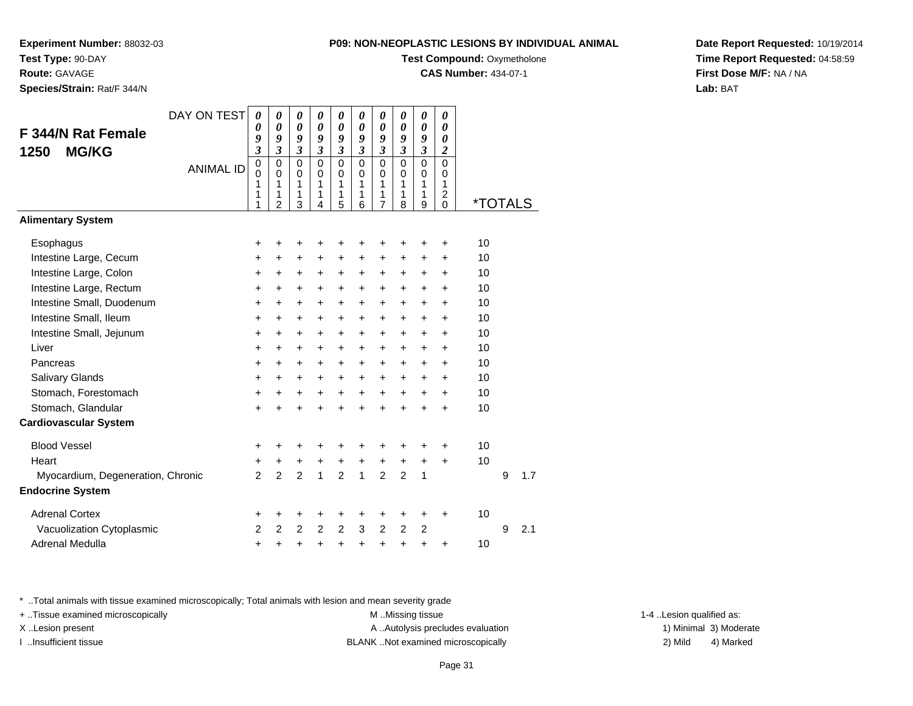**Experiment Number:** 88032-03**Test Type:** 90-DAY

**Route:** GAVAGE

**Species/Strain:** Rat/F 344/N

**Test Compound:** Oxymetholone

**CAS Number:** 434-07-1

**Date Report Requested:** 10/19/2014**Time Report Requested:** 04:58:59**First Dose M/F:** NA / NA**Lab:** BAT

|                                   | DAY ON TEST      | $\boldsymbol{\theta}$                  | 0                                                   | $\pmb{\theta}$                            | 0                                         | 0                                      | 0                                                       | 0                                                                 | 0                                                    | 0                                | 0                            |                       |   |     |
|-----------------------------------|------------------|----------------------------------------|-----------------------------------------------------|-------------------------------------------|-------------------------------------------|----------------------------------------|---------------------------------------------------------|-------------------------------------------------------------------|------------------------------------------------------|----------------------------------|------------------------------|-----------------------|---|-----|
| F 344/N Rat Female                |                  | 0<br>9                                 | 0<br>9                                              | 0<br>9                                    | $\boldsymbol{\theta}$<br>9                | $\boldsymbol{\theta}$<br>9             | 0<br>9                                                  | 0<br>9                                                            | $\boldsymbol{\theta}$<br>9                           | $\boldsymbol{\theta}$<br>9       | $\theta$<br>0                |                       |   |     |
| <b>MG/KG</b><br>1250              |                  | $\overline{\mathbf{3}}$                | $\mathfrak{z}$                                      | $\overline{\mathbf{3}}$                   | $\boldsymbol{\mathfrak{z}}$               | $\boldsymbol{\mathfrak{z}}$            | $\mathfrak{z}$                                          | $\mathfrak{z}$                                                    | $\mathfrak{z}$                                       | $\mathfrak{z}$                   | $\boldsymbol{2}$             |                       |   |     |
|                                   | <b>ANIMAL ID</b> | $\mathbf 0$<br>$\Omega$<br>1<br>1<br>1 | $\mathbf 0$<br>$\Omega$<br>1<br>1<br>$\overline{2}$ | $\mathbf 0$<br>$\mathbf 0$<br>1<br>1<br>3 | $\overline{0}$<br>$\Omega$<br>1<br>1<br>4 | $\mathbf 0$<br>$\Omega$<br>1<br>1<br>5 | $\overline{0}$<br>$\mathbf 0$<br>$\mathbf{1}$<br>1<br>6 | $\mathbf 0$<br>$\mathbf 0$<br>$\mathbf{1}$<br>1<br>$\overline{7}$ | $\mathbf 0$<br>$\mathbf 0$<br>$\mathbf{1}$<br>1<br>8 | 0<br>0<br>$\mathbf{1}$<br>1<br>9 | 0<br>$\Omega$<br>1<br>2<br>0 | <i><b>*TOTALS</b></i> |   |     |
| <b>Alimentary System</b>          |                  |                                        |                                                     |                                           |                                           |                                        |                                                         |                                                                   |                                                      |                                  |                              |                       |   |     |
| Esophagus                         |                  | +                                      | +                                                   | +                                         | +                                         |                                        | ٠                                                       | +                                                                 | ٠                                                    | ٠                                | +                            | 10                    |   |     |
| Intestine Large, Cecum            |                  | $\ddot{}$                              | $\ddot{}$                                           | +                                         | $\ddot{}$                                 | $\ddot{}$                              | $\ddot{}$                                               | $\ddot{}$                                                         | $\ddot{}$                                            | +                                | +                            | 10                    |   |     |
| Intestine Large, Colon            |                  | +                                      | $\pm$                                               | $\ddot{}$                                 | +                                         | +                                      | +                                                       | +                                                                 | +                                                    | $\ddot{}$                        | $\ddot{}$                    | 10                    |   |     |
| Intestine Large, Rectum           |                  | +                                      | +                                                   | $\ddot{}$                                 | +                                         | $\ddot{}$                              | $\ddot{}$                                               | +                                                                 | +                                                    | +                                | +                            | 10                    |   |     |
| Intestine Small, Duodenum         |                  | +                                      | $\ddot{}$                                           | $\ddot{}$                                 | $\ddot{}$                                 | $\ddot{}$                              | $\ddot{}$                                               | $\ddot{}$                                                         | $\ddot{}$                                            | $\ddot{}$                        | $\ddot{}$                    | 10                    |   |     |
| Intestine Small, Ileum            |                  | +                                      | +                                                   | +                                         | +                                         | +                                      | +                                                       | +                                                                 | +                                                    | +                                | +                            | 10                    |   |     |
| Intestine Small, Jejunum          |                  | $\ddot{}$                              | $\ddot{}$                                           | $\ddot{}$                                 | $\ddot{}$                                 | $\ddot{}$                              | $\ddot{}$                                               | $\ddot{}$                                                         | $\ddot{}$                                            | $\ddot{}$                        | $\ddot{}$                    | 10                    |   |     |
| Liver                             |                  | +                                      | +                                                   | $\ddot{}$                                 | $\ddot{}$                                 | $\ddot{}$                              | $\ddot{}$                                               | +                                                                 | $\ddot{}$                                            | +                                | +                            | 10                    |   |     |
| Pancreas                          |                  | $\ddot{}$                              | $\ddot{}$                                           | $\ddot{}$                                 | $\ddot{}$                                 | $\ddot{}$                              | $\ddot{}$                                               | $\ddot{}$                                                         | $\ddot{}$                                            | $\ddot{}$                        | $\ddot{}$                    | 10                    |   |     |
| Salivary Glands                   |                  | +                                      | $\pm$                                               | $\ddot{}$                                 | +                                         | +                                      | +                                                       | +                                                                 | +                                                    | $\ddot{}$                        | +                            | 10                    |   |     |
| Stomach, Forestomach              |                  | $\ddot{}$                              | +                                                   | $\ddot{}$                                 | $\ddot{}$                                 | $\ddot{}$                              | $\ddot{}$                                               | $\ddot{}$                                                         | $\ddot{}$                                            | $\ddot{}$                        | $\ddot{}$                    | 10                    |   |     |
| Stomach, Glandular                |                  | $\ddot{}$                              | $\ddot{}$                                           | $\ddot{}$                                 | ÷                                         | $\ddot{}$                              | $\div$                                                  | $\ddot{}$                                                         | $\ddot{}$                                            | $\div$                           | +                            | 10                    |   |     |
| <b>Cardiovascular System</b>      |                  |                                        |                                                     |                                           |                                           |                                        |                                                         |                                                                   |                                                      |                                  |                              |                       |   |     |
| <b>Blood Vessel</b>               |                  | +                                      | ٠                                                   | +                                         | +                                         | ٠                                      | ÷                                                       | +                                                                 | +                                                    | +                                | +                            | 10                    |   |     |
| Heart                             |                  | +                                      | +                                                   | +                                         | +                                         | +                                      | $\ddot{}$                                               | +                                                                 | +                                                    | +                                | +                            | 10                    |   |     |
| Myocardium, Degeneration, Chronic |                  | $\overline{2}$                         | $\overline{2}$                                      | $\overline{2}$                            | 1                                         | $\overline{2}$                         | $\mathbf{1}$                                            | $\overline{2}$                                                    | $\overline{2}$                                       | 1                                |                              |                       | 9 | 1.7 |
| <b>Endocrine System</b>           |                  |                                        |                                                     |                                           |                                           |                                        |                                                         |                                                                   |                                                      |                                  |                              |                       |   |     |
| <b>Adrenal Cortex</b>             |                  | +                                      | +                                                   | +                                         | +                                         | +                                      | +                                                       | +                                                                 | +                                                    | $\ddot{}$                        | $\ddot{}$                    | 10                    |   |     |
| Vacuolization Cytoplasmic         |                  | $\overline{2}$                         | $\overline{2}$                                      | $\overline{2}$                            | $\overline{2}$                            | $\overline{2}$                         | 3                                                       | $\overline{c}$                                                    | 2                                                    | $\overline{2}$                   |                              |                       | 9 | 2.1 |
| Adrenal Medulla                   |                  | +                                      | +                                                   | +                                         | +                                         | +                                      | +                                                       | +                                                                 | +                                                    | +                                | +                            | 10                    |   |     |

\* ..Total animals with tissue examined microscopically; Total animals with lesion and mean severity grade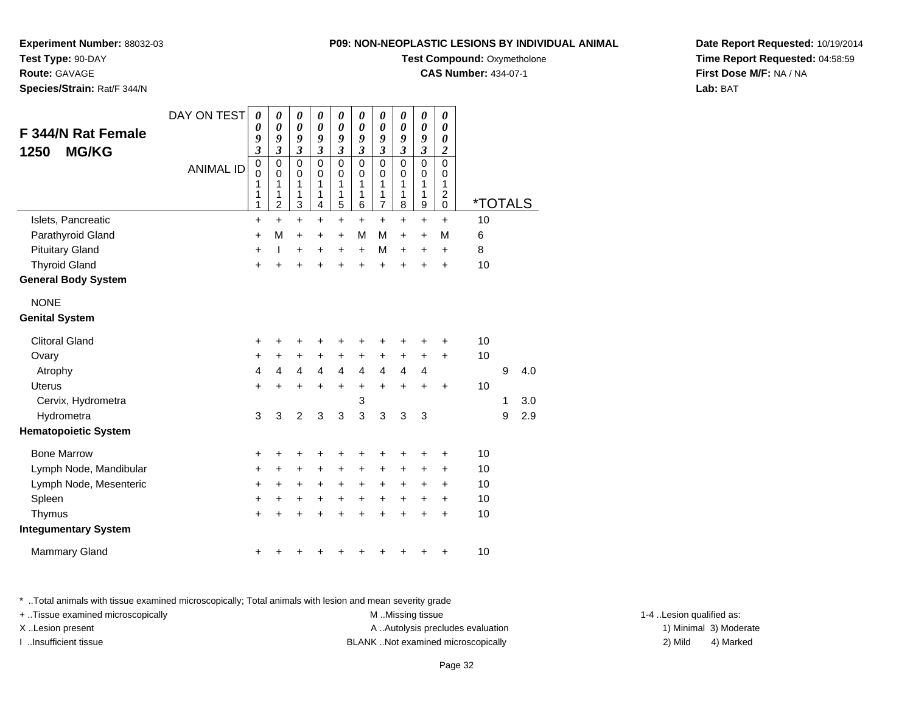**Test Compound: Oxymetholone** 

**CAS Number:** 434-07-1

**Date Report Requested:** 10/19/2014**Time Report Requested:** 04:58:59**First Dose M/F:** NA / NA**Lab:** BAT

| <b>F 344/N Rat Female</b><br><b>MG/KG</b><br>1250 | DAY ON TEST<br><b>ANIMAL ID</b> | 0<br>0<br>9<br>$\overline{\mathbf{3}}$<br>$\pmb{0}$<br>0<br>1<br>1<br>1 | 0<br>0<br>9<br>3<br>0<br>0<br>1<br>1<br>$\overline{2}$ | 0<br>0<br>9<br>$\overline{\mathbf{3}}$<br>$\mathbf 0$<br>0<br>1<br>1<br>3 | 0<br>0<br>9<br>$\mathfrak{z}$<br>$\mathbf 0$<br>0<br>1<br>1<br>4 | 0<br>0<br>9<br>3<br>0<br>0<br>1<br>1<br>5 | 0<br>0<br>9<br>3<br>0<br>0<br>1<br>1<br>6 | 0<br>0<br>9<br>3<br>$\mathbf 0$<br>0<br>1<br>1<br>7 | 0<br>0<br>9<br>3<br>0<br>0<br>1<br>1<br>8 | 0<br>0<br>9<br>$\overline{\mathbf{3}}$<br>$\mathbf 0$<br>0<br>1<br>1<br>9 | 0<br>0<br>$\boldsymbol{\theta}$<br>2<br>$\Omega$<br>0<br>1<br>2<br>0 | <i><b>*TOTALS</b></i> |   |     |  |
|---------------------------------------------------|---------------------------------|-------------------------------------------------------------------------|--------------------------------------------------------|---------------------------------------------------------------------------|------------------------------------------------------------------|-------------------------------------------|-------------------------------------------|-----------------------------------------------------|-------------------------------------------|---------------------------------------------------------------------------|----------------------------------------------------------------------|-----------------------|---|-----|--|
| Islets, Pancreatic                                |                                 | +                                                                       | $\ddot{}$                                              | $\ddot{}$                                                                 | +                                                                | +                                         | $\ddot{}$                                 | $\ddot{}$                                           | $\ddot{}$                                 | $\ddot{}$                                                                 | $\ddot{}$                                                            | 10                    |   |     |  |
| Parathyroid Gland                                 |                                 | +                                                                       | M                                                      | +                                                                         | +                                                                | +                                         | M                                         | M                                                   | +                                         | +                                                                         | M                                                                    | 6                     |   |     |  |
| <b>Pituitary Gland</b>                            |                                 | $\ddot{}$                                                               | ı                                                      | $\ddot{}$                                                                 | $\ddot{}$                                                        | +                                         | $\ddot{}$                                 | M                                                   | $\ddot{}$                                 | $\ddot{}$                                                                 | $\ddot{}$                                                            | 8                     |   |     |  |
| <b>Thyroid Gland</b>                              |                                 | $\ddot{}$                                                               | +                                                      | $\ddot{}$                                                                 | ÷                                                                | $\ddot{}$                                 | $\ddot{}$                                 | $\ddot{}$                                           | +                                         | +                                                                         | $\ddot{}$                                                            | 10                    |   |     |  |
| <b>General Body System</b>                        |                                 |                                                                         |                                                        |                                                                           |                                                                  |                                           |                                           |                                                     |                                           |                                                                           |                                                                      |                       |   |     |  |
| <b>NONE</b>                                       |                                 |                                                                         |                                                        |                                                                           |                                                                  |                                           |                                           |                                                     |                                           |                                                                           |                                                                      |                       |   |     |  |
| <b>Genital System</b>                             |                                 |                                                                         |                                                        |                                                                           |                                                                  |                                           |                                           |                                                     |                                           |                                                                           |                                                                      |                       |   |     |  |
| <b>Clitoral Gland</b>                             |                                 | +                                                                       |                                                        | +                                                                         |                                                                  | +                                         |                                           | +                                                   |                                           | +                                                                         | +                                                                    | 10                    |   |     |  |
| Ovary                                             |                                 | +                                                                       | $\pm$                                                  | +                                                                         | +                                                                | +                                         | +                                         | $\ddot{}$                                           | +                                         | +                                                                         | +                                                                    | 10                    |   |     |  |
| Atrophy                                           |                                 | 4                                                                       | 4                                                      | $\overline{4}$                                                            | $\overline{4}$                                                   | 4                                         | 4                                         | 4                                                   | 4                                         | 4                                                                         |                                                                      |                       | 9 | 4.0 |  |
| Uterus                                            |                                 | $\ddot{}$                                                               | $\ddot{}$                                              | $\ddot{}$                                                                 | $\ddot{}$                                                        | +                                         | +                                         | $\ddot{}$                                           | $\ddot{}$                                 | $\ddot{}$                                                                 | $\ddot{}$                                                            | 10                    |   |     |  |
| Cervix, Hydrometra                                |                                 |                                                                         |                                                        |                                                                           |                                                                  |                                           | 3                                         |                                                     |                                           |                                                                           |                                                                      |                       | 1 | 3.0 |  |
| Hydrometra                                        |                                 | 3                                                                       | 3                                                      | $\overline{2}$                                                            | 3                                                                | 3                                         | 3                                         | 3                                                   | 3                                         | 3                                                                         |                                                                      |                       | 9 | 2.9 |  |
| <b>Hematopoietic System</b>                       |                                 |                                                                         |                                                        |                                                                           |                                                                  |                                           |                                           |                                                     |                                           |                                                                           |                                                                      |                       |   |     |  |
| <b>Bone Marrow</b>                                |                                 | +                                                                       | +                                                      | +                                                                         | +                                                                | +                                         | +                                         | +                                                   | +                                         | +                                                                         | +                                                                    | 10                    |   |     |  |
| Lymph Node, Mandibular                            |                                 | +                                                                       | +                                                      | +                                                                         | +                                                                | +                                         | +                                         | +                                                   | +                                         | +                                                                         | +                                                                    | 10                    |   |     |  |
| Lymph Node, Mesenteric                            |                                 | +                                                                       | +                                                      | +                                                                         | $\ddot{}$                                                        | +                                         | +                                         | +                                                   | $\ddot{}$                                 | +                                                                         | +                                                                    | 10                    |   |     |  |
| Spleen                                            |                                 | +                                                                       | +                                                      | +                                                                         | $\ddot{}$                                                        | $\ddot{}$                                 | $\ddot{}$                                 | $\ddot{}$                                           | $\ddot{}$                                 | $\ddot{}$                                                                 | $\ddot{}$                                                            | 10                    |   |     |  |
| Thymus                                            |                                 | $\ddot{}$                                                               |                                                        | $\ddot{}$                                                                 | $\ddot{}$                                                        | $\ddot{}$                                 | ÷                                         | $\ddot{}$                                           | ÷                                         | $\ddot{}$                                                                 | $\ddot{}$                                                            | 10                    |   |     |  |
| <b>Integumentary System</b>                       |                                 |                                                                         |                                                        |                                                                           |                                                                  |                                           |                                           |                                                     |                                           |                                                                           |                                                                      |                       |   |     |  |
| <b>Mammary Gland</b>                              |                                 | +                                                                       |                                                        |                                                                           |                                                                  |                                           |                                           |                                                     |                                           |                                                                           | +                                                                    | 10                    |   |     |  |
|                                                   |                                 |                                                                         |                                                        |                                                                           |                                                                  |                                           |                                           |                                                     |                                           |                                                                           |                                                                      |                       |   |     |  |

\* ..Total animals with tissue examined microscopically; Total animals with lesion and mean severity grade

+ ..Tissue examined microscopically examined microscopically examined as:  $M$  ..Missing tissue 1-4 ..Lesion qualified as:

**Experiment Number:** 88032-03

**Species/Strain:** Rat/F 344/N

**Test Type:** 90-DAY**Route:** GAVAGE

X..Lesion present **A ..Autolysis precludes evaluation** A ..Autolysis precludes evaluation 1) Minimal 3) Moderate I ..Insufficient tissue BLANK ..Not examined microscopically 2) Mild 4) Marked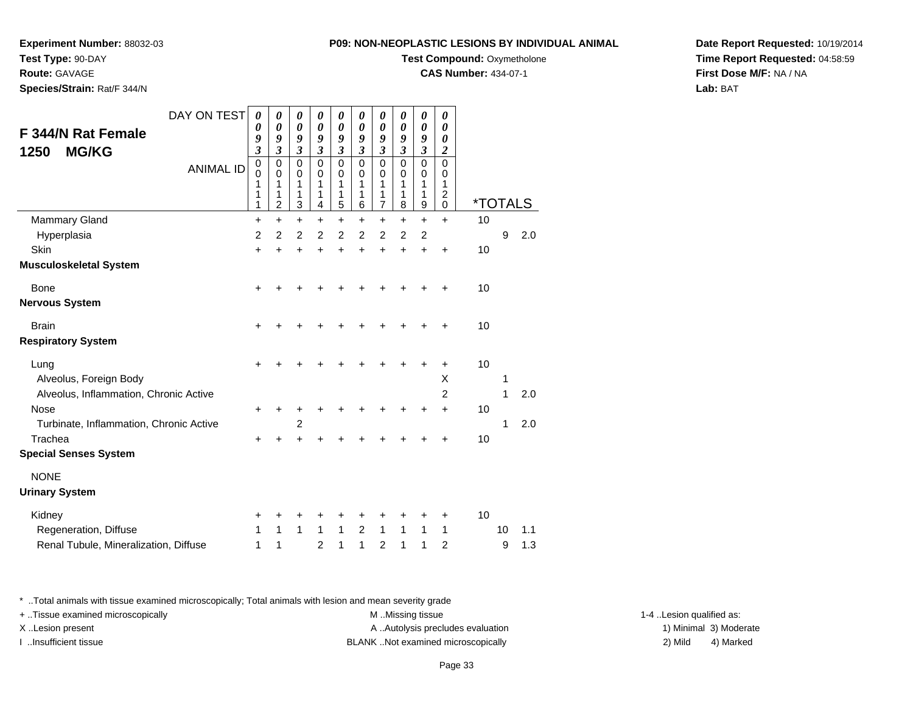**Test Compound:** Oxymetholone

**CAS Number:** 434-07-1

0 \*TOTALS

**Date Report Requested:** 10/19/2014**Time Report Requested:** 04:58:59**First Dose M/F:** NA / NA**Lab:** BAT

\* ..Total animals with tissue examined microscopically; Total animals with lesion and mean severity grade

+ ..Tissue examined microscopically examined microscopically examined as: M ..Missing tissue 1-4 ..Lesion qualified as:

X..Lesion present **A ..Autolysis precludes evaluation** A ..Autolysis precludes evaluation 1) Minimal 3) Moderate

I ..Insufficient tissue BLANK ..Not examined microscopically 2) Mild 4) Marked

| Hyperplasia                             | $\overline{2}$ | $\overline{2}$ | $\overline{2}$ | 2              | 2            | 2         | 2            | 2         | $\overline{2}$ |                |    | 9  | 2.0 |
|-----------------------------------------|----------------|----------------|----------------|----------------|--------------|-----------|--------------|-----------|----------------|----------------|----|----|-----|
| Skin                                    | +              | +              | $\ddot{}$      | $\ddot{}$      | $\ddot{}$    | $\ddot{}$ | $\ddot{}$    | $\ddot{}$ | $\ddot{}$      | $\ddot{}$      | 10 |    |     |
| Musculoskeletal System                  |                |                |                |                |              |           |              |           |                |                |    |    |     |
| <b>Bone</b>                             | +              | +              | $\ddot{}$      | $\div$         | $\ddot{}$    | $\ddot{}$ | $\ddot{}$    | $\ddot{}$ | $\ddot{}$      | $\ddot{}$      | 10 |    |     |
| Nervous System                          |                |                |                |                |              |           |              |           |                |                |    |    |     |
| <b>Brain</b>                            | $\ddot{}$      |                |                |                |              |           |              |           |                | +              | 10 |    |     |
| <b>Respiratory System</b>               |                |                |                |                |              |           |              |           |                |                |    |    |     |
| Lung                                    | $+$            |                |                |                |              |           | +            | ٠         | $\ddot{}$      | $\ddot{}$      | 10 |    |     |
| Alveolus, Foreign Body                  |                |                |                |                |              |           |              |           |                | X              |    | 1  |     |
| Alveolus, Inflammation, Chronic Active  |                |                |                |                |              |           |              |           |                | $\overline{2}$ |    | 1  | 2.0 |
| Nose                                    | $\ddot{}$      |                | +              |                | +            | +         | +            | +         | +              | $\ddot{}$      | 10 |    |     |
| Turbinate, Inflammation, Chronic Active |                |                | 2              |                |              |           |              |           |                |                |    | 1  | 2.0 |
| Trachea                                 | +              |                |                |                | ٠            | ٠         | +            | +         | +              | +              | 10 |    |     |
| <b>Special Senses System</b>            |                |                |                |                |              |           |              |           |                |                |    |    |     |
| <b>NONE</b>                             |                |                |                |                |              |           |              |           |                |                |    |    |     |
| <b>Urinary System</b>                   |                |                |                |                |              |           |              |           |                |                |    |    |     |
| Kidney                                  | $\ddot{}$      | +              | ٠              |                | +            | +         | +            | +         | +              | +              | 10 |    |     |
| Regeneration, Diffuse                   | 1              | $\mathbf{1}$   | $\mathbf{1}$   | $\mathbf{1}$   | $\mathbf{1}$ | 2         | $\mathbf{1}$ | 1         | 1              | 1              |    | 10 | 1.1 |
| Renal Tubule, Mineralization, Diffuse   | 1              | 1              |                | $\overline{2}$ | 1            | 1         | 2            | 1         | 1              | 2              |    | 9  | 1.3 |

DAY ON TEST

<sup>+</sup> <sup>+</sup> <sup>+</sup> <sup>+</sup> <sup>+</sup> <sup>+</sup> <sup>+</sup> <sup>+</sup> + 10

ANIMAL ID

 $\alpha$  +

**Experiment Number:** 88032-03

**Test Type:** 90-DAY

**Route:** GAVAGE

**Species/Strain:** Rat/F 344/N

**F 344/N Rat Female**

**1250 MG/KG**

Mammary Gland